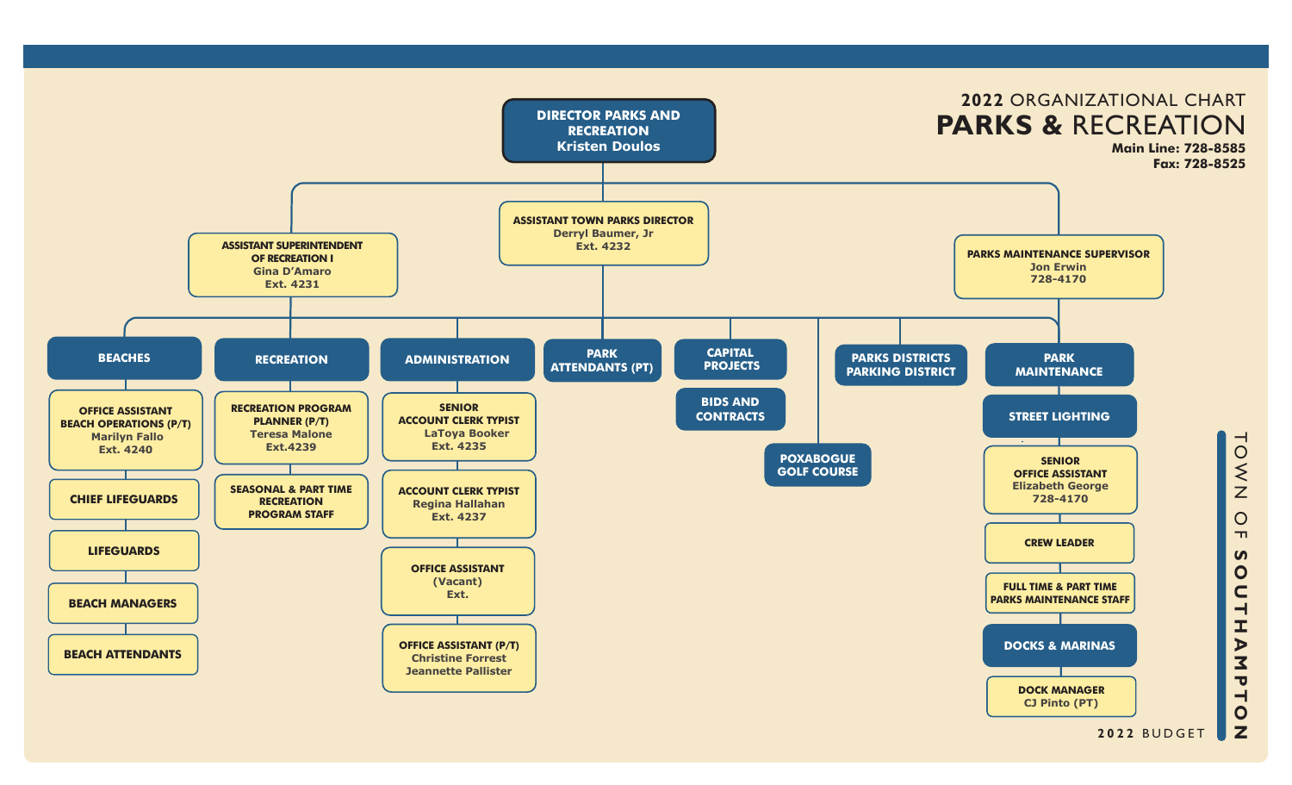

**2022** BUDGET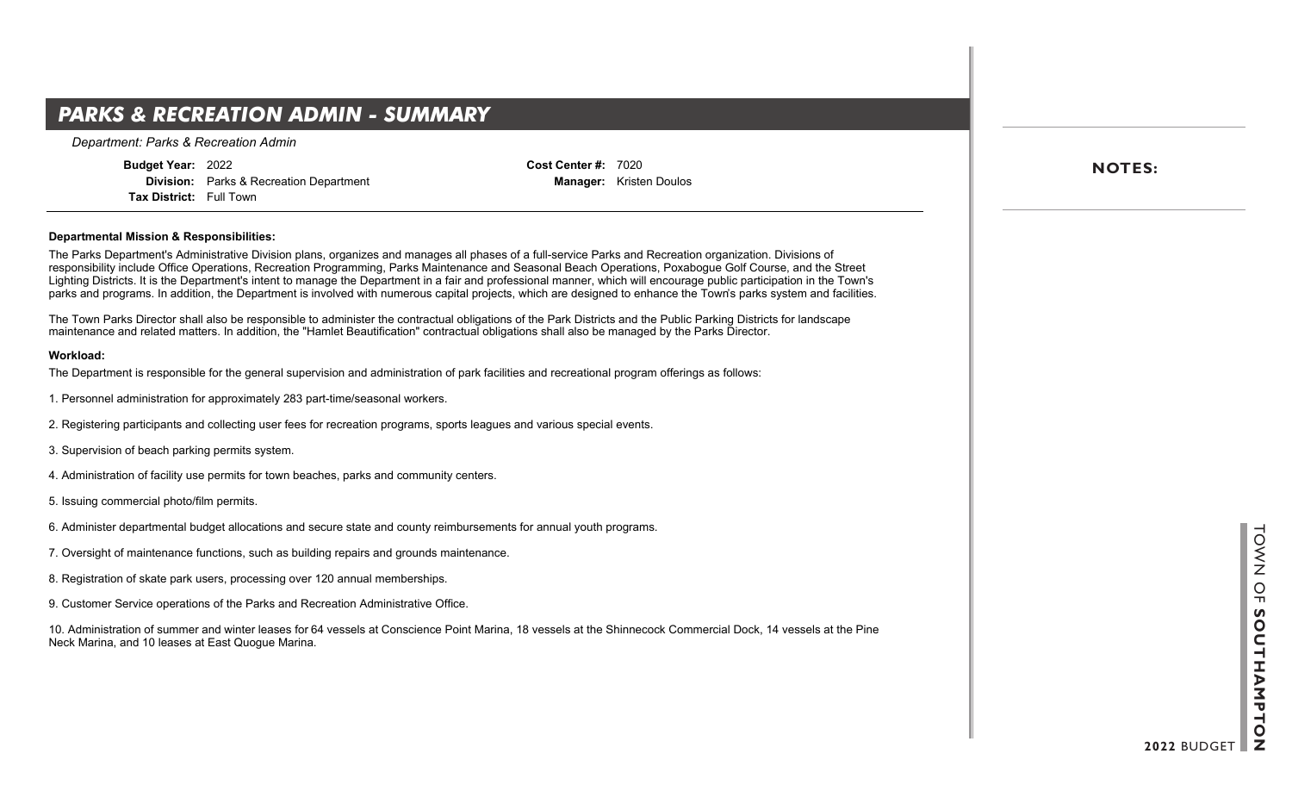## **PARKS & RECREATION ADMIN - SUMMARY**

*Department: Parks & Recreation Admin*

**Budget Year:** 2022

**Division:** Parks & Recreation Department **Tax District:** Full Town

**Cost Center #:** 7020 **Manager:** Kristen Doulos

### **Departmental Mission & Responsibilities:**

The Parks Department's Administrative Division plans, organizes and manages all phases of a full-service Parks and Recreation organization. Divisions of responsibility include Office Operations, Recreation Programming, Parks Maintenance and Seasonal Beach Operations, Poxabogue Golf Course, and the Street Lighting Districts. It is the Department's intent to manage the Department in a fair and professional manner, which will encourage public participation in the Town's parks and programs. In addition, the Department is involved with numerous capital projects, which are designed to enhance the Town's parks system and facilities.

The Town Parks Director shall also be responsible to administer the contractual obligations of the Park Districts and the Public Parking Districts for landscape maintenance and related matters. In addition, the "Hamlet Beautification" contractual obligations shall also be managed by the Parks Director.

### **Workload:**

The Department is responsible for the general supervision and administration of park facilities and recreational program offerings as follows:

- 1. Personnel administration for approximately 283 part-time/seasonal workers.
- 2. Registering participants and collecting user fees for recreation programs, sports leagues and various special events.
- 3. Supervision of beach parking permits system.
- 4. Administration of facility use permits for town beaches, parks and community centers.
- 5. Issuing commercial photo/film permits.
- 6. Administer departmental budget allocations and secure state and county reimbursements for annual youth programs.
- 7. Oversight of maintenance functions, such as building repairs and grounds maintenance.
- 8. Registration of skate park users, processing over 120 annual memberships.
- 9. Customer Service operations of the Parks and Recreation Administrative Office.

10. Administration of summer and winter leases for 64 vessels at Conscience Point Marina, 18 vessels at the Shinnecock Commercial Dock, 14 vessels at the Pine Neck Marina, and 10 leases at East Quogue Marina.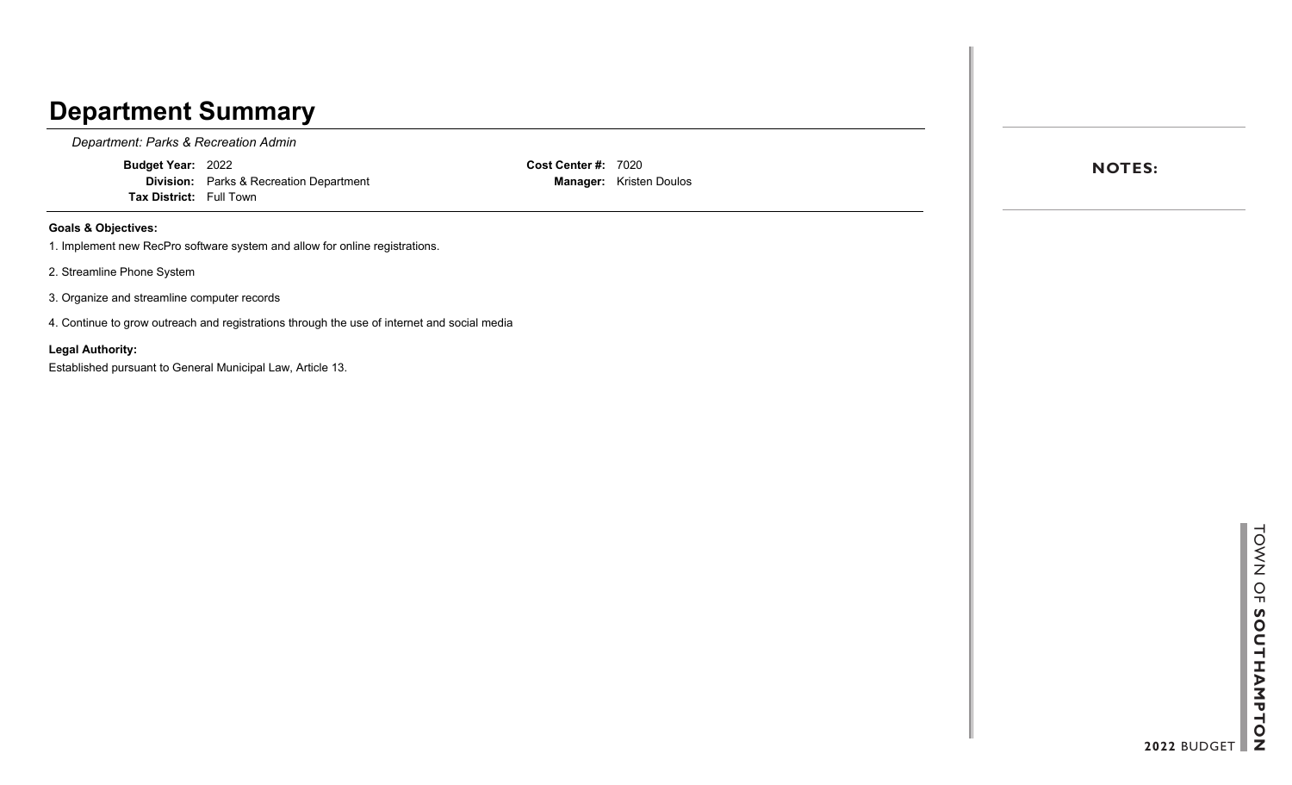# **Department Summary**

*Department: Parks & Recreation Admin*

**Budget Year:** 2022 **Division:** Parks & Recreation Department **Tax District:** Full Town

**Cost Center #:** 7020 **Manager:** Kristen Doulos

### **Goals & Objectives:**

1. Implement new RecPro software system and allow for online registrations.

2. Streamline Phone System

3. Organize and streamline computer records

4. Continue to grow outreach and registrations through the use of internet and social media

### **Legal Authority:**

Established pursuant to General Municipal Law, Article 13.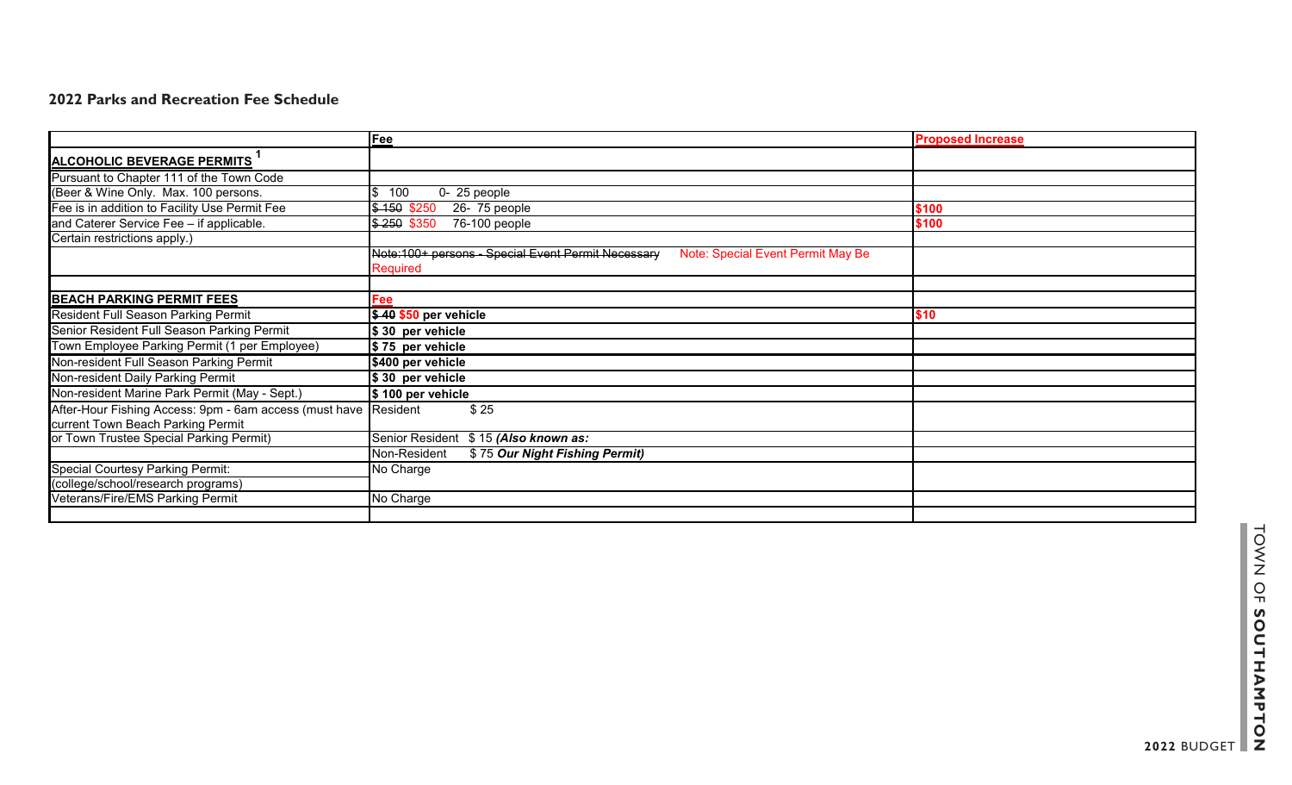|                                                                 | Eee                                                                                     | <b>Proposed Increase</b> |
|-----------------------------------------------------------------|-----------------------------------------------------------------------------------------|--------------------------|
| <b>ALCOHOLIC BEVERAGE PERMITS</b>                               |                                                                                         |                          |
| Pursuant to Chapter 111 of the Town Code                        |                                                                                         |                          |
| (Beer & Wine Only. Max. 100 persons.                            | $\frac{1}{2}$<br>100<br>0-25 people                                                     |                          |
| Fee is in addition to Facility Use Permit Fee                   | $$150$ \$250<br>26- 75 people                                                           | \$100                    |
| and Caterer Service Fee - if applicable.                        | $$250$ \$350<br>76-100 people                                                           | \$100                    |
| Certain restrictions apply.)                                    |                                                                                         |                          |
|                                                                 | Note:100+ persons - Special Event Permit Necessary<br>Note: Special Event Permit May Be |                          |
|                                                                 | Required                                                                                |                          |
|                                                                 |                                                                                         |                          |
| <b>BEACH PARKING PERMIT FEES</b>                                | Fee                                                                                     |                          |
| <b>Resident Full Season Parking Permit</b>                      | \$40\$50 per vehicle                                                                    | \$10                     |
| Senior Resident Full Season Parking Permit                      | \$30 per vehicle                                                                        |                          |
| Town Employee Parking Permit (1 per Employee)                   | \$75 per vehicle                                                                        |                          |
| Non-resident Full Season Parking Permit                         | \$400 per vehicle                                                                       |                          |
| Non-resident Daily Parking Permit                               | \$30 per vehicle                                                                        |                          |
| Non-resident Marine Park Permit (May - Sept.)                   | \$100 per vehicle                                                                       |                          |
| After-Hour Fishing Access: 9pm - 6am access (must have Resident | \$25                                                                                    |                          |
| current Town Beach Parking Permit                               |                                                                                         |                          |
| or Town Trustee Special Parking Permit)                         | Senior Resident \$15 (Also known as:                                                    |                          |
|                                                                 | Non-Resident<br>\$75 Our Night Fishing Permit)                                          |                          |
| Special Courtesy Parking Permit:                                | No Charge                                                                               |                          |
| (college/school/research programs)                              |                                                                                         |                          |
| Veterans/Fire/EMS Parking Permit                                | No Charge                                                                               |                          |
|                                                                 |                                                                                         |                          |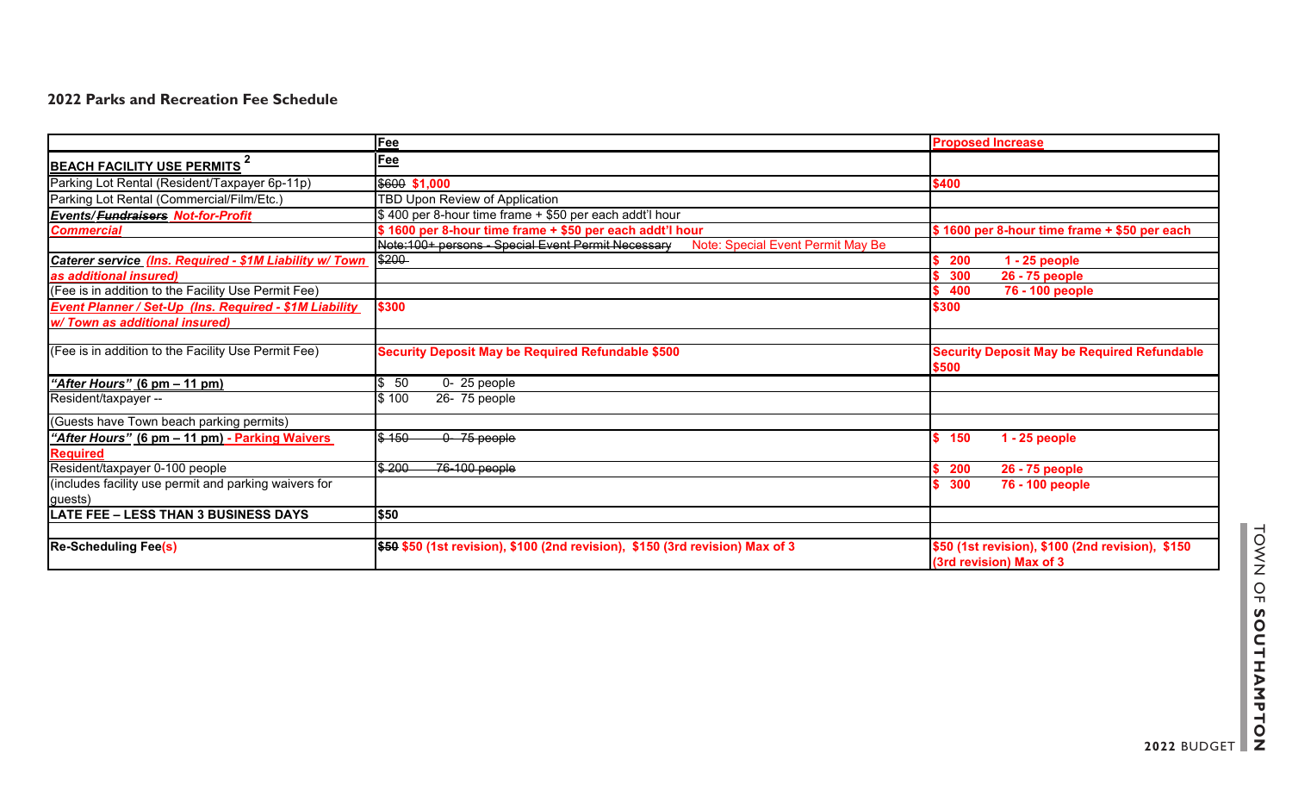|                                                                   | Fee                                                                                     | <b>Proposed Increase</b>                                                    |
|-------------------------------------------------------------------|-----------------------------------------------------------------------------------------|-----------------------------------------------------------------------------|
| $\mathbf{z}$<br><b>BEACH FACILITY USE PERMITS</b>                 | <b>Fee</b>                                                                              |                                                                             |
| Parking Lot Rental (Resident/Taxpayer 6p-11p)                     | \$600 \$1,000                                                                           | \$400                                                                       |
| Parking Lot Rental (Commercial/Film/Etc.)                         | TBD Upon Review of Application                                                          |                                                                             |
| <b>Events/<del>Fundraisers</del> Not-for-Profit</b>               | \$400 per 8-hour time frame + \$50 per each addt'l hour                                 |                                                                             |
| <b>Commercial</b>                                                 | \$1600 per 8-hour time frame + \$50 per each addt'l hour                                | \$1600 per 8-hour time frame + \$50 per each                                |
|                                                                   | Note:100+ persons - Special Event Permit Necessary<br>Note: Special Event Permit May Be |                                                                             |
| Caterer service (Ins. Required - \$1M Liability w/ Town           | \$200                                                                                   | 200<br>$1 - 25$ people                                                      |
| as additional insured)                                            |                                                                                         | 26 - 75 people<br>300                                                       |
| (Fee is in addition to the Facility Use Permit Fee)               |                                                                                         | 400<br>76 - 100 people                                                      |
| Event Planner / Set-Up (Ins. Required - \$1M Liability            | \$300                                                                                   | \$300                                                                       |
| w/Town as additional insured)                                     |                                                                                         |                                                                             |
|                                                                   |                                                                                         |                                                                             |
| (Fee is in addition to the Facility Use Permit Fee)               | <b>Security Deposit May be Required Refundable \$500</b>                                | <b>Security Deposit May be Required Refundable</b><br>\$500                 |
| "After Hours" (6 pm - 11 pm)                                      | \$50<br>$\overline{0}$ - 25 people                                                      |                                                                             |
| Resident/taxpayer --                                              | \$100<br>26- 75 people                                                                  |                                                                             |
| (Guests have Town beach parking permits)                          |                                                                                         |                                                                             |
| "After Hours" (6 pm - 11 pm) - Parking Waivers<br><b>Required</b> | $\overline{0-75}$ people<br>\$450                                                       | 150<br>$1 - 25$ people                                                      |
| Resident/taxpayer 0-100 people                                    | 76-100 people<br>\$200                                                                  | 26 - 75 people<br>200                                                       |
| (includes facility use permit and parking waivers for             |                                                                                         | 300<br>76 - 100 people                                                      |
| guests)                                                           |                                                                                         |                                                                             |
| <b>LATE FEE - LESS THAN 3 BUSINESS DAYS</b>                       | \$50                                                                                    |                                                                             |
|                                                                   |                                                                                         |                                                                             |
| <b>Re-Scheduling Fee(s)</b>                                       | \$50 \$50 (1st revision), \$100 (2nd revision), \$150 (3rd revision) Max of 3           | \$50 (1st revision), \$100 (2nd revision), \$150<br>(3rd revision) Max of 3 |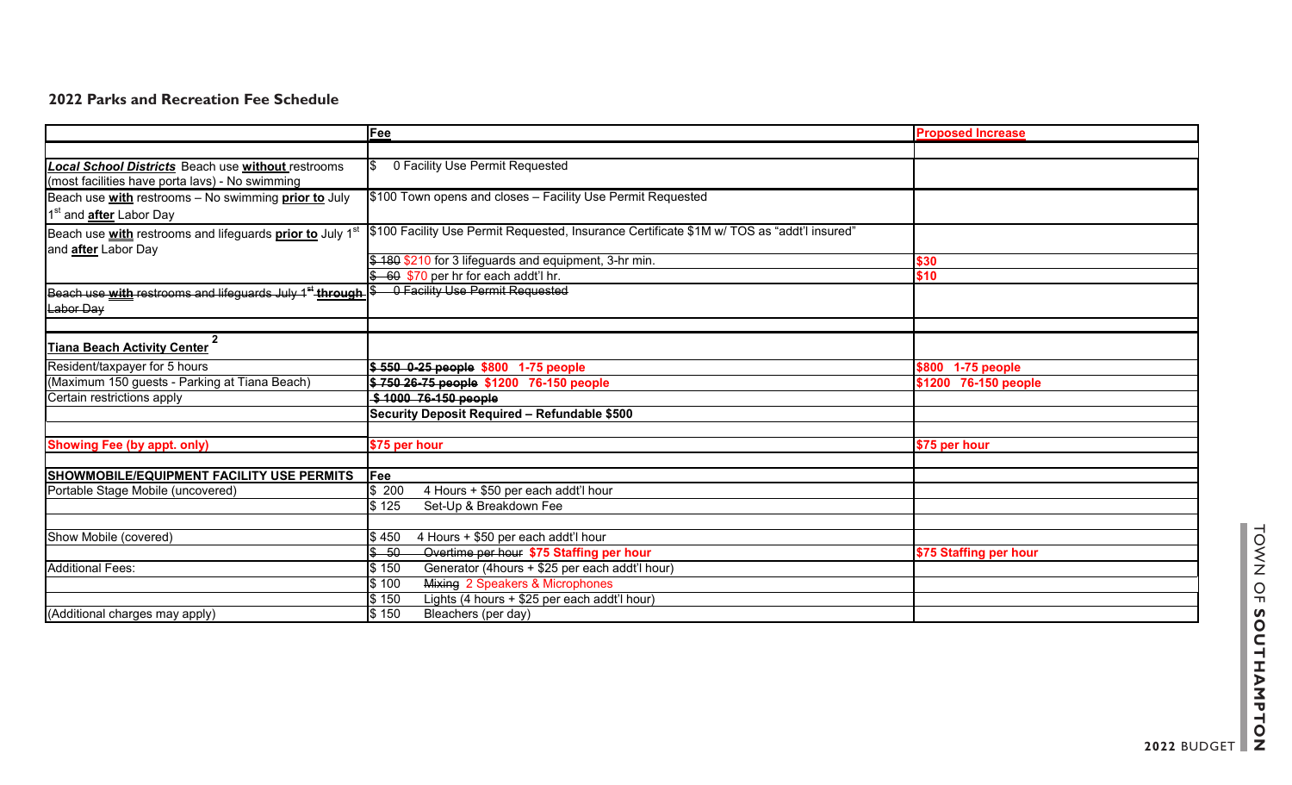|                                                                                                                  | Fee                                                                                        | <b>Proposed Increase</b> |
|------------------------------------------------------------------------------------------------------------------|--------------------------------------------------------------------------------------------|--------------------------|
|                                                                                                                  |                                                                                            |                          |
| Local School Districts Beach use without restrooms<br>(most facilities have porta lavs) - No swimming            | 0 Facility Use Permit Requested                                                            |                          |
| Beach use <b>with</b> restrooms - No swimming <b>prior to</b> July<br>1 <sup>st</sup> and <b>after</b> Labor Day | \$100 Town opens and closes - Facility Use Permit Requested                                |                          |
| Beach use <u>with</u> restrooms and lifeguards <mark>prior to</mark> July 1 <sup>st</sup><br>and after Labor Day | \$100 Facility Use Permit Requested, Insurance Certificate \$1M w/ TOS as "addt'l insured" |                          |
|                                                                                                                  | \$480 \$210 for 3 lifeguards and equipment, 3-hr min.                                      | \$30                     |
|                                                                                                                  | $$60$ \$70 per hr for each addt'l hr.                                                      | \$10                     |
| Beach use <u>with</u> restrooms and lifeguards July 1 <sup>st</sup> through $ \text{\$}$<br>Labor Day            | <b>0 Facility Use Permit Requested</b>                                                     |                          |
|                                                                                                                  |                                                                                            |                          |
| <b>Tiana Beach Activity Center</b>                                                                               |                                                                                            |                          |
| Resident/taxpayer for 5 hours                                                                                    | \$550 0-25 people \$800 1-75 people                                                        | \$800 1-75 people        |
| (Maximum 150 guests - Parking at Tiana Beach)                                                                    | \$750 26-75 people \$1200 76-150 people                                                    | \$1200 76-150 people     |
| Certain restrictions apply                                                                                       | \$1000 76-150 people                                                                       |                          |
|                                                                                                                  | Security Deposit Required - Refundable \$500                                               |                          |
| <b>Showing Fee (by appt. only)</b>                                                                               | \$75 per hour                                                                              | \$75 per hour            |
|                                                                                                                  |                                                                                            |                          |
| <b>SHOWMOBILE/EQUIPMENT FACILITY USE PERMITS</b>                                                                 | <b>Fee</b>                                                                                 |                          |
| Portable Stage Mobile (uncovered)                                                                                | 4 Hours + \$50 per each addt'l hour<br>\$200                                               |                          |
|                                                                                                                  | Set-Up & Breakdown Fee<br>\$125                                                            |                          |
| Show Mobile (covered)                                                                                            | 4 Hours + \$50 per each addt'l hour<br>\$450                                               |                          |
|                                                                                                                  | $$ -50$<br>Overtime per hour \$75 Staffing per hour                                        | \$75 Staffing per hour   |
| <b>Additional Fees:</b>                                                                                          | Generator (4hours + \$25 per each addt'l hour)<br>\$150                                    |                          |
|                                                                                                                  | <b>Mixing 2 Speakers &amp; Microphones</b><br>\$100                                        |                          |
|                                                                                                                  | Lights (4 hours + \$25 per each addt'l hour)<br>\$150                                      |                          |
| (Additional charges may apply)                                                                                   | \$150<br>Bleachers (per day)                                                               |                          |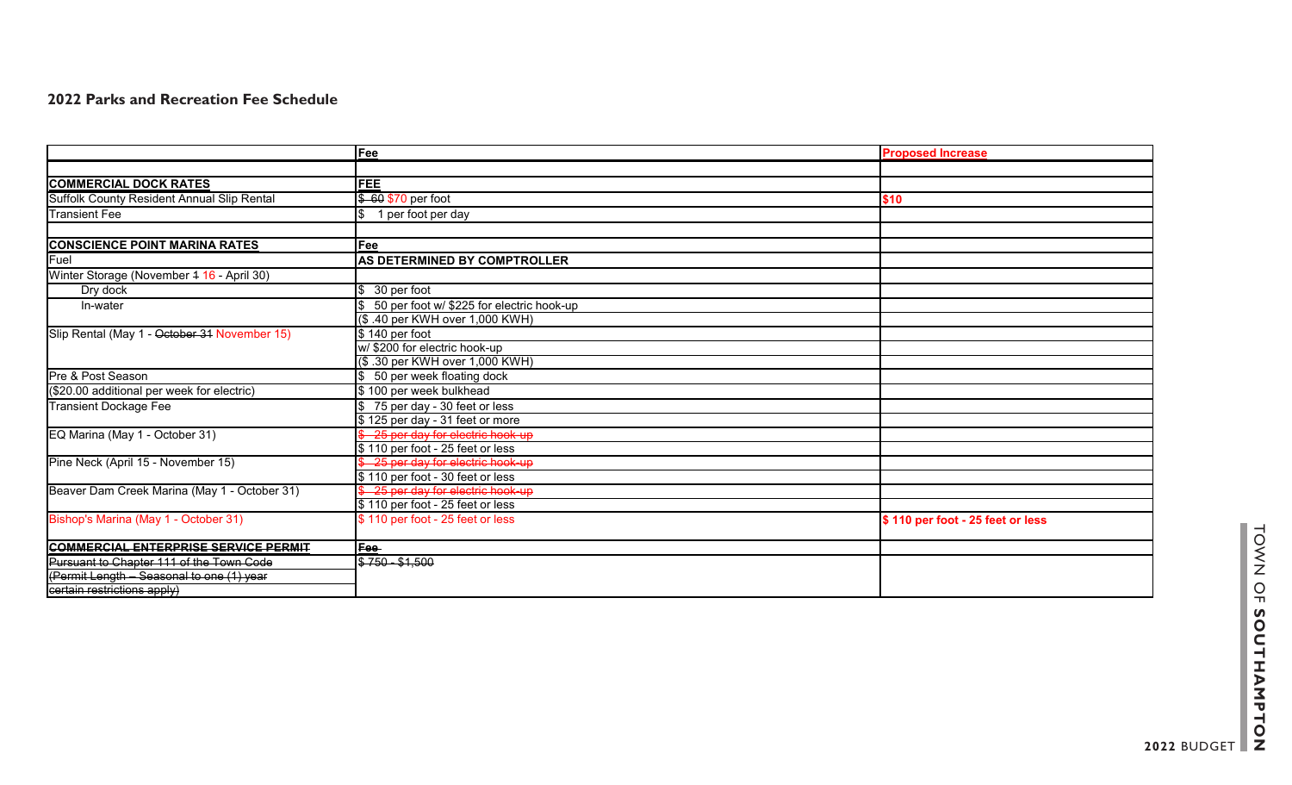### **2022 Parks and Recreation Fee Schedule**

|                                                   | Fee                                           | <b>Proposed Increase</b>         |
|---------------------------------------------------|-----------------------------------------------|----------------------------------|
|                                                   |                                               |                                  |
| <b>COMMERCIAL DOCK RATES</b>                      | FEE                                           |                                  |
| <b>Suffolk County Resident Annual Slip Rental</b> | \$ 60 \$70 per foot                           | \$10                             |
| <b>Transient Fee</b>                              | \$<br>1 per foot per day                      |                                  |
|                                                   |                                               |                                  |
| <b>CONSCIENCE POINT MARINA RATES</b>              | Fee                                           |                                  |
| Fuel                                              | AS DETERMINED BY COMPTROLLER                  |                                  |
| Winter Storage (November 4 16 - April 30)         |                                               |                                  |
| Dry dock                                          | \$ 30 per foot                                |                                  |
| In-water                                          | \$ 50 per foot w/ \$225 for electric hook-up  |                                  |
|                                                   | (\$.40 per KWH over 1,000 KWH)                |                                  |
| Slip Rental (May 1 - October 31 November 15)      | $\sqrt{$}140$ per foot                        |                                  |
|                                                   | w/ \$200 for electric hook-up                 |                                  |
|                                                   | (\$.30 per KWH over 1,000 KWH)                |                                  |
| Pre & Post Season                                 | \$ 50 per week floating dock                  |                                  |
| (\$20.00 additional per week for electric)        | \$100 per week bulkhead                       |                                  |
| <b>Transient Dockage Fee</b>                      | \$75 per day - 30 feet or less                |                                  |
|                                                   | \$125 per day - 31 feet or more               |                                  |
| EQ Marina (May 1 - October 31)                    | \$25 per day for electric hook-up             |                                  |
|                                                   | \$110 per foot - 25 feet or less              |                                  |
| Pine Neck (April 15 - November 15)                | <del>\$25 per day for electric hook up</del>  |                                  |
|                                                   | \$110 per foot - 30 feet or less              |                                  |
| Beaver Dam Creek Marina (May 1 - October 31)      | <del>\$ 25 per day for electric hook-up</del> |                                  |
|                                                   | \$110 per foot - 25 feet or less              |                                  |
| Bishop's Marina (May 1 - October 31)              | \$110 per foot - 25 feet or less              | \$110 per foot - 25 feet or less |
| <b>COMMERCIAL ENTERPRISE SERVICE PERMIT</b>       | Fee-                                          |                                  |
| Pursuant to Chapter 111 of the Town Code          | $$750 - $1,500$                               |                                  |
| (Permit Length - Seasonal to one (1) year         |                                               |                                  |
| eertain restrictions apply)                       |                                               |                                  |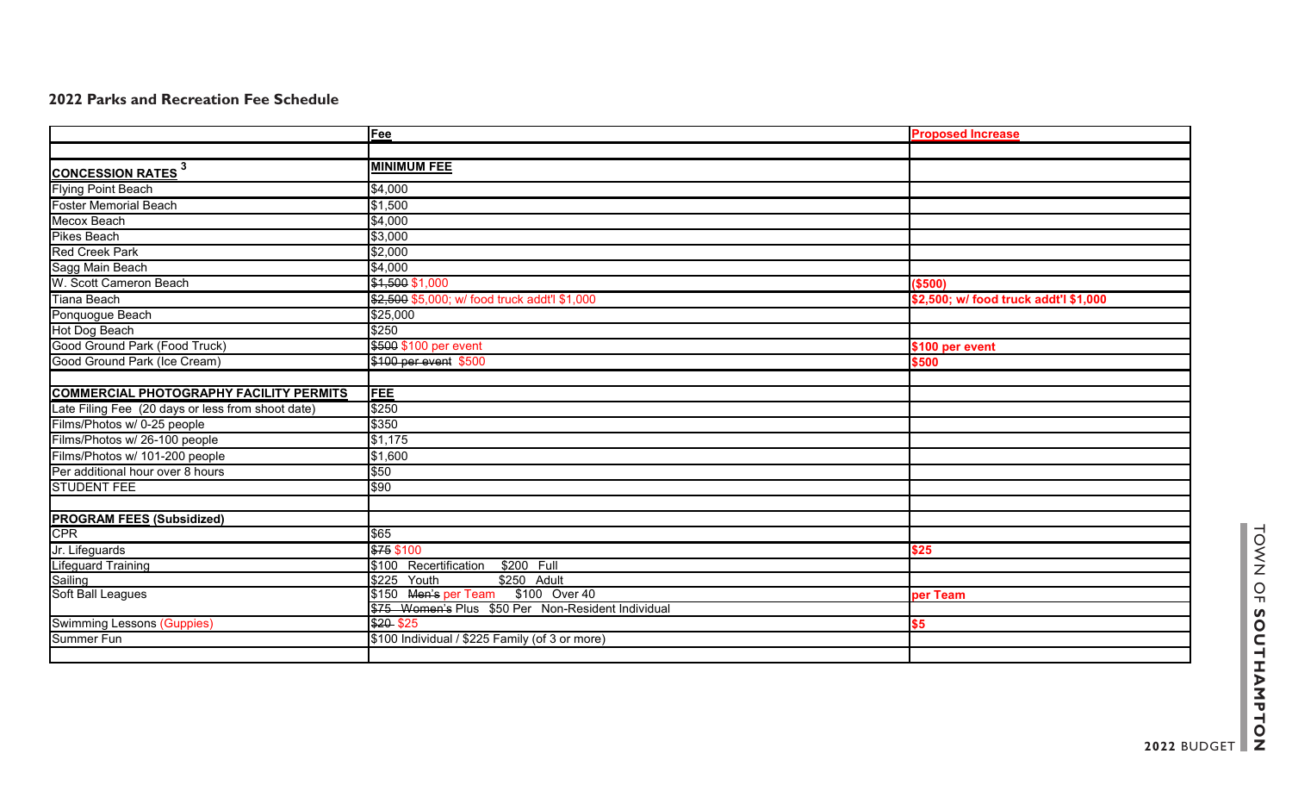|                                                        | Fee                                                | <b>Proposed Increase</b>              |             |
|--------------------------------------------------------|----------------------------------------------------|---------------------------------------|-------------|
|                                                        |                                                    |                                       |             |
| <b>CONCESSION RATES<sup>3</sup></b>                    | <b>MINIMUM FEE</b>                                 |                                       |             |
| <b>Flying Point Beach</b>                              | \$4,000                                            |                                       |             |
| <b>Foster Memorial Beach</b>                           | \$1,500                                            |                                       |             |
| Mecox Beach                                            | \$4,000                                            |                                       |             |
| <b>Pikes Beach</b>                                     | \$3,000                                            |                                       |             |
| <b>Red Creek Park</b>                                  | \$2,000                                            |                                       |             |
| Sagg Main Beach                                        | \$4,000                                            |                                       |             |
| W. Scott Cameron Beach                                 | \$1,500 \$1,000                                    | ( \$500)                              |             |
| Tiana Beach                                            | \$2,500 \$5,000; w/ food truck addt'l \$1,000      | \$2,500; w/ food truck addt'l \$1,000 |             |
| Ponquogue Beach                                        | \$25,000                                           |                                       |             |
| Hot Dog Beach                                          | \$250                                              |                                       |             |
| Good Ground Park (Food Truck)                          | \$500 \$100 per event                              | \$100 per event                       |             |
| Good Ground Park (Ice Cream)                           | \$100 per event \$500                              | \$500                                 |             |
|                                                        |                                                    |                                       |             |
| <b>COMMERCIAL PHOTOGRAPHY FACILITY PERMITS</b>         | FEE                                                |                                       |             |
| Late Filing Fee (20 days or less from shoot date)      | \$250                                              |                                       |             |
| Films/Photos w/ 0-25 people                            | \$350                                              |                                       |             |
| Films/Photos w/ 26-100 people                          | \$1,175                                            |                                       |             |
| Films/Photos w/ 101-200 people                         | \$1,600                                            |                                       |             |
| Per additional hour over 8 hours                       | \$50                                               |                                       |             |
| <b>STUDENT FEE</b>                                     | \$90                                               |                                       |             |
|                                                        |                                                    |                                       |             |
| <b>PROGRAM FEES (Subsidized)</b>                       |                                                    |                                       |             |
| <b>CPR</b>                                             | \$65                                               |                                       |             |
| Jr. Lifeguards                                         | \$75 \$100                                         | \$25                                  |             |
| <b>Lifeguard Training</b>                              | \$100 Recertification<br>\$200 Full                |                                       |             |
| Sailing                                                | \$225 Youth<br>\$250 Adult                         |                                       |             |
| Soft Ball Leagues                                      | \$150 Men's per Team \$100 Over 40                 | per Team                              |             |
|                                                        | \$75 Women's Plus \$50 Per Non-Resident Individual |                                       |             |
|                                                        |                                                    |                                       |             |
|                                                        | \$20-\$25                                          | \$5                                   |             |
| <b>Swimming Lessons (Guppies)</b><br><b>Summer Fun</b> | \$100 Individual / \$225 Family (of 3 or more)     |                                       | EXPLANATION |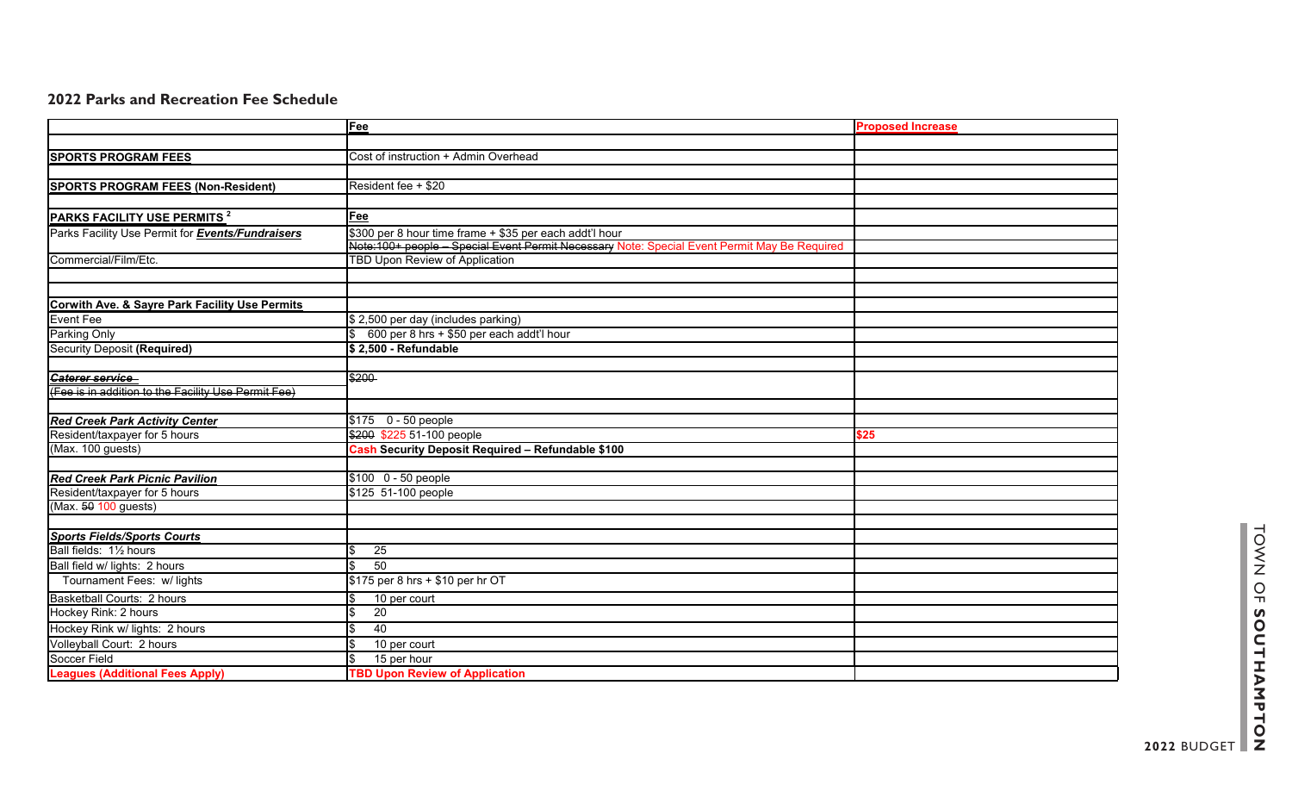|                                                           | Fee                                                                                           | <b>Proposed Increase</b> |
|-----------------------------------------------------------|-----------------------------------------------------------------------------------------------|--------------------------|
|                                                           |                                                                                               |                          |
| <b>SPORTS PROGRAM FEES</b>                                | Cost of instruction + Admin Overhead                                                          |                          |
|                                                           |                                                                                               |                          |
| <b>SPORTS PROGRAM FEES (Non-Resident)</b>                 | Resident fee + \$20                                                                           |                          |
|                                                           |                                                                                               |                          |
| PARKS FACILITY USE PERMITS <sup>2</sup>                   | Fee                                                                                           |                          |
| Parks Facility Use Permit for <b>Events/Fundraisers</b>   | \$300 per 8 hour time frame + \$35 per each addt'l hour                                       |                          |
|                                                           | Note: 100+ people - Special Event Permit Necessary Note: Special Event Permit May Be Required |                          |
| Commercial/Film/Etc.                                      | <b>TBD Upon Review of Application</b>                                                         |                          |
|                                                           |                                                                                               |                          |
|                                                           |                                                                                               |                          |
| <b>Corwith Ave. &amp; Sayre Park Facility Use Permits</b> |                                                                                               |                          |
| <b>Event Fee</b>                                          | \$2,500 per day (includes parking)                                                            |                          |
| <b>Parking Only</b>                                       | 600 per 8 hrs + \$50 per each addt'l hour<br>\$                                               |                          |
| <b>Security Deposit (Required)</b>                        | \$2,500 - Refundable                                                                          |                          |
|                                                           |                                                                                               |                          |
| <b>Caterer service</b>                                    | \$200                                                                                         |                          |
| (Fee is in addition to the Facility Use Permit Fee)       |                                                                                               |                          |
|                                                           |                                                                                               |                          |
| <b>Red Creek Park Activity Center</b>                     | $0 - 50$ people<br>\$175                                                                      |                          |
| Resident/taxpayer for 5 hours                             | \$200 \$225 51-100 people                                                                     | \$25                     |
| (Max. 100 guests)                                         | Cash Security Deposit Required - Refundable \$100                                             |                          |
|                                                           |                                                                                               |                          |
| <b>Red Creek Park Picnic Pavilion</b>                     | \$100 0 - 50 people                                                                           |                          |
| Resident/taxpayer for 5 hours                             | \$125 51-100 people                                                                           |                          |
| (Max. 50 100 guests)                                      |                                                                                               |                          |
|                                                           |                                                                                               |                          |
| <b>Sports Fields/Sports Courts</b>                        |                                                                                               |                          |
| Ball fields: 11/2 hours                                   | 25                                                                                            |                          |
| Ball field w/ lights: 2 hours                             | 50                                                                                            |                          |
| Tournament Fees: w/ lights                                | $$175$ per 8 hrs + \$10 per hr OT                                                             |                          |
| Basketball Courts: 2 hours                                | 10 per court<br>ß.                                                                            |                          |
| Hockey Rink: 2 hours                                      | 20                                                                                            |                          |
| Hockey Rink w/ lights: 2 hours                            | 40                                                                                            |                          |
| Volleyball Court: 2 hours                                 | 10 per court                                                                                  |                          |
| Soccer Field                                              | 15 per hour<br>ß.                                                                             |                          |
| <b>Leagues (Additional Fees Apply)</b>                    | <b>TBD Upon Review of Application</b>                                                         |                          |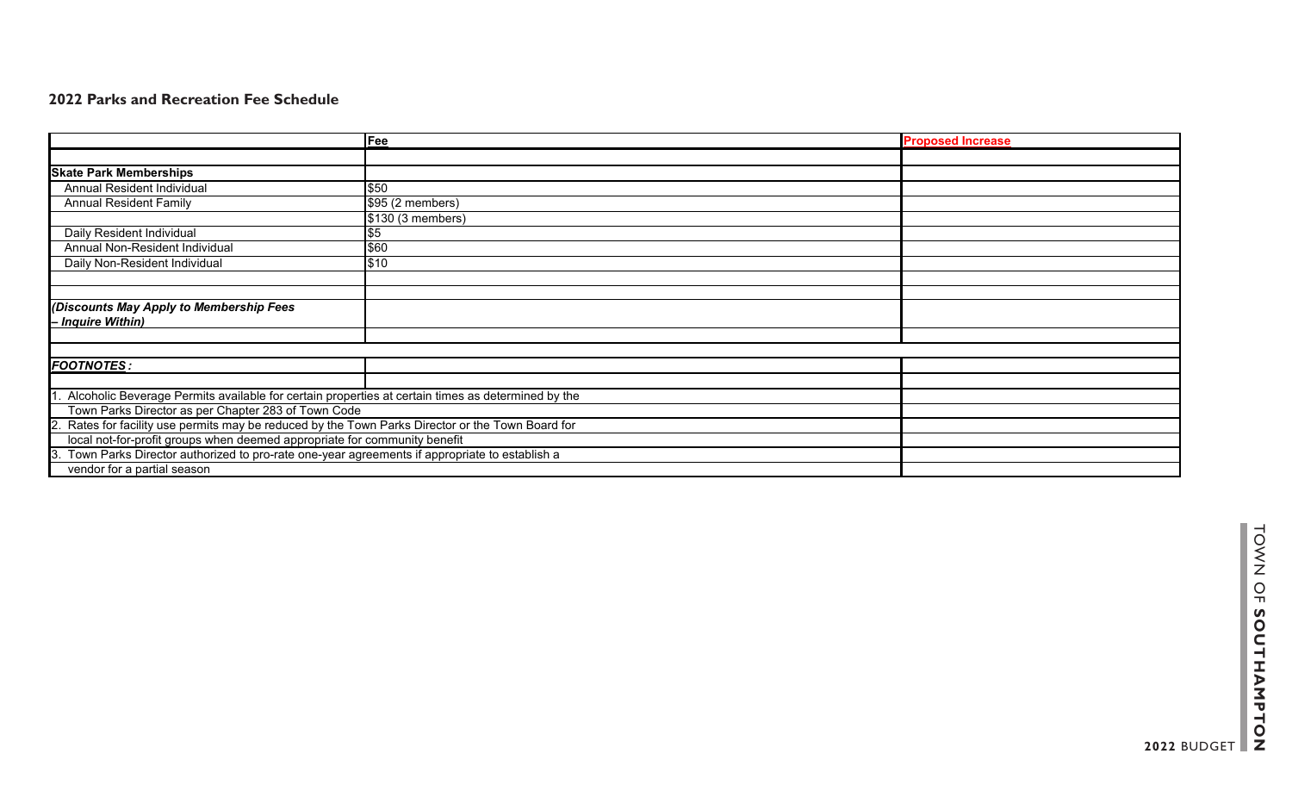|                                                                                                          | Fee               | <b>Proposed Increase</b> |
|----------------------------------------------------------------------------------------------------------|-------------------|--------------------------|
|                                                                                                          |                   |                          |
| <b>Skate Park Memberships</b>                                                                            |                   |                          |
| Annual Resident Individual                                                                               | \$50              |                          |
| <b>Annual Resident Family</b>                                                                            | \$95 (2 members)  |                          |
|                                                                                                          | \$130 (3 members) |                          |
| Daily Resident Individual                                                                                | \$5               |                          |
| Annual Non-Resident Individual                                                                           | \$60              |                          |
| Daily Non-Resident Individual                                                                            | \$10              |                          |
|                                                                                                          |                   |                          |
|                                                                                                          |                   |                          |
| (Discounts May Apply to Membership Fees                                                                  |                   |                          |
| - Inquire Within)                                                                                        |                   |                          |
|                                                                                                          |                   |                          |
|                                                                                                          |                   |                          |
| <b>FOOTNOTES:</b>                                                                                        |                   |                          |
|                                                                                                          |                   |                          |
| Alcoholic Beverage Permits available for certain properties at certain times as determined by the<br>l 1 |                   |                          |
| Town Parks Director as per Chapter 283 of Town Code                                                      |                   |                          |
| 2. Rates for facility use permits may be reduced by the Town Parks Director or the Town Board for        |                   |                          |
| local not-for-profit groups when deemed appropriate for community benefit                                |                   |                          |
| Town Parks Director authorized to pro-rate one-year agreements if appropriate to establish a<br>Ι3.      |                   |                          |
| vendor for a partial season                                                                              |                   |                          |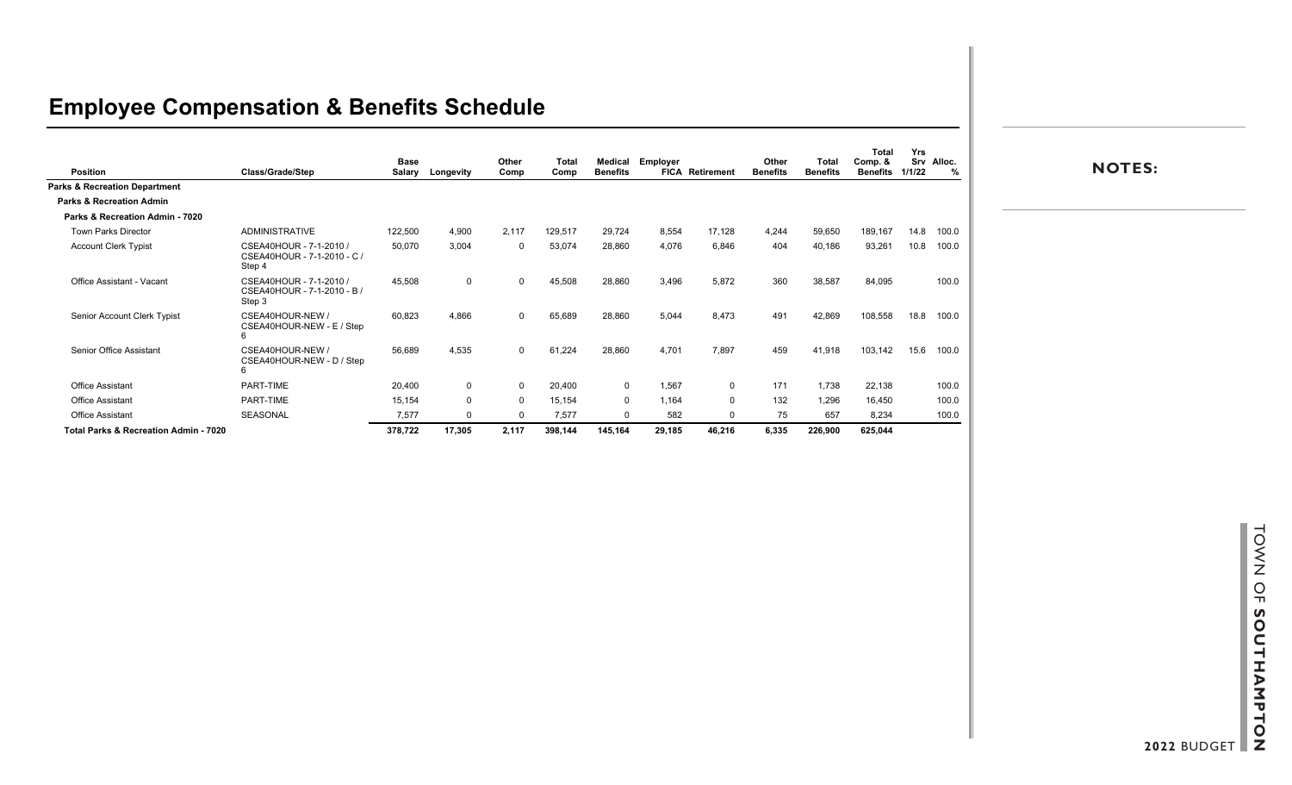|                                          |                                                                  | <b>Base</b> |             | Other    | <b>Total</b> | Medical         | Employer |                        | Other           | Total           | Total<br>Comp. & | Yrs    | Srv Alloc. |
|------------------------------------------|------------------------------------------------------------------|-------------|-------------|----------|--------------|-----------------|----------|------------------------|-----------------|-----------------|------------------|--------|------------|
| Position                                 | Class/Grade/Step                                                 | Salary      | Longevity   | Comp     | Comp         | <b>Benefits</b> |          | <b>FICA Retirement</b> | <b>Benefits</b> | <b>Benefits</b> | <b>Benefits</b>  | 1/1/22 | %          |
| <b>Parks &amp; Recreation Department</b> |                                                                  |             |             |          |              |                 |          |                        |                 |                 |                  |        |            |
| <b>Parks &amp; Recreation Admin</b>      |                                                                  |             |             |          |              |                 |          |                        |                 |                 |                  |        |            |
| Parks & Recreation Admin - 7020          |                                                                  |             |             |          |              |                 |          |                        |                 |                 |                  |        |            |
| <b>Town Parks Director</b>               | <b>ADMINISTRATIVE</b>                                            | 122,500     | 4,900       | 2,117    | 129,517      | 29,724          | 8,554    | 17,128                 | 4.244           | 59,650          | 189,167          | 14.8   | 100.0      |
| <b>Account Clerk Typist</b>              | CSEA40HOUR - 7-1-2010 /<br>CSEA40HOUR - 7-1-2010 - C /<br>Step 4 | 50,070      | 3,004       | $\Omega$ | 53,074       | 28,860          | 4,076    | 6,846                  | 404             | 40,186          | 93,261           | 10.8   | 100.0      |
| Office Assistant - Vacant                | CSEA40HOUR - 7-1-2010 /<br>CSEA40HOUR - 7-1-2010 - B /<br>Step 3 | 45,508      | 0           | $\Omega$ | 45,508       | 28,860          | 3,496    | 5,872                  | 360             | 38,587          | 84,095           |        | 100.0      |
| Senior Account Clerk Typist              | CSEA40HOUR-NEW /<br>CSEA40HOUR-NEW - E / Step<br>6               | 60,823      | 4,866       | $\Omega$ | 65,689       | 28,860          | 5,044    | 8,473                  | 491             | 42,869          | 108,558          | 18.8   | 100.0      |
| Senior Office Assistant                  | CSEA40HOUR-NEW /<br>CSEA40HOUR-NEW - D / Step<br>6               | 56,689      | 4,535       | $\Omega$ | 61,224       | 28,860          | 4,701    | 7,897                  | 459             | 41,918          | 103,142          | 15.6   | 100.0      |
| <b>Office Assistant</b>                  | PART-TIME                                                        | 20,400      | 0           | $\Omega$ | 20,400       | $\mathbf{0}$    | 1,567    | $\mathbf 0$            | 171             | 1,738           | 22,138           |        | 100.0      |
| <b>Office Assistant</b>                  | PART-TIME                                                        | 15,154      | $\mathbf 0$ | $\Omega$ | 15,154       | 0               | 1,164    | $\mathbf 0$            | 132             | 1,296           | 16,450           |        | 100.0      |
| <b>Office Assistant</b>                  | SEASONAL                                                         | 7,577       | 0           |          | 7,577        |                 | 582      | $\Omega$               | 75              | 657             | 8,234            |        | 100.0      |
| Total Parks & Recreation Admin - 7020    |                                                                  | 378,722     | 17,305      | 2,117    | 398,144      | 145,164         | 29,185   | 46,216                 | 6,335           | 226,900         | 625,044          |        |            |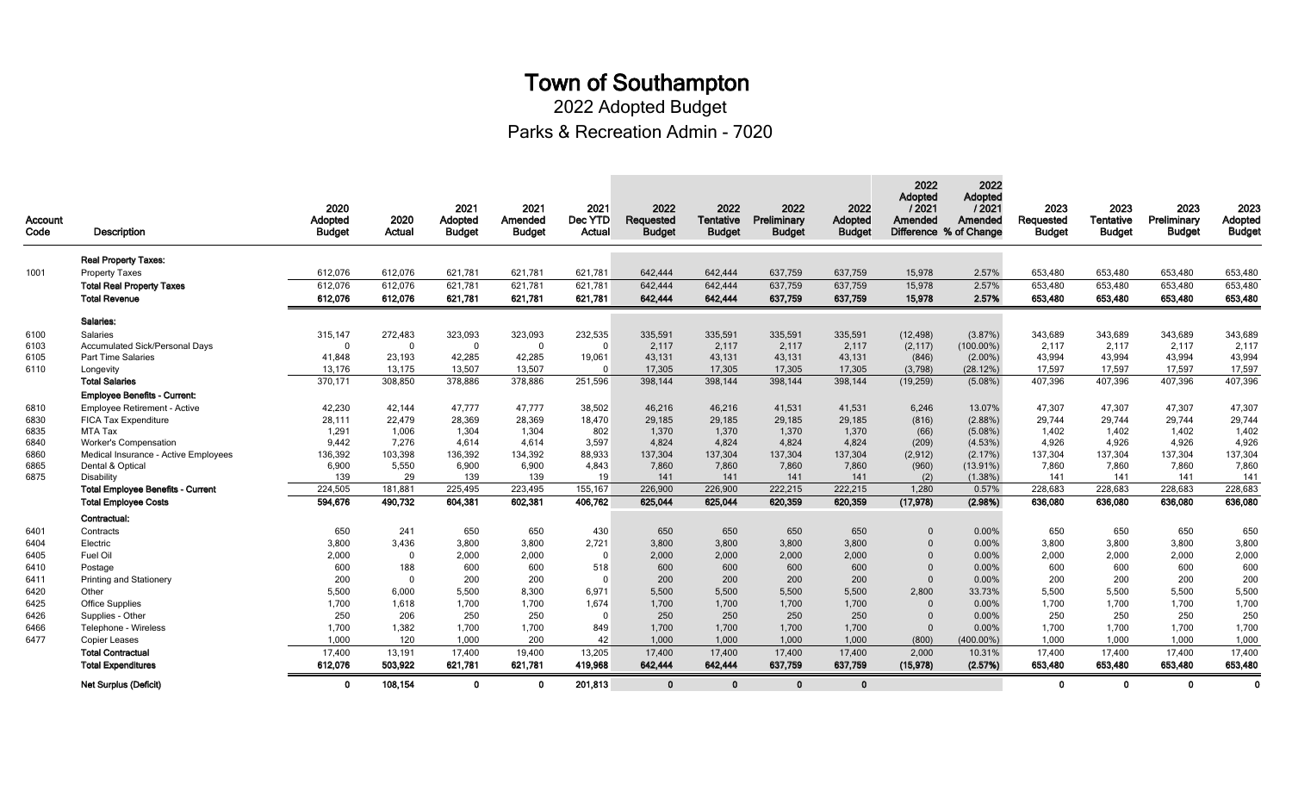2022 Adopted Budget

Parks & Recreation Admin - 7020

| Account<br>Code | <b>Description</b>                       | 2020<br>Adopted<br><b>Budget</b> | 2020<br>Actual | 2021<br>Adopted<br><b>Budget</b> | 2021<br>Amended<br><b>Budget</b> | 2021<br>Dec YTD<br>Actual | 2022<br>Requested<br><b>Budget</b> | 2022<br>Tentative<br><b>Budget</b> | 2022<br>Preliminary<br><b>Budget</b> | 2022<br>Adopted<br><b>Budget</b> | 2022<br>Adopted<br>12021<br>Amended<br>Difference % of Change | 2022<br>Adopted<br>12021<br>Amended | 2023<br>Requested<br><b>Budget</b> | 2023<br>Tentative<br><b>Budget</b> | 2023<br>Preliminary<br><b>Budget</b> | 2023<br>Adopted<br><b>Budget</b> |
|-----------------|------------------------------------------|----------------------------------|----------------|----------------------------------|----------------------------------|---------------------------|------------------------------------|------------------------------------|--------------------------------------|----------------------------------|---------------------------------------------------------------|-------------------------------------|------------------------------------|------------------------------------|--------------------------------------|----------------------------------|
|                 | <b>Real Property Taxes:</b>              |                                  |                |                                  |                                  |                           |                                    |                                    |                                      |                                  |                                                               |                                     |                                    |                                    |                                      |                                  |
| 1001            | <b>Property Taxes</b>                    | 612,076                          | 612,076        | 621,781                          | 621,781                          | 621,781                   | 642,444                            | 642,444                            | 637,759                              | 637,759                          | 15,978                                                        | 2.57%                               | 653,480                            | 653,480                            | 653,480                              | 653,480                          |
|                 | <b>Total Real Property Taxes</b>         | 612,076                          | 612,076        | 621,781                          | 621,781                          | 621,781                   | 642,444                            | 642,444                            | 637,759                              | 637,759                          | 15,978                                                        | 2.57%                               | 653,480                            | 653,480                            | 653,480                              | 653,480                          |
|                 | <b>Total Revenue</b>                     | 612,076                          | 612.076        | 621,781                          | 621,781                          | 621.781                   | 642,444                            | 642,444                            | 637,759                              | 637,759                          | 15,978                                                        | 2.57%                               | 653,480                            | 653.480                            | 653,480                              | 653,480                          |
|                 | Salaries:                                |                                  |                |                                  |                                  |                           |                                    |                                    |                                      |                                  |                                                               |                                     |                                    |                                    |                                      |                                  |
| 6100            | <b>Salaries</b>                          | 315,147                          | 272,483        | 323,093                          | 323,093                          | 232,535                   | 335,591                            | 335,591                            | 335,591                              | 335,591                          | (12, 498)                                                     | (3.87%)                             | 343,689                            | 343,689                            | 343,689                              | 343,689                          |
| 6103            | <b>Accumulated Sick/Personal Days</b>    | $\Omega$                         | $\Omega$       | $\Omega$                         | $\mathbf 0$                      | $\overline{0}$            | 2,117                              | 2,117                              | 2,117                                | 2,117                            | (2, 117)                                                      | $(100.00\%)$                        | 2,117                              | 2,117                              | 2,117                                | 2,117                            |
| 6105            | Part Time Salaries                       | 41,848                           | 23,193         | 42,285                           | 42,285                           | 19,061                    | 43,131                             | 43,131                             | 43,131                               | 43,131                           | (846)                                                         | $(2.00\%)$                          | 43,994                             | 43,994                             | 43,994                               | 43,994                           |
| 6110            | Longevity                                | 13,176                           | 13,175         | 13,507                           | 13,507                           | $\Omega$                  | 17,305                             | 17,305                             | 17,305                               | 17,305                           | (3,798)                                                       | (28.12%)                            | 17,597                             | 17,597                             | 17,597                               | 17,597                           |
|                 | <b>Total Salaries</b>                    | 370,171                          | 308,850        | 378,886                          | 378,886                          | 251,596                   | 398,144                            | 398,144                            | 398,144                              | 398,144                          | (19, 259)                                                     | $(5.08\%)$                          | 407,396                            | 407,396                            | 407,396                              | 407,396                          |
|                 | <b>Employee Benefits - Current:</b>      |                                  |                |                                  |                                  |                           |                                    |                                    |                                      |                                  |                                                               |                                     |                                    |                                    |                                      |                                  |
| 6810            | <b>Employee Retirement - Active</b>      | 42,230                           | 42,144         | 47,777                           | 47,777                           | 38,502                    | 46,216                             | 46,216                             | 41,531                               | 41,531                           | 6,246                                                         | 13.07%                              | 47,307                             | 47,307                             | 47,307                               | 47,307                           |
| 6830            | <b>FICA Tax Expenditure</b>              | 28,111                           | 22,479         | 28,369                           | 28,369                           | 18,470                    | 29,185                             | 29,185                             | 29,185                               | 29,185                           | (816)                                                         | $(2.88\%)$                          | 29,744                             | 29,744                             | 29,744                               | 29,744                           |
| 6835            | MTA Tax                                  | 1,291                            | 1,006          | 1,304                            | 1,304                            | 802                       | 1,370                              | 1,370                              | 1,370                                | 1,370                            | (66)                                                          | $(5.08\%)$                          | 1,402                              | 1,402                              | 1,402                                | 1,402                            |
| 6840            | <b>Worker's Compensation</b>             | 9,442                            | 7,276          | 4,614                            | 4,614                            | 3,597                     | 4,824                              | 4,824                              | 4,824                                | 4,824                            | (209)                                                         | (4.53%)                             | 4,926                              | 4,926                              | 4,926                                | 4,926                            |
| 6860            | Medical Insurance - Active Employees     | 136,392                          | 103,398        | 136,392                          | 134,392                          | 88,933                    | 137,304                            | 137,304                            | 137,304                              | 137,304                          | (2,912)                                                       | (2.17%)                             | 137,304                            | 137,304                            | 137,304                              | 137,304                          |
| 6865            | Dental & Optical                         | 6,900                            | 5,550          | 6,900                            | 6,900                            | 4,843                     | 7,860                              | 7,860                              | 7,860                                | 7,860                            | (960)                                                         | $(13.91\%)$                         | 7,860                              | 7,860                              | 7,860                                | 7,860                            |
| 6875            | Disability                               | 139                              | 29             | 139                              | 139                              | 19                        | 141                                | 141                                | 141                                  | 141                              | (2)                                                           | $(1.38\%)$                          | 141                                | 141                                | 141                                  | 141                              |
|                 | <b>Total Employee Benefits - Current</b> | 224,505                          | 181,881        | 225,495                          | 223,495                          | 155,167                   | 226,900                            | 226,900                            | 222,215                              | 222,215                          | 1,280                                                         | 0.57%                               | 228,683                            | 228,683                            | 228,683                              | 228,683                          |
|                 | <b>Total Employee Costs</b>              | 594,676                          | 490,732        | 604,381                          | 602,381                          | 406,762                   | 625,044                            | 625,044                            | 620,359                              | 620,359                          | (17, 978)                                                     | (2.98%)                             | 636,080                            | 636,080                            | 636,080                              | 636,080                          |
|                 | Contractual:                             |                                  |                |                                  |                                  |                           |                                    |                                    |                                      |                                  |                                                               |                                     |                                    |                                    |                                      |                                  |
| 6401            | Contracts                                | 650                              | 241            | 650                              | 650                              | 430                       | 650                                | 650                                | 650                                  | 650                              | $\Omega$                                                      | 0.00%                               | 650                                | 650                                | 650                                  | 650                              |
| 6404            | Electric                                 | 3,800                            | 3,436          | 3,800                            | 3,800                            | 2,721                     | 3,800                              | 3,800                              | 3,800                                | 3,800                            | $\Omega$                                                      | 0.00%                               | 3,800                              | 3,800                              | 3,800                                | 3,800                            |
| 6405            | Fuel Oil                                 | 2,000                            | $\Omega$       | 2,000                            | 2,000                            | $\overline{0}$            | 2,000                              | 2,000                              | 2,000                                | 2,000                            | $\Omega$                                                      | 0.00%                               | 2,000                              | 2,000                              | 2,000                                | 2,000                            |
| 6410            | Postage                                  | 600                              | 188            | 600                              | 600                              | 518                       | 600                                | 600                                | 600                                  | 600                              | $\Omega$                                                      | 0.00%                               | 600                                | 600                                | 600                                  | 600                              |
| 6411            | <b>Printing and Stationery</b>           | 200                              | $\Omega$       | 200                              | 200                              | - 0                       | 200                                | 200                                | 200                                  | 200                              | $\mathbf{0}$                                                  | 0.00%                               | 200                                | 200                                | 200                                  | 200                              |
| 6420            | Other                                    | 5,500                            | 6.000          | 5,500                            | 8.300                            | 6.971                     | 5.500                              | 5,500                              | 5,500                                | 5,500                            | 2,800                                                         | 33.73%                              | 5,500                              | 5,500                              | 5,500                                | 5,500                            |
| 6425            | <b>Office Supplies</b>                   | 1,700                            | 1,618          | 1,700                            | 1,700                            | 1,674                     | 1,700                              | 1,700                              | 1,700                                | 1,700                            | $\mathbf{0}$                                                  | 0.00%                               | 1,700                              | 1,700                              | 1,700                                | 1,700                            |
| 6426            | Supplies - Other                         | 250                              | 206            | 250                              | 250                              | $\overline{0}$            | 250                                | 250                                | 250                                  | 250                              | $\Omega$                                                      | 0.00%                               | 250                                | 250                                | 250                                  | 250                              |
| 6466            | Telephone - Wireless                     | 1,700                            | 1,382          | 1,700                            | 1,700                            | 849                       | 1,700                              | 1,700                              | 1,700                                | 1,700                            | $\mathbf{0}$                                                  | 0.00%                               | 1,700                              | 1,700                              | 1,700                                | 1,700                            |
| 6477            | <b>Copier Leases</b>                     | 1.000                            | 120            | 1,000                            | 200                              | 42                        | 1,000                              | 1,000                              | 1,000                                | 1,000                            | (800)                                                         | $(400.00\%)$                        | 1.000                              | 1,000                              | 1.000                                | 1,000                            |
|                 | <b>Total Contractual</b>                 | 17,400                           | 13,191         | 17,400                           | 19,400                           | 13,205                    | 17,400                             | 17,400                             | 17,400                               | 17,400                           | 2,000                                                         | 10.31%                              | 17,400                             | 17,400                             | 17,400                               | 17,400                           |
|                 | <b>Total Expenditures</b>                | 612,076                          | 503.922        | 621.781                          | 621.781                          | 419,968                   | 642,444                            | 642.444                            | 637,759                              | 637,759                          | (15, 978)                                                     | (2.57%)                             | 653,480                            | 653,480                            | 653,480                              | 653,480                          |
|                 | <b>Net Surplus (Deficit)</b>             | $\mathbf 0$                      | 108,154        | $\mathbf{0}$                     | 0                                | 201,813                   | $\mathbf{0}$                       | $\mathbf{0}$                       | $\bf{0}$                             | $\Omega$                         |                                                               |                                     | $\mathbf 0$                        | $\mathbf 0$                        | $\mathbf{0}$                         | $\mathbf 0$                      |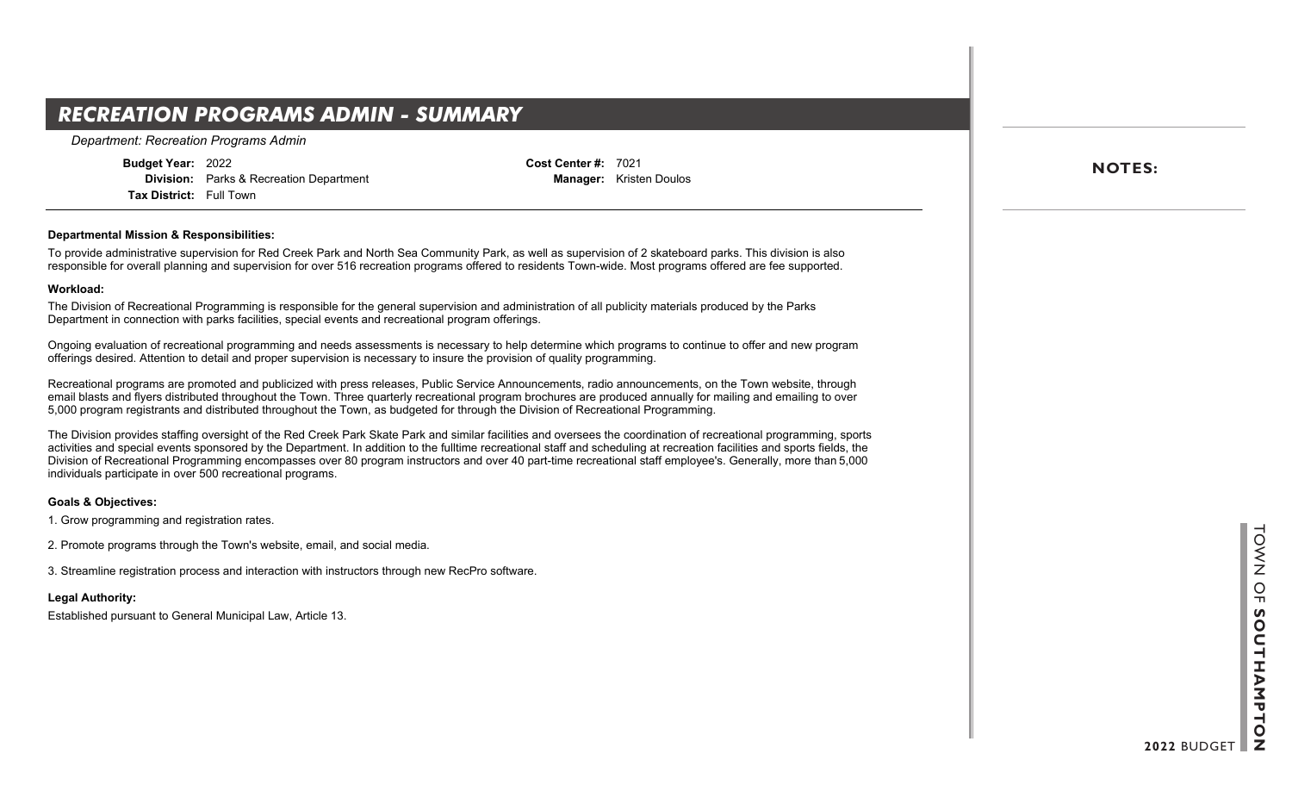## *RECREATION PROGRAMS ADMIN - SUMMARY*

*Department: Recreation Programs Admin*

**Budget Year:** 2022 **Division:** Parks & Recreation Department **Tax District:** Full Town

**Cost Center #:** 7021 **Manager:** Kristen Doulos

### **Departmental Mission & Responsibilities:**

To provide administrative supervision for Red Creek Park and North Sea Community Park, as well as supervision of 2 skateboard parks. This division is also responsible for overall planning and supervision for over 516 recreation programs offered to residents Town-wide. Most programs offered are fee supported.

#### **Workload:**

The Division of Recreational Programming is responsible for the general supervision and administration of all publicity materials produced by the Parks Department in connection with parks facilities, special events and recreational program offerings.

Ongoing evaluation of recreational programming and needs assessments is necessary to help determine which programs to continue to offer and new program offerings desired. Attention to detail and proper supervision is necessary to insure the provision of quality programming.

Recreational programs are promoted and publicized with press releases, Public Service Announcements, radio announcements, on the Town website, through email blasts and flyers distributed throughout the Town. Three quarterly recreational program brochures are produced annually for mailing and emailing to over 5,000 program registrants and distributed throughout the Town, as budgeted for through the Division of Recreational Programming.

The Division provides staffing oversight of the Red Creek Park Skate Park and similar facilities and oversees the coordination of recreational programming, sports activities and special events sponsored by the Department. In addition to the fulltime recreational staff and scheduling at recreation facilities and sports fields, the Division of Recreational Programming encompasses over 80 program instructors and over 40 part-time recreational staff employee's. Generally, more than 5,000 individuals participate in over 500 recreational programs.

### **Goals & Objectives:**

1. Grow programming and registration rates.

2. Promote programs through the Town's website, email, and social media.

3. Streamline registration process and interaction with instructors through new RecPro software.

**Legal Authority:**

Established pursuant to General Municipal Law, Article 13.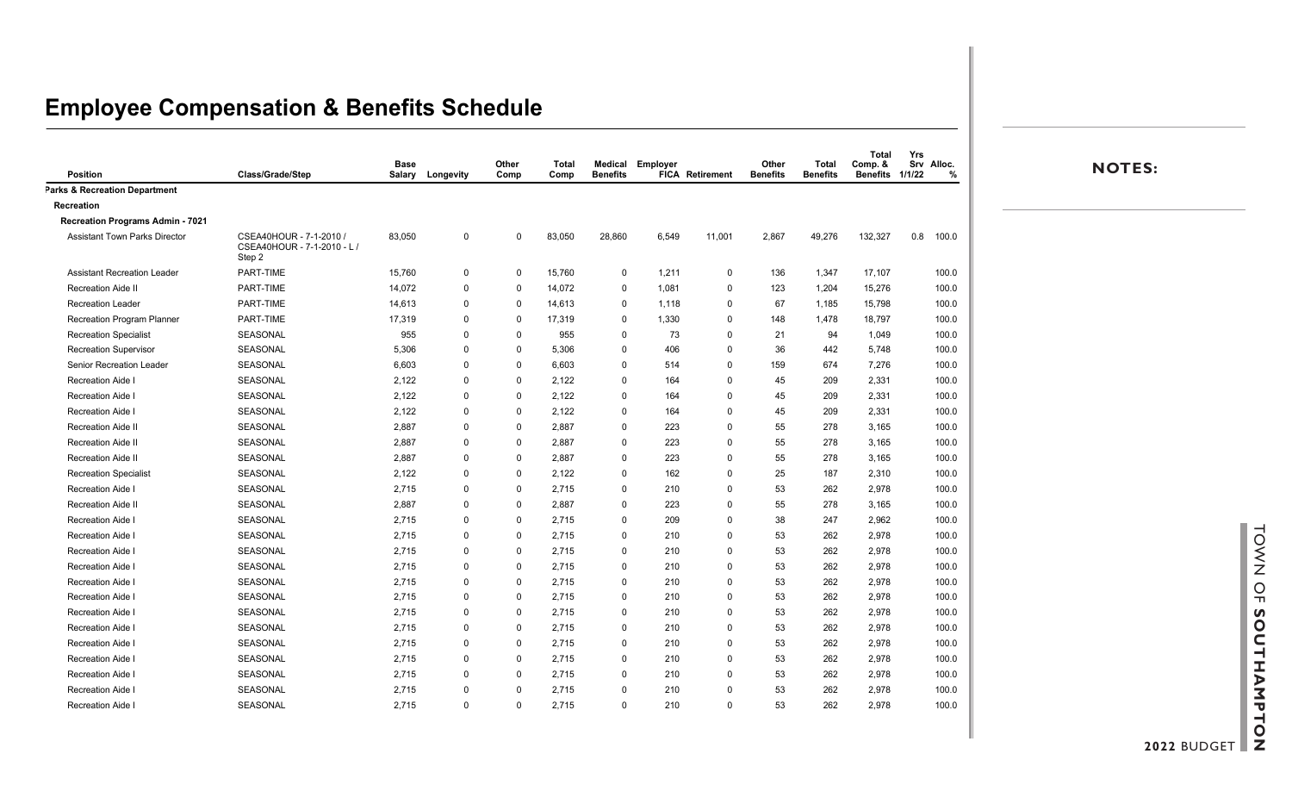| <b>Position</b>                         | Class/Grade/Step                                                 | <b>Base</b> | Salary Longevity | Other<br>Comp | Total<br>Comp | Medical<br><b>Benefits</b> | Employer | <b>FICA Retirement</b> | Other<br><b>Benefits</b> | Total<br><b>Benefits</b> | Total<br>Comp. &<br><b>Benefits</b> | Yrs<br>Srv Alloc.<br>1/1/22<br>% | <b>NOTES:</b> |
|-----------------------------------------|------------------------------------------------------------------|-------------|------------------|---------------|---------------|----------------------------|----------|------------------------|--------------------------|--------------------------|-------------------------------------|----------------------------------|---------------|
| Parks & Recreation Department           |                                                                  |             |                  |               |               |                            |          |                        |                          |                          |                                     |                                  |               |
| Recreation                              |                                                                  |             |                  |               |               |                            |          |                        |                          |                          |                                     |                                  |               |
| <b>Recreation Programs Admin - 7021</b> |                                                                  |             |                  |               |               |                            |          |                        |                          |                          |                                     |                                  |               |
| <b>Assistant Town Parks Director</b>    | CSEA40HOUR - 7-1-2010 /<br>CSEA40HOUR - 7-1-2010 - L /<br>Step 2 | 83,050      | 0                | 0             | 83,050        | 28,860                     | 6,549    | 11,001                 | 2,867                    | 49,276                   | 132,327                             | $0.8$ 100.0                      |               |
| <b>Assistant Recreation Leader</b>      | PART-TIME                                                        | 15,760      | 0                | 0             | 15,760        | $\mathbf 0$                | 1,211    | 0                      | 136                      | 1,347                    | 17,107                              | 100.0                            |               |
| <b>Recreation Aide II</b>               | PART-TIME                                                        | 14,072      | 0                | 0             | 14,072        | 0                          | 1,081    | 0                      | 123                      | 1,204                    | 15,276                              | 100.0                            |               |
| <b>Recreation Leader</b>                | PART-TIME                                                        | 14,613      | 0                | 0             | 14,613        | $\mathbf 0$                | 1,118    | 0                      | 67                       | 1,185                    | 15,798                              | 100.0                            |               |
| <b>Recreation Program Planner</b>       | PART-TIME                                                        | 17,319      | 0                | $\Omega$      | 17,319        | 0                          | 1,330    | 0                      | 148                      | 1,478                    | 18,797                              | 100.0                            |               |
| <b>Recreation Specialist</b>            | SEASONAL                                                         | 955         | 0                | 0             | 955           | $\mathbf 0$                | 73       | 0                      | 21                       | 94                       | 1,049                               | 100.0                            |               |
| <b>Recreation Supervisor</b>            | SEASONAL                                                         | 5,306       | 0                | 0             | 5,306         | $\mathbf 0$                | 406      | 0                      | 36                       | 442                      | 5,748                               | 100.0                            |               |
| Senior Recreation Leader                | SEASONAL                                                         | 6,603       | 0                | $\Omega$      | 6,603         | $\mathbf 0$                | 514      | 0                      | 159                      | 674                      | 7,276                               | 100.0                            |               |
| <b>Recreation Aide I</b>                | SEASONAL                                                         | 2,122       | 0                | 0             | 2,122         | $\mathbf 0$                | 164      | 0                      | 45                       | 209                      | 2,331                               | 100.0                            |               |
| Recreation Aide I                       | SEASONAL                                                         | 2,122       | 0                | 0             | 2,122         | $\mathbf 0$                | 164      | 0                      | 45                       | 209                      | 2,331                               | 100.0                            |               |
| Recreation Aide I                       | SEASONAL                                                         | 2,122       | 0                | 0             | 2,122         | $\mathbf 0$                | 164      | 0                      | 45                       | 209                      | 2,331                               | 100.0                            |               |
| Recreation Aide II                      | SEASONAL                                                         | 2,887       | 0                | $\Omega$      | 2,887         | 0                          | 223      | 0                      | 55                       | 278                      | 3,165                               | 100.0                            |               |
| Recreation Aide II                      | SEASONAL                                                         | 2,887       | 0                | $\Omega$      | 2,887         | 0                          | 223      | 0                      | 55                       | 278                      | 3,165                               | 100.0                            |               |
| Recreation Aide II                      | SEASONAL                                                         | 2,887       | 0                | $\Omega$      | 2,887         | 0                          | 223      | 0                      | 55                       | 278                      | 3,165                               | 100.0                            |               |
| <b>Recreation Specialist</b>            | SEASONAL                                                         | 2,122       | 0                | $\Omega$      | 2,122         | $\mathbf 0$                | 162      | 0                      | 25                       | 187                      | 2,310                               | 100.0                            |               |
| Recreation Aide I                       | SEASONAL                                                         | 2,715       | 0                | $\Omega$      | 2,715         | 0                          | 210      | 0                      | 53                       | 262                      | 2,978                               | 100.0                            |               |
| <b>Recreation Aide II</b>               | SEASONAL                                                         | 2,887       | 0                | $\Omega$      | 2,887         | $\mathbf 0$                | 223      | 0                      | 55                       | 278                      | 3,165                               | 100.0                            |               |
| Recreation Aide I                       | SEASONAL                                                         | 2,715       | 0                | $\Omega$      | 2,715         | 0                          | 209      | 0                      | 38                       | 247                      | 2,962                               | 100.0                            |               |
| <b>Recreation Aide I</b>                | SEASONAL                                                         | 2,715       | 0                | $\Omega$      | 2,715         | $\mathbf 0$                | 210      | 0                      | 53                       | 262                      | 2,978                               | 100.0                            |               |
| Recreation Aide I                       | SEASONAL                                                         | 2,715       | 0                | $\Omega$      | 2,715         | $\mathbf 0$                | 210      | 0                      | 53                       | 262                      | 2,978                               | 100.0                            |               |
| <b>Recreation Aide I</b>                | SEASONAL                                                         | 2,715       | 0                | $\Omega$      | 2,715         | $\mathbf 0$                | 210      | 0                      | 53                       | 262                      | 2,978                               | 100.0                            |               |
| <b>Recreation Aide I</b>                | SEASONAL                                                         | 2,715       | 0                | $\Omega$      | 2,715         | $\mathbf 0$                | 210      | 0                      | 53                       | 262                      | 2,978                               | 100.0                            |               |
| <b>Recreation Aide I</b>                | SEASONAL                                                         | 2,715       | 0                | $\Omega$      | 2,715         | 0                          | 210      | 0                      | 53                       | 262                      | 2,978                               | 100.0                            |               |
| <b>Recreation Aide I</b>                | SEASONAL                                                         | 2,715       | 0                | $\Omega$      | 2,715         | $\mathbf 0$                | 210      | 0                      | 53                       | 262                      | 2,978                               | 100.0                            |               |
| <b>Recreation Aide I</b>                | SEASONAL                                                         | 2,715       | 0                | $\Omega$      | 2,715         | 0                          | 210      | 0                      | 53                       | 262                      | 2,978                               | 100.0                            |               |
| <b>Recreation Aide I</b>                | <b>SEASONAL</b>                                                  | 2,715       | 0                | $\Omega$      | 2,715         | $\mathbf 0$                | 210      | 0                      | 53                       | 262                      | 2,978                               | 100.0                            |               |
| <b>Recreation Aide I</b>                | SEASONAL                                                         | 2,715       | 0                | $\Omega$      | 2,715         | $\mathbf 0$                | 210      | 0                      | 53                       | 262                      | 2,978                               | 100.0                            |               |
| <b>Recreation Aide I</b>                | SEASONAL                                                         | 2,715       | $\mathbf 0$      | $\Omega$      | 2,715         | $\mathbf 0$                | 210      | 0                      | 53                       | 262                      | 2,978                               | 100.0                            |               |
| <b>Recreation Aide I</b>                | SEASONAL                                                         | 2,715       | $\mathbf 0$      | $\Omega$      | 2,715         | $\mathbf 0$                | 210      | $\Omega$               | 53                       | 262                      | 2,978                               | 100.0                            |               |
| <b>Recreation Aide I</b>                | SEASONAL                                                         | 2,715       | $\mathbf 0$      | $\Omega$      | 2,715         | $\mathbf 0$                | 210      | $\Omega$               | 53                       | 262                      | 2,978                               | 100.0                            |               |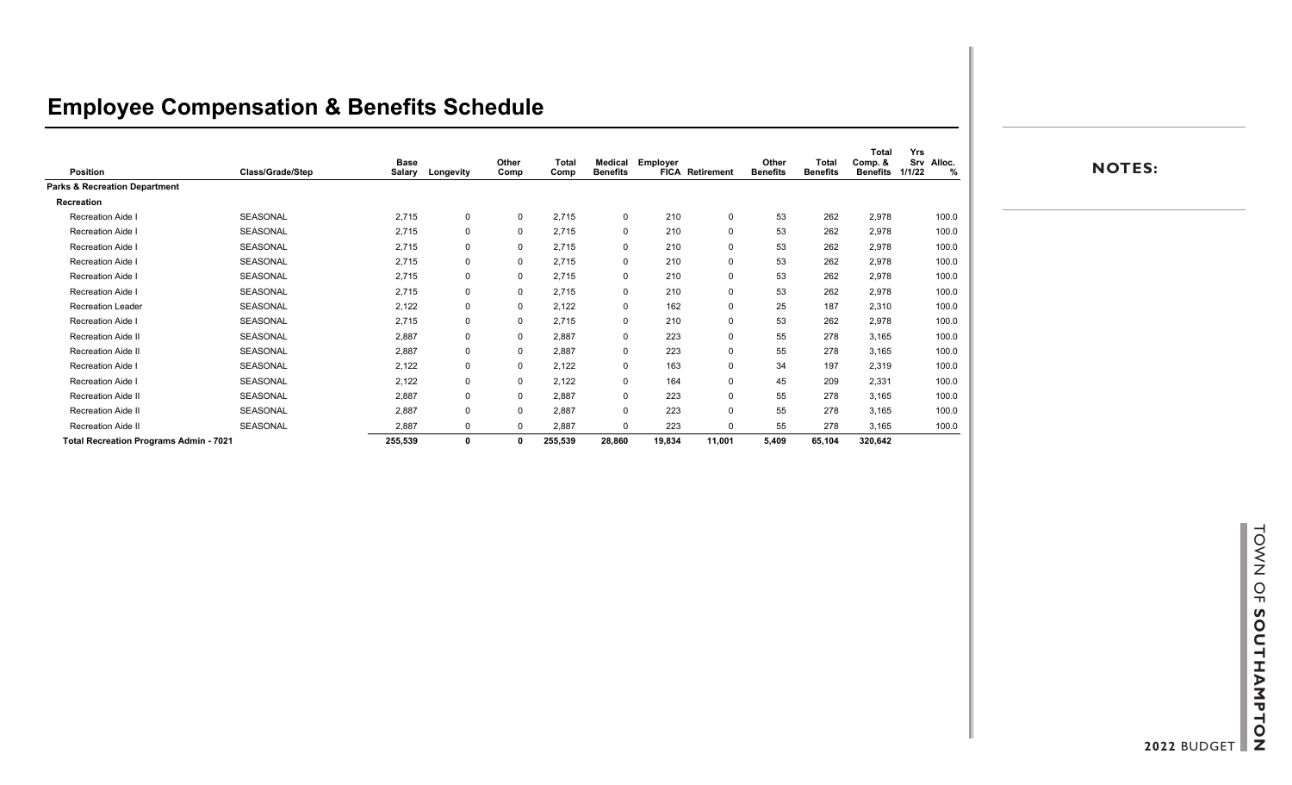|                                               |                  | Base    |             | Other        | Total   | Medical         | Employer |                        | Other    | Total           | <b>Total</b><br>Comp. & | Yrs<br>Srv Alloc. |
|-----------------------------------------------|------------------|---------|-------------|--------------|---------|-----------------|----------|------------------------|----------|-----------------|-------------------------|-------------------|
| <b>Position</b>                               | Class/Grade/Step | Salary  | Longevity   | Comp         | Comp    | <b>Benefits</b> |          | <b>FICA Retirement</b> | Benefits | <b>Benefits</b> | <b>Benefits</b>         | 1/1/22<br>%       |
| <b>Parks &amp; Recreation Department</b>      |                  |         |             |              |         |                 |          |                        |          |                 |                         |                   |
| Recreation                                    |                  |         |             |              |         |                 |          |                        |          |                 |                         |                   |
| <b>Recreation Aide I</b>                      | SEASONAL         | 2,715   | 0           | $\Omega$     | 2,715   | 0               | 210      | $\mathbf 0$            | 53       | 262             | 2,978                   | 100.0             |
| <b>Recreation Aide I</b>                      | SEASONAL         | 2,715   | 0           | 0            | 2,715   | 0               | 210      | 0                      | 53       | 262             | 2,978                   | 100.0             |
| <b>Recreation Aide I</b>                      | SEASONAL         | 2,715   | $\mathbf 0$ |              | 2,715   |                 | 210      | $\Omega$               | 53       | 262             | 2,978                   | 100.0             |
| <b>Recreation Aide I</b>                      | SEASONAL         | 2,715   | $\mathbf 0$ |              | 2,715   |                 | 210      | $\mathbf 0$            | 53       | 262             | 2,978                   | 100.0             |
| <b>Recreation Aide I</b>                      | SEASONAL         | 2,715   | $\mathbf 0$ | 0            | 2,715   | 0               | 210      | 0                      | 53       | 262             | 2,978                   | 100.0             |
| Recreation Aide I                             | SEASONAL         | 2,715   | $\mathbf 0$ |              | 2,715   |                 | 210      | $\Omega$               | 53       | 262             | 2,978                   | 100.0             |
| <b>Recreation Leader</b>                      | SEASONAL         | 2,122   | $\mathbf 0$ |              | 2,122   | 0               | 162      | $\Omega$               | 25       | 187             | 2,310                   | 100.0             |
| Recreation Aide I                             | SEASONAL         | 2,715   | $\mathbf 0$ |              | 2,715   |                 | 210      | 0                      | 53       | 262             | 2,978                   | 100.0             |
| <b>Recreation Aide II</b>                     | SEASONAL         | 2,887   | 0           |              | 2,887   |                 | 223      | $\Omega$               | 55       | 278             | 3,165                   | 100.0             |
| <b>Recreation Aide II</b>                     | SEASONAL         | 2,887   | $\mathbf 0$ |              | 2,887   |                 | 223      | $\Omega$               | 55       | 278             | 3,165                   | 100.0             |
| <b>Recreation Aide I</b>                      | SEASONAL         | 2,122   | $\mathbf 0$ |              | 2,122   |                 | 163      | $\Omega$               | 34       | 197             | 2,319                   | 100.0             |
| <b>Recreation Aide I</b>                      | SEASONAL         | 2,122   | $\mathbf 0$ | $\Omega$     | 2,122   |                 | 164      | $\mathbf 0$            | 45       | 209             | 2,331                   | 100.0             |
| <b>Recreation Aide II</b>                     | SEASONAL         | 2,887   | $\mathbf 0$ | <sup>0</sup> | 2,887   | 0               | 223      | $\Omega$               | 55       | 278             | 3,165                   | 100.0             |
| <b>Recreation Aide II</b>                     | SEASONAL         | 2,887   | $\mathbf 0$ |              | 2,887   |                 | 223      | $\Omega$               | 55       | 278             | 3,165                   | 100.0             |
| Recreation Aide II                            | SEASONAL         | 2,887   | $\mathbf 0$ |              | 2,887   |                 | 223      | $\Omega$               | 55       | 278             | 3,165                   | 100.0             |
| <b>Total Recreation Programs Admin - 7021</b> |                  | 255,539 | 0           |              | 255,539 | 28,860          | 19,834   | 11,001                 | 5,409    | 65,104          | 320,642                 |                   |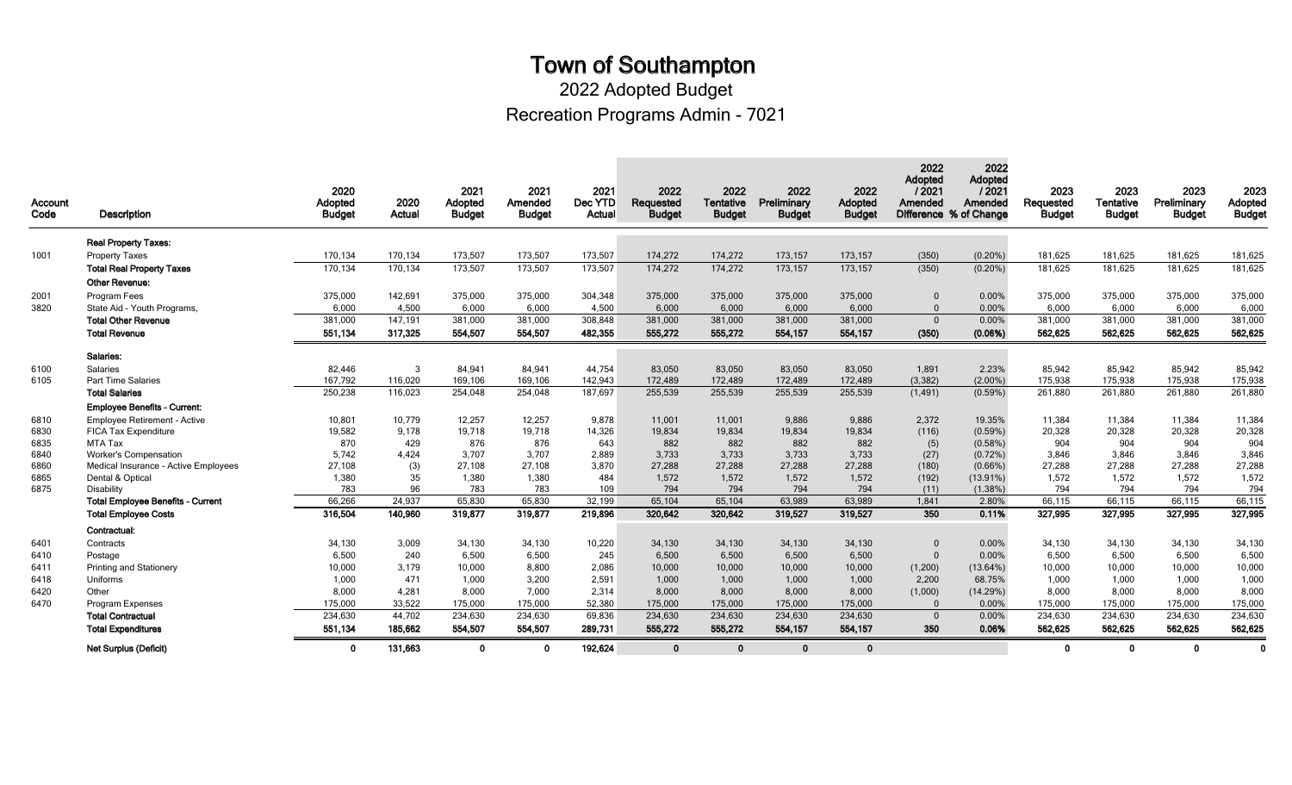2022 Adopted Budget

Recreation Programs Admin - 7021

| Account<br>Code | Description                              | 2020<br>Adopted<br><b>Budget</b> | 2020<br>Actual | 2021<br>Adopted<br><b>Budget</b> | 2021<br>Amended<br><b>Budget</b> | 2021<br>Dec YTD<br>Actual | 2022<br>Requested<br><b>Budget</b> | 2022<br>Tentative<br><b>Budget</b> | 2022<br>Preliminary<br><b>Budget</b> | 2022<br>Adopted<br><b>Budget</b> | 2022<br>Adopted<br>12021<br>Amended<br>Difference % of Change | 2022<br>Adopted<br>/ 2021<br>Amended | 2023<br>Requested<br><b>Budget</b> | 2023<br><b>Tentative</b><br><b>Budget</b> | 2023<br>Preliminary<br><b>Budget</b> | 2023<br>Adopted<br><b>Budget</b> |
|-----------------|------------------------------------------|----------------------------------|----------------|----------------------------------|----------------------------------|---------------------------|------------------------------------|------------------------------------|--------------------------------------|----------------------------------|---------------------------------------------------------------|--------------------------------------|------------------------------------|-------------------------------------------|--------------------------------------|----------------------------------|
|                 | <b>Real Property Taxes:</b>              |                                  |                |                                  |                                  |                           |                                    |                                    |                                      |                                  |                                                               |                                      |                                    |                                           |                                      |                                  |
| 1001            | <b>Property Taxes</b>                    | 170,134                          | 170,134        | 173,507                          | 173,507                          | 173,507                   | 174,272                            | 174,272                            | 173,157                              | 173,157                          | (350)                                                         | $(0.20\%)$                           | 181.625                            | 181.625                                   | 181.625                              | 181,625                          |
|                 | <b>Total Real Property Taxes</b>         | 170,134                          | 170,134        | 173,507                          | 173,507                          | 173,507                   | 174,272                            | 174,272                            | 173,157                              | 173,157                          | (350)                                                         | $(0.20\%)$                           | 181,625                            | 181,625                                   | 181,625                              | 181,625                          |
|                 | <b>Other Revenue:</b>                    |                                  |                |                                  |                                  |                           |                                    |                                    |                                      |                                  |                                                               |                                      |                                    |                                           |                                      |                                  |
| 2001            | Program Fees                             | 375,000                          | 142,691        | 375,000                          | 375,000                          | 304,348                   | 375,000                            | 375,000                            | 375,000                              | 375,000                          | $\mathbf 0$                                                   | 0.00%                                | 375,000                            | 375,000                                   | 375,000                              | 375,000                          |
| 3820            | State Aid - Youth Programs,              | 6,000                            | 4,500          | 6,000                            | 6,000                            | 4,500                     | 6,000                              | 6,000                              | 6,000                                | 6,000                            | $\mathbf{0}$                                                  | 0.00%                                | 6,000                              | 6,000                                     | 6,000                                | 6,000                            |
|                 | <b>Total Other Revenue</b>               | 381,000                          | 147,191        | 381,000                          | 381,000                          | 308,848                   | 381,000                            | 381,000                            | 381,000                              | 381,000                          | $\mathbf{0}$                                                  | 0.00%                                | 381,000                            | 381,000                                   | 381,000                              | 381,000                          |
|                 | <b>Total Revenue</b>                     | 551,134                          | 317,325        | 554,507                          | 554,507                          | 482,355                   | 555,272                            | 555,272                            | 554,157                              | 554,157                          | (350)                                                         | (0.06%)                              | 562,625                            | 562,625                                   | 562,625                              | 562,625                          |
|                 | Salaries:                                |                                  |                |                                  |                                  |                           |                                    |                                    |                                      |                                  |                                                               |                                      |                                    |                                           |                                      |                                  |
| 6100            | Salaries                                 | 82,446                           | 3              | 84,941                           | 84,941                           | 44,754                    | 83,050                             | 83,050                             | 83,050                               | 83,050                           | 1,891                                                         | 2.23%                                | 85,942                             | 85,942                                    | 85,942                               | 85,942                           |
| 6105            | Part Time Salaries                       | 167,792                          | 116,020        | 169,106                          | 169,106                          | 142,943                   | 172,489                            | 172,489                            | 172,489                              | 172,489                          | (3, 382)                                                      | $(2.00\%)$                           | 175,938                            | 175,938                                   | 175,938                              | 175,938                          |
|                 | <b>Total Salaries</b>                    | 250,238                          | 116,023        | 254,048                          | 254,048                          | 187,697                   | 255,539                            | 255,539                            | 255,539                              | 255,539                          | (1, 491)                                                      | $(0.59\%)$                           | 261,880                            | 261,880                                   | 261,880                              | 261,880                          |
|                 | <b>Employee Benefits - Current:</b>      |                                  |                |                                  |                                  |                           |                                    |                                    |                                      |                                  |                                                               |                                      |                                    |                                           |                                      |                                  |
| 6810            | <b>Employee Retirement - Active</b>      | 10,801                           | 10,779         | 12,257                           | 12,257                           | 9,878                     | 11,001                             | 11,001                             | 9,886                                | 9,886                            | 2,372                                                         | 19.35%                               | 11,384                             | 11,384                                    | 11,384                               | 11,384                           |
| 6830            | <b>FICA Tax Expenditure</b>              | 19,582                           | 9,178          | 19,718                           | 19,718                           | 14,326                    | 19,834                             | 19,834                             | 19,834                               | 19,834                           | (116)                                                         | $(0.59\%)$                           | 20,328                             | 20,328                                    | 20,328                               | 20,328                           |
| 6835            | MTA Tax                                  | 870                              | 429            | 876                              | 876                              | 643                       | 882                                | 882                                | 882                                  | 882                              | (5)                                                           | (0.58%)                              | 904                                | 904                                       | 904                                  | 904                              |
| 6840            | <b>Worker's Compensation</b>             | 5,742                            | 4,424          | 3,707                            | 3,707                            | 2,889                     | 3,733                              | 3,733                              | 3,733                                | 3,733                            | (27)                                                          | $(0.72\%)$                           | 3,846                              | 3,846                                     | 3,846                                | 3,846                            |
| 6860            | Medical Insurance - Active Employees     | 27,108                           | (3)            | 27,108                           | 27,108                           | 3,870                     | 27,288                             | 27,288                             | 27,288                               | 27,288                           | (180)                                                         | $(0.66\%)$                           | 27,288                             | 27,288                                    | 27,288                               | 27,288                           |
| 6865<br>6875    | Dental & Optical<br>Disability           | 1,380<br>783                     | 35<br>96       | 1,380<br>783                     | 1,380<br>783                     | 484<br>109                | 1,572<br>794                       | 1,572<br>794                       | 1,572<br>794                         | 1,572<br>794                     | (192)<br>(11)                                                 | $(13.91\%)$<br>$(1.38\%)$            | 1,572<br>794                       | 1,572<br>794                              | 1,572<br>794                         | 1,572<br>794                     |
|                 | <b>Total Employee Benefits - Current</b> | 66,266                           | 24,937         | 65,830                           | 65.830                           | 32,199                    | 65,104                             | 65,104                             | 63,989                               | 63,989                           | 1,841                                                         | 2.80%                                | 66,115                             | 66,115                                    | 66,115                               | 66,115                           |
|                 | <b>Total Employee Costs</b>              | 316,504                          | 140,960        | 319,877                          | 319,877                          | 219,896                   | 320,642                            | 320,642                            | 319,527                              | 319,527                          | 350                                                           | 0.11%                                | 327,995                            | 327,995                                   | 327,995                              | 327,995                          |
|                 | Contractual:                             |                                  |                |                                  |                                  |                           |                                    |                                    |                                      |                                  |                                                               |                                      |                                    |                                           |                                      |                                  |
| 6401            | Contracts                                | 34,130                           | 3,009          | 34.130                           | 34,130                           | 10,220                    | 34,130                             | 34,130                             | 34,130                               | 34,130                           | $\mathbf{0}$                                                  | 0.00%                                | 34,130                             | 34,130                                    | 34,130                               | 34,130                           |
| 6410            | Postage                                  | 6,500                            | 240            | 6,500                            | 6,500                            | 245                       | 6,500                              | 6,500                              | 6,500                                | 6,500                            | $\Omega$                                                      | 0.00%                                | 6,500                              | 6,500                                     | 6,500                                | 6,500                            |
| 6411            | <b>Printing and Stationery</b>           | 10,000                           | 3,179          | 10,000                           | 8,800                            | 2,086                     | 10,000                             | 10,000                             | 10,000                               | 10,000                           | (1,200)                                                       | $(13.64\%)$                          | 10,000                             | 10,000                                    | 10,000                               | 10,000                           |
| 6418            | Uniforms                                 | 1,000                            | 471            | 1.000                            | 3.200                            | 2,591                     | 1.000                              | 1.000                              | 1.000                                | 1.000                            | 2,200                                                         | 68.75%                               | 1.000                              | 1.000                                     | 1.000                                | 1,000                            |
| 6420            | Other                                    | 8,000                            | 4,281          | 8,000                            | 7,000                            | 2,314                     | 8,000                              | 8,000                              | 8,000                                | 8,000                            | (1,000)                                                       | (14.29%)                             | 8,000                              | 8,000                                     | 8,000                                | 8,000                            |
| 6470            | <b>Program Expenses</b>                  | 175,000                          | 33,522         | 175,000                          | 175,000                          | 52,380                    | 175,000                            | 175,000                            | 175,000                              | 175,000                          | $\mathbf{0}$                                                  | 0.00%                                | 175,000                            | 175,000                                   | 175,000                              | 175,000                          |
|                 | <b>Total Contractual</b>                 | 234,630                          | 44,702         | 234,630                          | 234,630                          | 69,836                    | 234,630                            | 234,630                            | 234,630                              | 234,630                          | $\mathbf{0}$                                                  | 0.00%                                | 234,630                            | 234,630                                   | 234,630                              | 234,630                          |
|                 | <b>Total Expenditures</b>                | 551,134                          | 185.662        | 554,507                          | 554,507                          | 289,731                   | 555,272                            | 555,272                            | 554,157                              | 554,157                          | 350                                                           | 0.06%                                | 562,625                            | 562,625                                   | 562,625                              | 562,625                          |
|                 | Net Surplus (Deficit)                    | $\bf{0}$                         | 131,663        | $\Omega$                         | 0                                | 192,624                   | $\mathbf{0}$                       | $\mathbf 0$                        | $\mathbf{0}$                         | $\mathbf{0}$                     |                                                               |                                      | $\mathbf 0$                        | $\Omega$                                  | $\mathbf 0$                          | 0                                |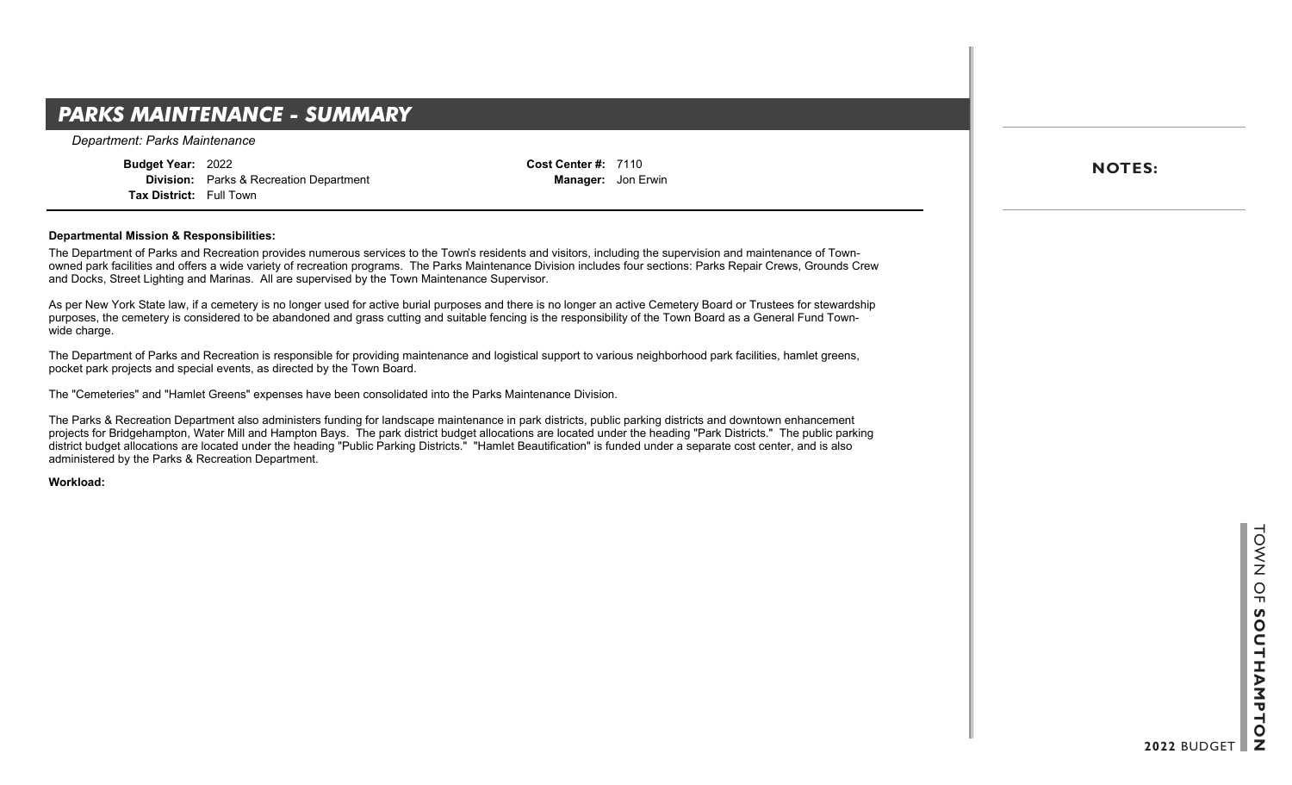## **PARKS MAINTENANCE - SUMMARY**

*Department: Parks Maintenance*

**Budget Year:** 2022 **Division:** Parks & Recreation Department **Tax District:** Full Town

**Cost Center #:** 7110 **Manager:** Jon Erwin

#### **Departmental Mission & Responsibilities:**

The Department of Parks and Recreation provides numerous services to the Town's residents and visitors, including the supervision and maintenance of Townowned park facilities and offers a wide variety of recreation programs. The Parks Maintenance Division includes four sections: Parks Repair Crews, Grounds Crew and Docks, Street Lighting and Marinas. All are supervised by the Town Maintenance Supervisor.

As per New York State law, if a cemetery is no longer used for active burial purposes and there is no longer an active Cemetery Board or Trustees for stewardship purposes, the cemetery is considered to be abandoned and grass cutting and suitable fencing is the responsibility of the Town Board as a General Fund Townwide charge.

The Department of Parks and Recreation is responsible for providing maintenance and logistical support to various neighborhood park facilities, hamlet greens, pocket park projects and special events, as directed by the Town Board.

The "Cemeteries" and "Hamlet Greens" expenses have been consolidated into the Parks Maintenance Division.

The Parks & Recreation Department also administers funding for landscape maintenance in park districts, public parking districts and downtown enhancement projects for Bridgehampton, Water Mill and Hampton Bays. The park district budget allocations are located under the heading "Park Districts." The public parking district budget allocations are located under the heading "Public Parking Districts." "Hamlet Beautification" is funded under a separate cost center, and is also administered by the Parks & Recreation Department.

**Workload:**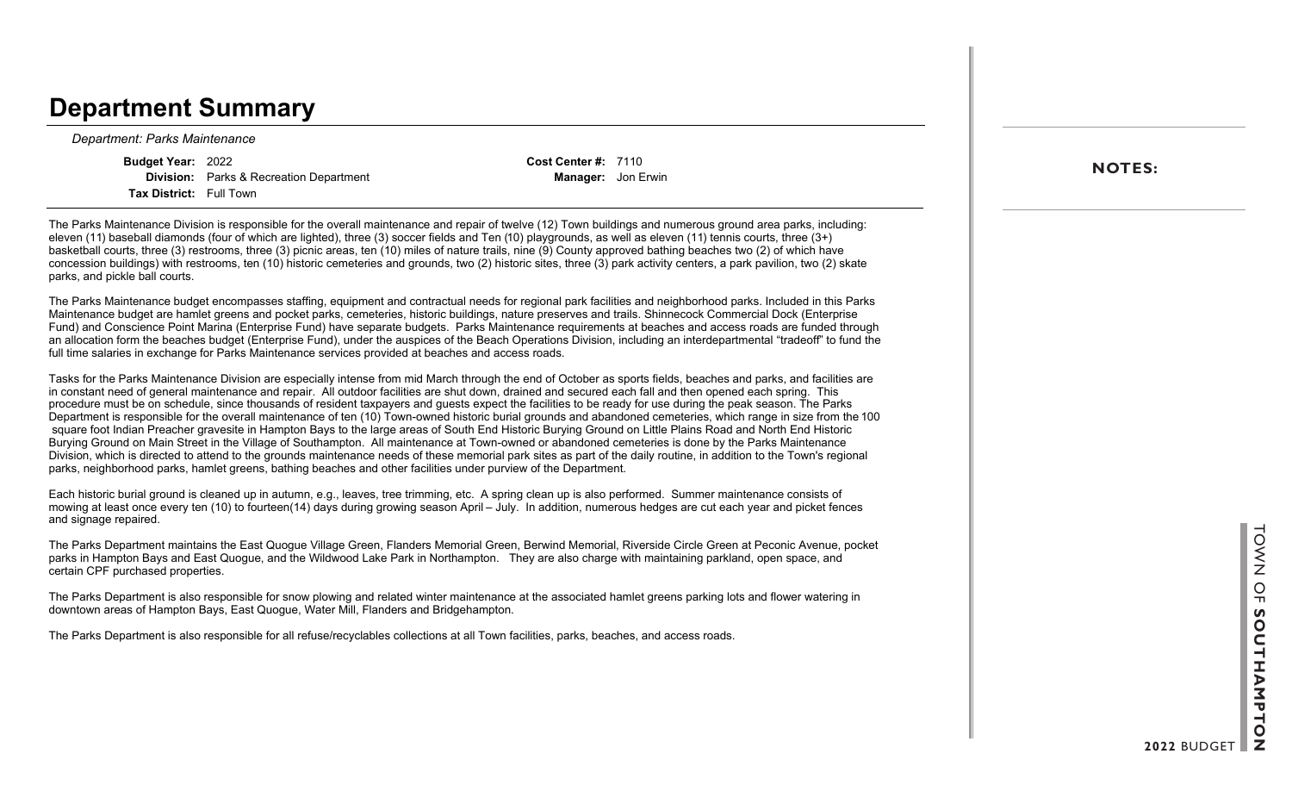## **Department Summary**

*Department: Parks Maintenance*

**Budget Year:** 2022 **Division:** Parks & Recreation Department **Tax District:** Full Town

**Cost Center #:** 7110 **Manager:** Jon Erwin

The Parks Maintenance Division is responsible for the overall maintenance and repair of twelve (12) Town buildings and numerous ground area parks, including: eleven (11) baseball diamonds (four of which are lighted), three (3) soccer fields and Ten (10) playgrounds, as well as eleven (11) tennis courts, three (3+) basketball courts, three (3) restrooms, three (3) picnic areas, ten (10) miles of nature trails, nine (9) County approved bathing beaches two (2) of which have concession buildings) with restrooms, ten (10) historic cemeteries and grounds, two (2) historic sites, three (3) park activity centers, a park pavilion, two (2) skate parks, and pickle ball courts.

The Parks Maintenance budget encompasses staffing, equipment and contractual needs for regional park facilities and neighborhood parks. Included in this Parks Maintenance budget are hamlet greens and pocket parks, cemeteries, historic buildings, nature preserves and trails. Shinnecock Commercial Dock (Enterprise Fund) and Conscience Point Marina (Enterprise Fund) have separate budgets. Parks Maintenance requirements at beaches and access roads are funded through an allocation form the beaches budget (Enterprise Fund), under the auspices of the Beach Operations Division, including an interdepartmental "tradeoff" to fund the full time salaries in exchange for Parks Maintenance services provided at beaches and access roads.

Tasks for the Parks Maintenance Division are especially intense from mid March through the end of October as sports fields, beaches and parks, and facilities are in constant need of general maintenance and repair. All outdoor facilities are shut down, drained and secured each fall and then opened each spring. This procedure must be on schedule, since thousands of resident taxpayers and guests expect the facilities to be ready for use during the peak season. The Parks Department is responsible for the overall maintenance of ten (10) Town-owned historic burial grounds and abandoned cemeteries, which range in size from the 100 square foot Indian Preacher gravesite in Hampton Bays to the large areas of South End Historic Burying Ground on Little Plains Road and North End Historic Burying Ground on Main Street in the Village of Southampton. All maintenance at Town-owned or abandoned cemeteries is done by the Parks Maintenance Division, which is directed to attend to the grounds maintenance needs of these memorial park sites as part of the daily routine, in addition to the Town's regional parks, neighborhood parks, hamlet greens, bathing beaches and other facilities under purview of the Department.

Each historic burial ground is cleaned up in autumn, e.g., leaves, tree trimming, etc. A spring clean up is also performed. Summer maintenance consists of mowing at least once every ten (10) to fourteen(14) days during growing season April – July. In addition, numerous hedges are cut each year and picket fences and signage repaired.

The Parks Department maintains the East Quogue Village Green, Flanders Memorial Green, Berwind Memorial, Riverside Circle Green at Peconic Avenue, pocket parks in Hampton Bays and East Quogue, and the Wildwood Lake Park in Northampton. They are also charge with maintaining parkland, open space, and certain CPF purchased properties.

The Parks Department is also responsible for snow plowing and related winter maintenance at the associated hamlet greens parking lots and flower watering in downtown areas of Hampton Bays, East Quogue, Water Mill, Flanders and Bridgehampton.

The Parks Department is also responsible for all refuse/recyclables collections at all Town facilities, parks, beaches, and access roads.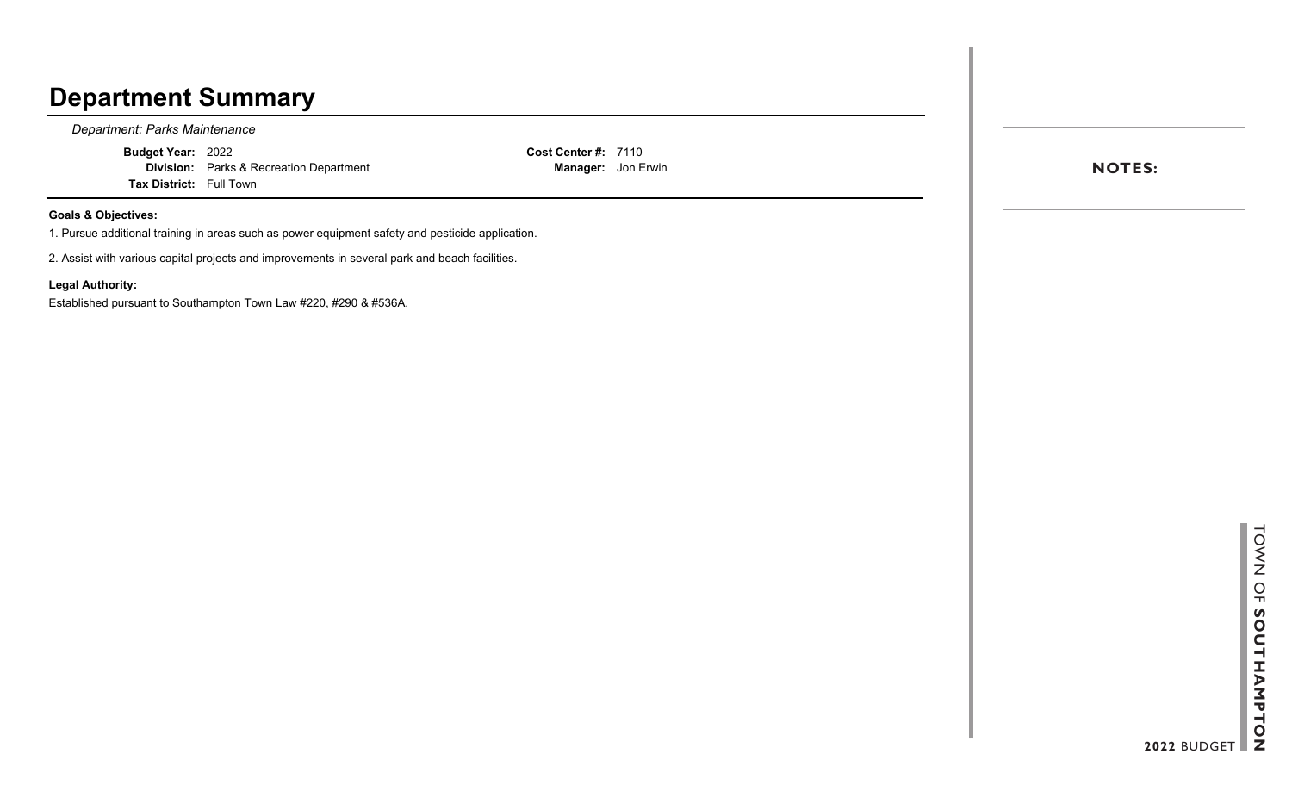# **Department Summary**

*Department: Parks Maintenance*

**Budget Year:** 2022 **Division:** Parks & Recreation Department **Tax District:** Full Town

**Cost Center #:** 7110 **Manager:** Jon Erwin

### **Goals & Objectives:**

1. Pursue additional training in areas such as power equipment safety and pesticide application.

2. Assist with various capital projects and improvements in several park and beach facilities.

### **Legal Authority:**

Established pursuant to Southampton Town Law #220, #290 & #536A.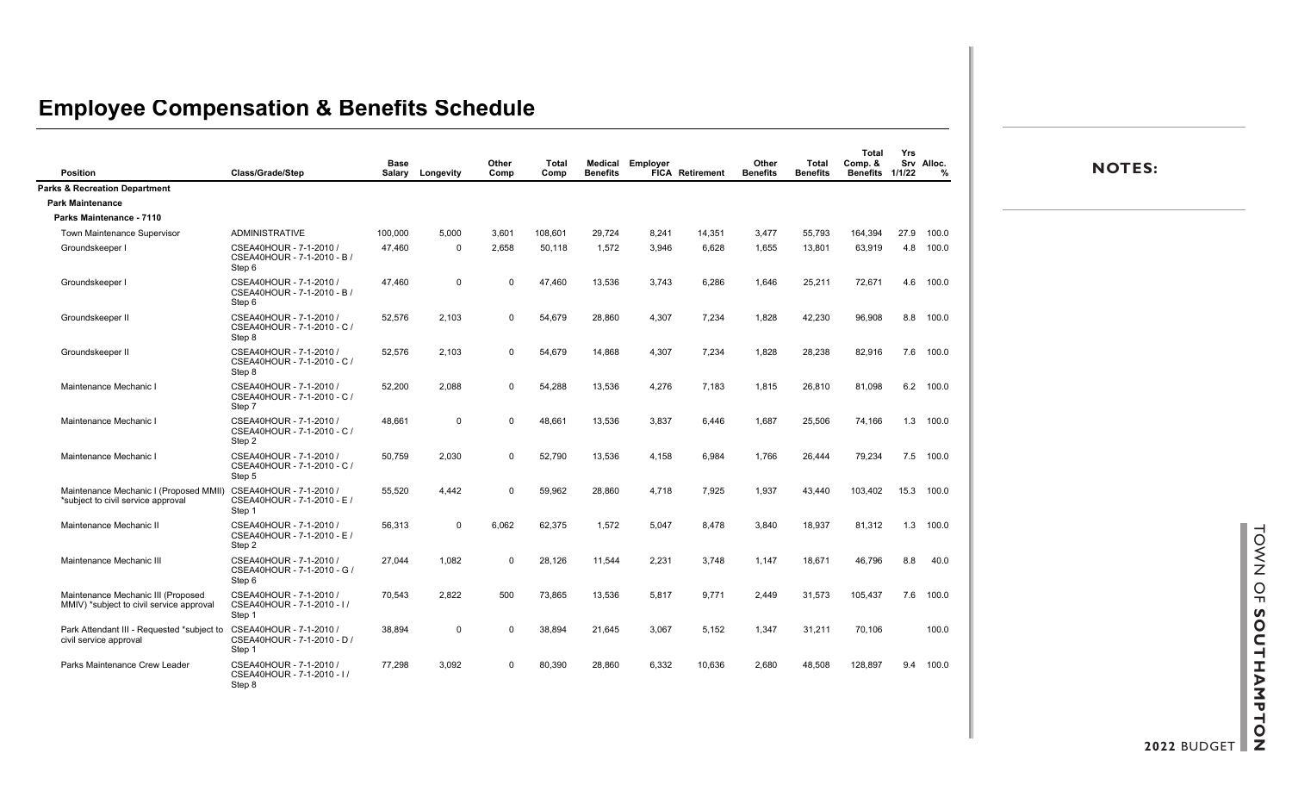|                                                                                |                                                                  |                |           |               |                      |                 |                         |                        |                          |                          | <b>Total</b>               | Yrs  |                             |               |
|--------------------------------------------------------------------------------|------------------------------------------------------------------|----------------|-----------|---------------|----------------------|-----------------|-------------------------|------------------------|--------------------------|--------------------------|----------------------------|------|-----------------------------|---------------|
| <b>Position</b>                                                                | Class/Grade/Step                                                 | Base<br>Salary | Longevity | Other<br>Comp | <b>Total</b><br>Comp | <b>Benefits</b> | <b>Medical Employer</b> | <b>FICA Retirement</b> | Other<br><b>Benefits</b> | Total<br><b>Benefits</b> | Comp. &<br>Benefits 1/1/22 |      | Srv Alloc.<br>$\frac{9}{6}$ | <b>NOTES:</b> |
| <b>Parks &amp; Recreation Department</b>                                       |                                                                  |                |           |               |                      |                 |                         |                        |                          |                          |                            |      |                             |               |
| <b>Park Maintenance</b>                                                        |                                                                  |                |           |               |                      |                 |                         |                        |                          |                          |                            |      |                             |               |
| Parks Maintenance - 7110                                                       |                                                                  |                |           |               |                      |                 |                         |                        |                          |                          |                            |      |                             |               |
| Town Maintenance Supervisor                                                    | <b>ADMINISTRATIVE</b>                                            | 100,000        | 5,000     | 3,601         | 108,601              | 29,724          | 8,241                   | 14,351                 | 3,477                    | 55,793                   | 164,394                    | 27.9 | 100.0                       |               |
| Groundskeeper I                                                                | CSEA40HOUR - 7-1-2010 /<br>CSEA40HOUR - 7-1-2010 - B /<br>Step 6 | 47.460         | 0         | 2,658         | 50,118               | 1,572           | 3,946                   | 6,628                  | 1,655                    | 13,801                   | 63,919                     | 4.8  | 100.0                       |               |
| Groundskeeper I                                                                | CSEA40HOUR - 7-1-2010 /<br>CSEA40HOUR - 7-1-2010 - B /<br>Step 6 | 47,460         | 0         | $\Omega$      | 47,460               | 13,536          | 3,743                   | 6,286                  | 1,646                    | 25,211                   | 72,671                     | 4.6  | 100.0                       |               |
| Groundskeeper II                                                               | CSEA40HOUR - 7-1-2010 /<br>CSEA40HOUR - 7-1-2010 - C /<br>Step 8 | 52,576         | 2,103     | $\Omega$      | 54,679               | 28,860          | 4,307                   | 7,234                  | 1,828                    | 42,230                   | 96,908                     | 8.8  | 100.0                       |               |
| Groundskeeper II                                                               | CSEA40HOUR - 7-1-2010 /<br>CSEA40HOUR - 7-1-2010 - C /<br>Step 8 | 52,576         | 2,103     | 0             | 54,679               | 14,868          | 4,307                   | 7,234                  | 1,828                    | 28,238                   | 82,916                     | 7.6  | 100.0                       |               |
| Maintenance Mechanic I                                                         | CSEA40HOUR - 7-1-2010 /<br>CSEA40HOUR - 7-1-2010 - C /<br>Step 7 | 52,200         | 2,088     | $\Omega$      | 54,288               | 13,536          | 4,276                   | 7,183                  | 1,815                    | 26,810                   | 81,098                     |      | 6.2 100.0                   |               |
| Maintenance Mechanic I                                                         | CSEA40HOUR - 7-1-2010 /<br>CSEA40HOUR - 7-1-2010 - C /<br>Step 2 | 48,661         | 0         | 0             | 48,661               | 13,536          | 3,837                   | 6,446                  | 1,687                    | 25,506                   | 74,166                     | 1.3  | 100.0                       |               |
| Maintenance Mechanic I                                                         | CSEA40HOUR - 7-1-2010 /<br>CSEA40HOUR - 7-1-2010 - C /<br>Step 5 | 50,759         | 2,030     | $\mathbf 0$   | 52,790               | 13,536          | 4,158                   | 6,984                  | 1,766                    | 26,444                   | 79,234                     | 7.5  | 100.0                       |               |
| Maintenance Mechanic I (Proposed MMII)<br>*subject to civil service approval   | CSEA40HOUR - 7-1-2010 /<br>CSEA40HOUR - 7-1-2010 - E /<br>Step 1 | 55,520         | 4,442     | 0             | 59,962               | 28,860          | 4,718                   | 7,925                  | 1,937                    | 43,440                   | 103,402                    | 15.3 | 100.0                       |               |
| Maintenance Mechanic II                                                        | CSEA40HOUR - 7-1-2010 /<br>CSEA40HOUR - 7-1-2010 - E /<br>Step 2 | 56,313         | 0         | 6,062         | 62,375               | 1,572           | 5,047                   | 8,478                  | 3,840                    | 18,937                   | 81,312                     | 1.3  | 100.0                       |               |
| Maintenance Mechanic III                                                       | CSEA40HOUR - 7-1-2010 /<br>CSEA40HOUR - 7-1-2010 - G /<br>Step 6 | 27,044         | 1,082     | 0             | 28,126               | 11,544          | 2,231                   | 3,748                  | 1,147                    | 18,671                   | 46,796                     | 8.8  | 40.0                        |               |
| Maintenance Mechanic III (Proposed<br>MMIV) *subject to civil service approval | CSEA40HOUR - 7-1-2010 /<br>CSEA40HOUR - 7-1-2010 - I /<br>Step 1 | 70,543         | 2,822     | 500           | 73,865               | 13,536          | 5,817                   | 9,771                  | 2,449                    | 31,573                   | 105,437                    | 7.6  | 100.0                       |               |
| Park Attendant III - Requested *subject to<br>civil service approval           | CSEA40HOUR - 7-1-2010 /<br>CSEA40HOUR - 7-1-2010 - D /<br>Step 1 | 38,894         | 0         | $\mathbf 0$   | 38,894               | 21,645          | 3,067                   | 5,152                  | 1,347                    | 31,211                   | 70,106                     |      | 100.0                       |               |
| Parks Maintenance Crew Leader                                                  | CSEA40HOUR - 7-1-2010 /<br>CSEA40HOUR - 7-1-2010 - I /<br>Step 8 | 77,298         | 3,092     | $\Omega$      | 80,390               | 28,860          | 6,332                   | 10,636                 | 2,680                    | 48,508                   | 128,897                    | 9.4  | 100.0                       |               |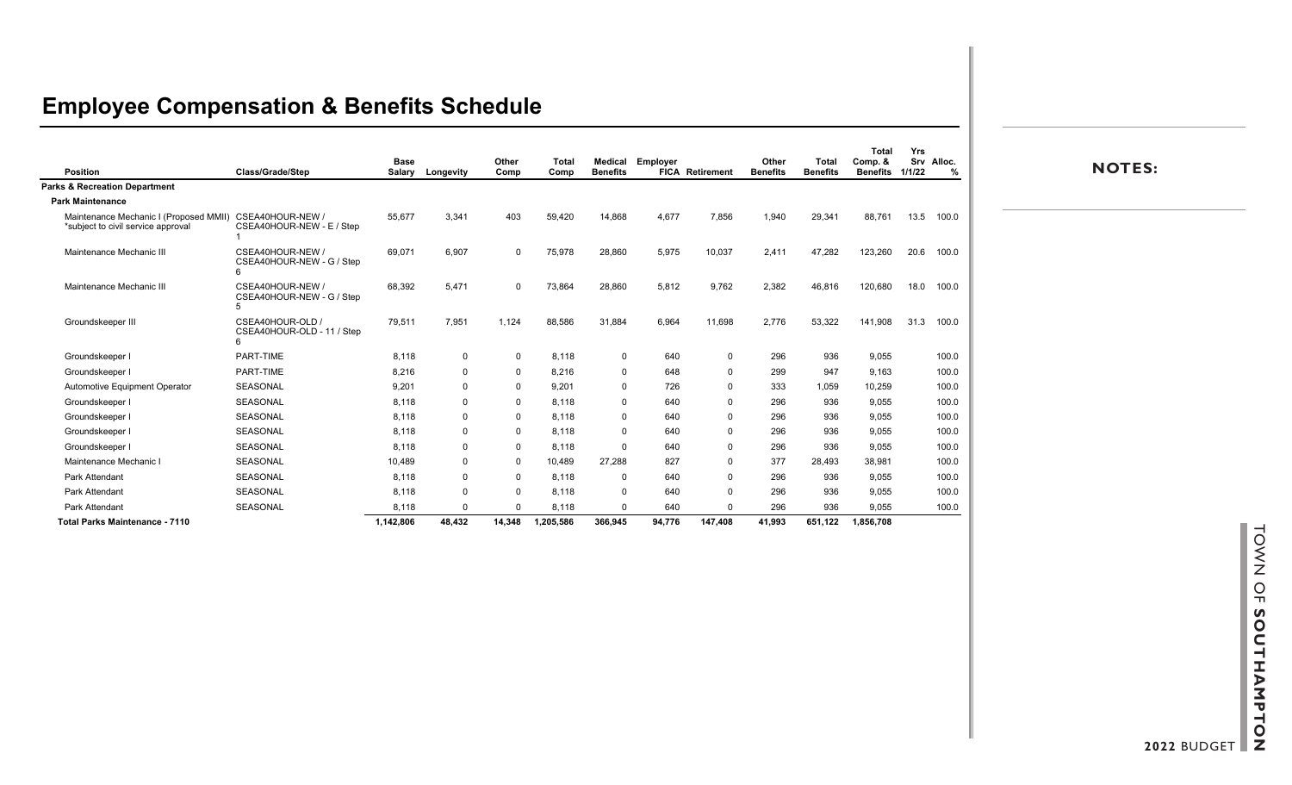|                                                                              |                                                | <b>Base</b> |             | Other        | <b>Total</b> | Medical         | Employer |                        | Other           | <b>Total</b>    | Total<br>Comp. & | Yrs    | Srv Alloc. |
|------------------------------------------------------------------------------|------------------------------------------------|-------------|-------------|--------------|--------------|-----------------|----------|------------------------|-----------------|-----------------|------------------|--------|------------|
| <b>Position</b>                                                              | Class/Grade/Step                               | Salary      | Longevity   | Comp         | Comp         | <b>Benefits</b> |          | <b>FICA Retirement</b> | <b>Benefits</b> | <b>Benefits</b> | <b>Benefits</b>  | 1/1/22 | %          |
| <b>Parks &amp; Recreation Department</b>                                     |                                                |             |             |              |              |                 |          |                        |                 |                 |                  |        |            |
| <b>Park Maintenance</b>                                                      |                                                |             |             |              |              |                 |          |                        |                 |                 |                  |        |            |
| Maintenance Mechanic I (Proposed MMII)<br>*subject to civil service approval | CSEA40HOUR-NEW /<br>CSEA40HOUR-NEW - E / Step  | 55,677      | 3,341       | 403          | 59,420       | 14,868          | 4,677    | 7,856                  | 1,940           | 29,341          | 88,761           | 13.5   | 100.0      |
| Maintenance Mechanic III                                                     | CSEA40HOUR-NEW /<br>CSEA40HOUR-NEW - G / Step  | 69,071      | 6,907       | $\mathbf 0$  | 75,978       | 28,860          | 5,975    | 10,037                 | 2,411           | 47,282          | 123,260          | 20.6   | 100.0      |
| Maintenance Mechanic III                                                     | CSEA40HOUR-NEW /<br>CSEA40HOUR-NEW - G / Step  | 68,392      | 5,471       | $\mathbf{0}$ | 73,864       | 28,860          | 5,812    | 9,762                  | 2,382           | 46,816          | 120,680          | 18.0   | 100.0      |
| Groundskeeper III                                                            | CSEA40HOUR-OLD /<br>CSEA40HOUR-OLD - 11 / Step | 79,511      | 7,951       | 1,124        | 88,586       | 31,884          | 6,964    | 11,698                 | 2,776           | 53,322          | 141,908          | 31.3   | 100.0      |
| Groundskeeper I                                                              | PART-TIME                                      | 8,118       | $\mathbf 0$ | 0            | 8,118        | 0               | 640      | 0                      | 296             | 936             | 9,055            |        | 100.0      |
| Groundskeeper I                                                              | PART-TIME                                      | 8,216       | $\mathbf 0$ | $\Omega$     | 8,216        | 0               | 648      | 0                      | 299             | 947             | 9,163            |        | 100.0      |
| Automotive Equipment Operator                                                | SEASONAL                                       | 9,201       | $\mathbf 0$ |              | 9,201        | 0               | 726      | 0                      | 333             | 1,059           | 10,259           |        | 100.0      |
| Groundskeeper I                                                              | <b>SEASONAL</b>                                | 8,118       | $\mathbf 0$ | $\Omega$     | 8,118        | 0               | 640      | 0                      | 296             | 936             | 9,055            |        | 100.0      |
| Groundskeeper I                                                              | SEASONAL                                       | 8,118       | $\mathbf 0$ | $\Omega$     | 8,118        | 0               | 640      | $\mathbf 0$            | 296             | 936             | 9,055            |        | 100.0      |
| Groundskeeper I                                                              | SEASONAL                                       | 8,118       | 0           | $\Omega$     | 8,118        | 0               | 640      | 0                      | 296             | 936             | 9,055            |        | 100.0      |
| Groundskeeper I                                                              | SEASONAL                                       | 8,118       | $\mathbf 0$ | $\Omega$     | 8,118        | 0               | 640      | 0                      | 296             | 936             | 9,055            |        | 100.0      |
| Maintenance Mechanic I                                                       | SEASONAL                                       | 10,489      | $\mathbf 0$ | $\Omega$     | 10,489       | 27,288          | 827      | $\mathbf 0$            | 377             | 28,493          | 38,981           |        | 100.0      |
| <b>Park Attendant</b>                                                        | SEASONAL                                       | 8,118       | $\mathbf 0$ | $\Omega$     | 8,118        | $\Omega$        | 640      | $\mathbf 0$            | 296             | 936             | 9,055            |        | 100.0      |
| <b>Park Attendant</b>                                                        | SEASONAL                                       | 8,118       | $\mathbf 0$ | $\Omega$     | 8,118        | 0               | 640      | $\mathbf 0$            | 296             | 936             | 9,055            |        | 100.0      |
| <b>Park Attendant</b>                                                        | SEASONAL                                       | 8,118       | $\Omega$    | <sup>0</sup> | 8,118        | $\Omega$        | 640      | $\Omega$               | 296             | 936             | 9,055            |        | 100.0      |
| Total Parks Maintenance - 7110                                               |                                                | 1,142,806   | 48,432      | 14,348       | 1,205,586    | 366,945         | 94,776   | 147,408                | 41,993          | 651,122         | 1,856,708        |        |            |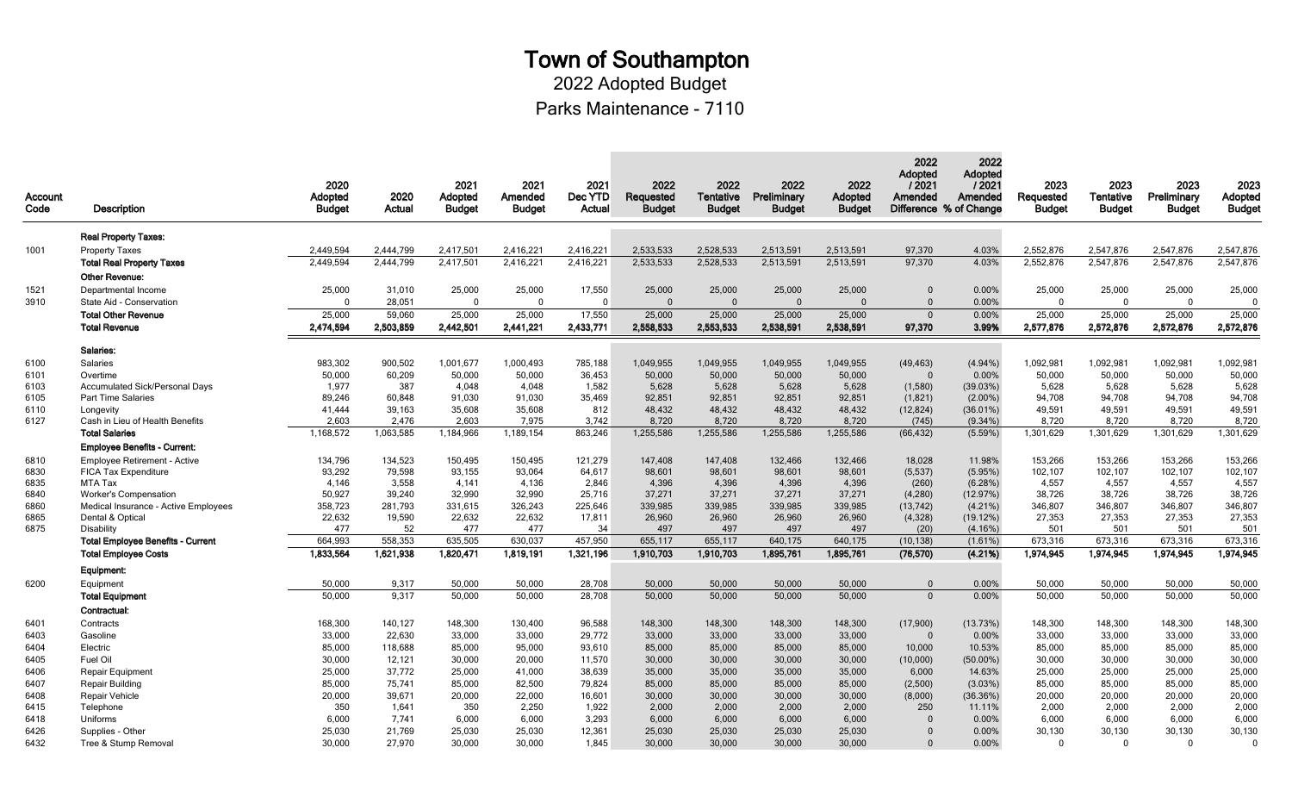2022 Adopted Budget

Parks Maintenance - 7110

| Account<br>Code | Description                                              | 2020<br>Adopted<br><b>Budget</b> | 2020<br>Actual    | 2021<br><b>Adopted</b><br><b>Budget</b> | 2021<br>Amended<br><b>Budget</b> | 2021<br>Dec YTD<br>Actual | 2022<br>Requested<br><b>Budget</b> | 2022<br><b>Tentative</b><br><b>Budget</b> | 2022<br>Preliminary<br><b>Budget</b> | 2022<br>Adopted<br><b>Budget</b> | 2022<br>Adopted<br>/2021<br>Amended<br>Difference % of Change | 2022<br>Adopted<br>/2021<br>Amended | 2023<br>Requested<br><b>Budget</b> | 2023<br>Tentative<br><b>Budget</b> | 2023<br>Preliminary<br><b>Budget</b> | 2023<br>Adopted<br><b>Budget</b> |
|-----------------|----------------------------------------------------------|----------------------------------|-------------------|-----------------------------------------|----------------------------------|---------------------------|------------------------------------|-------------------------------------------|--------------------------------------|----------------------------------|---------------------------------------------------------------|-------------------------------------|------------------------------------|------------------------------------|--------------------------------------|----------------------------------|
|                 | <b>Real Property Taxes:</b>                              |                                  |                   |                                         |                                  |                           |                                    |                                           |                                      |                                  |                                                               |                                     |                                    |                                    |                                      |                                  |
| 1001            | <b>Property Taxes</b>                                    | 2,449,594                        | 2,444,799         | 2,417,501                               | 2,416,221                        | 2,416,221                 | 2,533,533                          | 2,528,533                                 | 2,513,591                            | 2,513,591                        | 97,370                                                        | 4.03%                               | 2,552,876                          | 2,547,876                          | 2,547,876                            | 2,547,876                        |
|                 | <b>Total Real Property Taxes</b>                         | 2.449.594                        | 2.444.799         | 2.417.501                               | 2,416,221                        | 2,416,221                 | 2,533,533                          | 2.528.533                                 | 2,513,591                            | 2.513.591                        | 97.370                                                        | 4.03%                               | 2,552,876                          | 2,547,876                          | 2,547,876                            | 2,547,876                        |
|                 | <b>Other Revenue:</b>                                    |                                  |                   |                                         |                                  |                           |                                    |                                           |                                      |                                  |                                                               |                                     |                                    |                                    |                                      |                                  |
| 1521            | Departmental Income                                      | 25,000                           | 31,010            | 25,000                                  | 25,000                           | 17,550                    | 25,000                             | 25,000                                    | 25,000                               | 25,000                           | $\Omega$                                                      | 0.00%                               | 25,000                             | 25,000                             | 25,000                               | 25,000                           |
| 3910            | State Aid - Conservation                                 | $\Omega$                         | 28,051            | $\overline{0}$                          | $\mathbf{0}$                     | $\Omega$                  | $\Omega$                           | $\Omega$                                  | $\Omega$                             | $\Omega$                         | $\Omega$                                                      | 0.00%                               | $\overline{0}$                     | $\Omega$                           | $\Omega$                             | $\Omega$                         |
|                 | <b>Total Other Revenue</b>                               | 25,000                           | 59,060            | 25,000                                  | 25,000                           | 17,550                    | 25,000                             | 25,000                                    | 25,000                               | 25,000                           | $\mathbf{0}$                                                  | 0.00%                               | 25,000                             | 25,000                             | 25,000                               | 25,000                           |
|                 | <b>Total Revenue</b>                                     | 2,474,594                        | 2,503,859         | 2,442,501                               | 2,441,221                        | 2,433,771                 | 2,558,533                          | 2.553,533                                 | 2,538,591                            | 2.538,591                        | 97,370                                                        | 3.99%                               | 2,577,876                          | 2,572,876                          | 2,572,876                            | 2,572,876                        |
|                 | Salaries:                                                |                                  |                   |                                         |                                  |                           |                                    |                                           |                                      |                                  |                                                               |                                     |                                    |                                    |                                      |                                  |
| 6100            | Salaries                                                 | 983,302                          | 900,502           | 1,001,677                               | 1,000,493                        | 785,188                   | 1,049,955                          | 1,049,955                                 | 1,049,955                            | 1,049,955                        | (49, 463)                                                     | $(4.94\%)$                          | 1,092,981                          | 1,092,981                          | 1,092,981                            | 1,092,981                        |
| 6101            | Overtime                                                 | 50,000                           | 60,209            | 50,000                                  | 50,000                           | 36,453                    | 50,000                             | 50,000                                    | 50,000                               | 50,000                           | $\Omega$                                                      | 0.00%                               | 50,000                             | 50,000                             | 50,000                               | 50,000                           |
| 6103            | <b>Accumulated Sick/Personal Days</b>                    | 1,977                            | 387               | 4,048                                   | 4,048                            | 1,582                     | 5,628                              | 5,628                                     | 5,628                                | 5,628                            | (1,580)                                                       | (39.03%)                            | 5,628                              | 5,628                              | 5,628                                | 5,628                            |
| 6105            | Part Time Salaries                                       | 89,246                           | 60,848            | 91,030                                  | 91,030                           | 35,469                    | 92,851                             | 92,851                                    | 92,851                               | 92,851                           | (1, 821)                                                      | $(2.00\%)$                          | 94,708                             | 94,708                             | 94,708                               | 94,708                           |
| 6110            | Longevity                                                | 41,444                           | 39,163            | 35,608                                  | 35,608                           | 812                       | 48,432                             | 48,432                                    | 48,432                               | 48,432                           | (12, 824)                                                     | $(36.01\%)$                         | 49,591                             | 49,591                             | 49,591                               | 49,591                           |
| 6127            | Cash in Lieu of Health Benefits                          | 2,603                            | 2,476             | 2,603                                   | 7,975                            | 3,742                     | 8,720                              | 8,720                                     | 8,720                                | 8,720                            | (745)                                                         | $(9.34\%)$                          | 8,720                              | 8,720                              | 8,720                                | 8,720                            |
|                 | <b>Total Salaries</b>                                    | 1,168,572                        | 1,063,585         | 1,184,966                               | 1,189,154                        | 863,246                   | 1,255,586                          | 1,255,586                                 | 1,255,586                            | 1,255,586                        | (66, 432)                                                     | (5.59%)                             | 1,301,629                          | 1,301,629                          | 1,301,629                            | 1,301,629                        |
|                 | <b>Employee Benefits - Current:</b>                      |                                  |                   |                                         |                                  |                           |                                    |                                           |                                      |                                  |                                                               |                                     |                                    |                                    |                                      |                                  |
| 6810            | Employee Retirement - Active                             | 134,796                          | 134,523           | 150,495                                 | 150,495                          | 121,279                   | 147,408                            | 147,408                                   | 132,466                              | 132,466                          | 18,028                                                        | 11.98%                              | 153,266                            | 153,266                            | 153,266                              | 153,266                          |
| 6830            | FICA Tax Expenditure                                     | 93,292                           | 79,598            | 93,155                                  | 93,064                           | 64,617                    | 98,601                             | 98,601                                    | 98,601                               | 98,601                           | (5,537)                                                       | (5.95%)                             | 102,107                            | 102,107                            | 102,107                              | 102,107                          |
| 6835            | MTA Tax                                                  | 4,146                            | 3,558             | 4,141                                   | 4,136                            | 2,846                     | 4,396                              | 4,396                                     | 4,396                                | 4,396                            | (260)                                                         | (6.28%)                             | 4,557                              | 4,557                              | 4,557                                | 4,557                            |
| 6840            | <b>Worker's Compensation</b>                             | 50,927                           | 39,240            | 32,990                                  | 32,990                           | 25,716                    | 37,271                             | 37,271                                    | 37,271                               | 37,271                           | (4, 280)                                                      | (12.97%)                            | 38.726                             | 38,726                             | 38,726                               | 38,726                           |
| 6860<br>6865    | Medical Insurance - Active Employees<br>Dental & Optical | 358,723<br>22,632                | 281,793<br>19,590 | 331,615<br>22,632                       | 326,243<br>22,632                | 225,646<br>17,811         | 339,985<br>26,960                  | 339,985<br>26,960                         | 339,985<br>26,960                    | 339,985<br>26,960                | (13, 742)<br>(4, 328)                                         | $(4.21\%)$<br>(19.12%)              | 346,807<br>27,353                  | 346,807<br>27,353                  | 346,807<br>27,353                    | 346,807<br>27,353                |
| 6875            | Disability                                               | 477                              | 52                | 477                                     | 477                              | 34                        | 497                                | 497                                       | 497                                  | 497                              | (20)                                                          | $(4.16\%)$                          | 501                                | 501                                | 501                                  | 501                              |
|                 | <b>Total Employee Benefits - Current</b>                 | 664,993                          | 558,353           | 635,505                                 | 630,037                          | 457,950                   | 655,117                            | 655,117                                   | 640,175                              | 640,175                          | (10, 138)                                                     | (1.61%)                             | 673,316                            | 673,316                            | 673,316                              | 673,316                          |
|                 | <b>Total Employee Costs</b>                              | 1.833.564                        | 1.621.938         | 1,820,471                               | 1,819,191                        | 1,321,196                 | 1,910,703                          | 1,910,703                                 | 1.895.761                            | 1.895.761                        | (76, 570)                                                     | (4.21%)                             | 1,974,945                          | 1.974.945                          | 1,974,945                            | 1,974,945                        |
|                 | Equipment:                                               |                                  |                   |                                         |                                  |                           |                                    |                                           |                                      |                                  |                                                               |                                     |                                    |                                    |                                      |                                  |
| 6200            | Equipment                                                | 50,000                           | 9,317             | 50,000                                  | 50,000                           | 28,708                    | 50,000                             | 50,000                                    | 50,000                               | 50,000                           | $\Omega$                                                      | 0.00%                               | 50,000                             | 50,000                             | 50,000                               | 50,000                           |
|                 | <b>Total Equipment</b>                                   | 50,000                           | 9,317             | 50,000                                  | 50,000                           | 28,708                    | 50,000                             | 50,000                                    | 50,000                               | 50,000                           | $\Omega$                                                      | 0.00%                               | 50,000                             | 50,000                             | 50,000                               | 50,000                           |
|                 | Contractual:                                             |                                  |                   |                                         |                                  |                           |                                    |                                           |                                      |                                  |                                                               |                                     |                                    |                                    |                                      |                                  |
| 6401            | Contracts                                                | 168,300                          | 140,127           | 148,300                                 | 130,400                          | 96,588                    | 148,300                            | 148,300                                   | 148,300                              | 148,300                          | (17,900)                                                      | (13.73%)                            | 148,300                            | 148,300                            | 148,300                              | 148,300                          |
| 6403            | Gasoline                                                 | 33,000                           | 22,630            | 33,000                                  | 33,000                           | 29,772                    | 33,000                             | 33,000                                    | 33,000                               | 33,000                           | $\mathbf{0}$                                                  | 0.00%                               | 33,000                             | 33,000                             | 33,000                               | 33,000                           |
| 6404            | Electric                                                 | 85,000                           | 118,688           | 85,000                                  | 95,000                           | 93,610                    | 85,000                             | 85,000                                    | 85,000                               | 85,000                           | 10,000                                                        | 10.53%                              | 85,000                             | 85,000                             | 85,000                               | 85,000                           |
| 6405            | Fuel Oil                                                 | 30,000                           | 12,121            | 30,000                                  | 20,000                           | 11,570                    | 30,000                             | 30,000                                    | 30,000                               | 30,000                           | (10,000)                                                      | $(50.00\%)$                         | 30,000                             | 30,000                             | 30,000                               | 30,000                           |
| 6406            | Repair Equipment                                         | 25,000                           | 37,772            | 25,000                                  | 41,000                           | 38,639                    | 35,000                             | 35,000                                    | 35,000                               | 35,000                           | 6,000                                                         | 14.63%                              | 25,000                             | 25,000                             | 25,000                               | 25,000                           |
| 6407            | Repair Building                                          | 85,000                           | 75,741            | 85,000                                  | 82,500                           | 79,824                    | 85,000                             | 85,000                                    | 85,000                               | 85,000                           | (2,500)                                                       | (3.03%)                             | 85,000                             | 85,000                             | 85,000                               | 85,000                           |
| 6408            | Repair Vehicle                                           | 20,000                           | 39,671            | 20,000                                  | 22,000                           | 16,601                    | 30,000                             | 30,000                                    | 30,000                               | 30,000                           | (8,000)                                                       | (36.36%)                            | 20,000                             | 20,000                             | 20,000                               | 20,000                           |
| 6415            | Telephone                                                | 350                              | 1,641             | 350                                     | 2,250                            | 1,922                     | 2,000                              | 2,000                                     | 2,000                                | 2,000                            | 250                                                           | 11.11%                              | 2,000                              | 2,000                              | 2,000                                | 2,000                            |
| 6418            | Uniforms                                                 | 6,000                            | 7,741             | 6,000                                   | 6,000                            | 3,293                     | 6,000                              | 6,000                                     | 6,000                                | 6,000                            | $\Omega$                                                      | 0.00%                               | 6,000                              | 6,000                              | 6,000                                | 6,000                            |
| 6426            | Supplies - Other                                         | 25,030                           | 21,769            | 25,030                                  | 25,030                           | 12,361                    | 25,030                             | 25,030                                    | 25,030                               | 25,030                           | $\Omega$                                                      | 0.00%                               | 30,130                             | 30,130                             | 30,130                               | 30,130                           |
| 6432            | Tree & Stump Removal                                     | 30,000                           | 27,970            | 30,000                                  | 30,000                           | 1.845                     | 30,000                             | 30,000                                    | 30,000                               | 30.000                           | $\Omega$                                                      | 0.00%                               | $\Omega$                           | $\Omega$                           | $\Omega$                             | $\Omega$                         |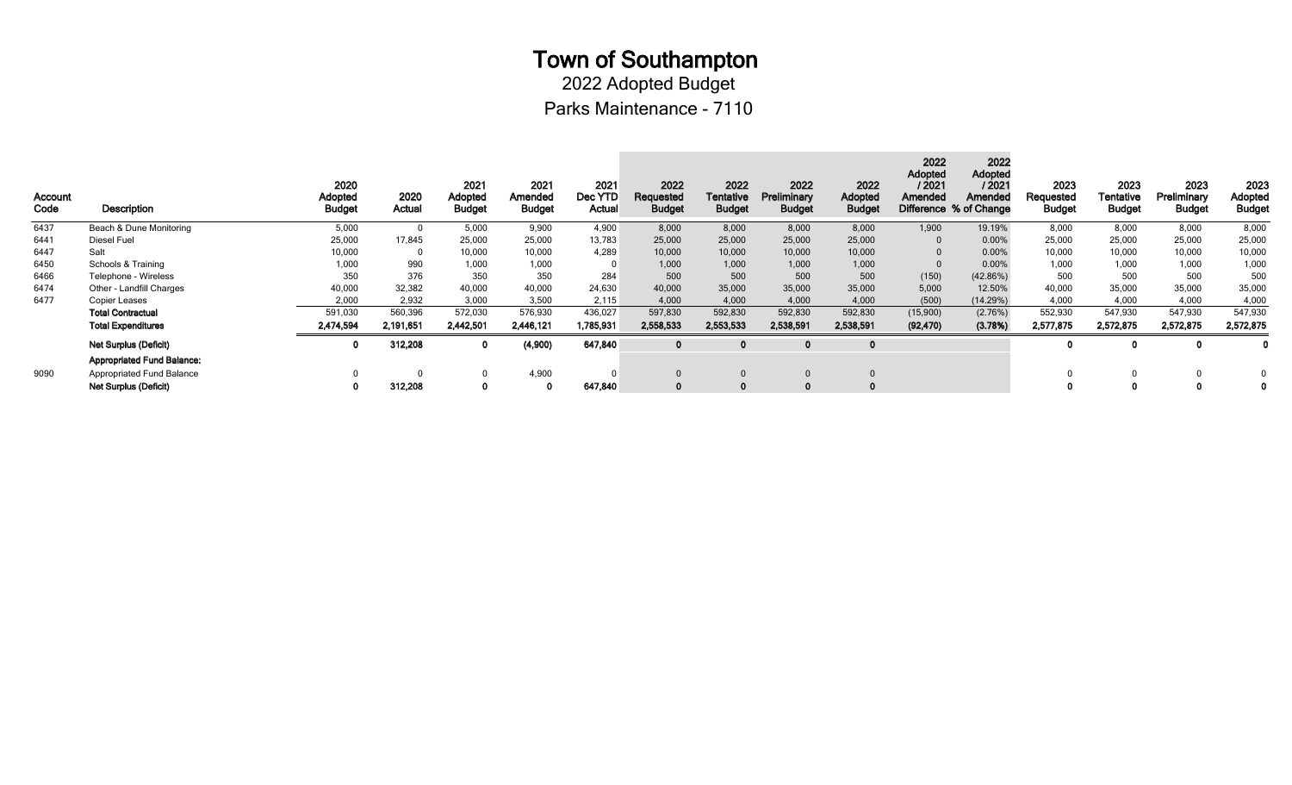2022 Adopted Budget

Parks Maintenance - 7110

| Account<br>Code | Description                  | 2020<br>Adopted<br><b>Budget</b> | 2020<br>Actual | 2021<br>Adopted<br><b>Budget</b> | 2021<br>Amended<br><b>Budget</b> | 2021<br>Dec YTD<br>Actual | 2022<br>Requested<br><b>Budget</b> | 2022<br>Tentative<br><b>Budget</b> | 2022<br>Preliminary<br><b>Budget</b> | 2022<br>Adopted<br><b>Budget</b> | 2022<br>Adopted<br>/2021<br>Amended | 2022<br>Adopted<br>/2021<br>Amended<br>Difference % of Change | 2023<br>Requested<br><b>Budget</b> | 2023<br>Tentative<br><b>Budget</b> | 2023<br>Preliminary<br><b>Budget</b> | 2023<br><b>Adopted</b><br><b>Budget</b> |
|-----------------|------------------------------|----------------------------------|----------------|----------------------------------|----------------------------------|---------------------------|------------------------------------|------------------------------------|--------------------------------------|----------------------------------|-------------------------------------|---------------------------------------------------------------|------------------------------------|------------------------------------|--------------------------------------|-----------------------------------------|
| 6437            | Beach & Dune Monitoring      | 5,000                            |                | 5,000                            | 9,900                            | 4,900                     | 8,000                              | 8,000                              | 8,000                                | 8,000                            | 1,900                               | 19.19%                                                        | 8,000                              | 8,000                              | 8,000                                | 8,000                                   |
| 6441            | Diesel Fuel                  | 25,000                           | 17,845         | 25,000                           | 25,000                           | 13,783                    | 25,000                             | 25,000                             | 25,000                               | 25,000                           |                                     | 0.00%                                                         | 25,000                             | 25,000                             | 25,000                               | 25,000                                  |
| 6447            | Salt                         | 10,000                           |                | 10,000                           | 10,000                           | 4,289                     | 10,000                             | 10,000                             | 10,000                               | 10,000                           |                                     | 0.00%                                                         | 10,000                             | 10,000                             | 10,000                               | 10,000                                  |
| 6450            | Schools & Training           | 1,000                            | 990            | 1,000                            | 1,000                            |                           | 1,000                              | 1,000                              | 1,000                                | 1,000                            |                                     | 0.00%                                                         | 1,000                              | 1,000                              | 1,000                                | 1,000                                   |
| 6466            | Telephone - Wireless         | 350                              | 376            | 350                              | 350                              | 284                       | 500                                | 500                                | 500                                  | 500                              | (150)                               | (42.86%)                                                      | 500                                | 500                                | 500                                  | 500                                     |
| 6474            | Other - Landfill Charges     | 40,000                           | 32,382         | 40,000                           | 40,000                           | 24,630                    | 40,000                             | 35,000                             | 35,000                               | 35,000                           | 5,000                               | 12.50%                                                        | 40,000                             | 35,000                             | 35,000                               | 35,000                                  |
| 6477            | Copier Leases                | 2,000                            | 2.932          | 3,000                            | 3,500                            | 2,115                     | 4,000                              | 4,000                              | 4,000                                | 4,000                            | (500)                               | (14.29%)                                                      | 4,000                              | 4,000                              | 4,000                                | 4,000                                   |
|                 | <b>Total Contractual</b>     | 591,030                          | 560,396        | 572,030                          | 576,930                          | 436,027                   | 597,830                            | 592,830                            | 592,830                              | 592,830                          | (15,900)                            | (2.76%)                                                       | 552,930                            | 547,930                            | 547,930                              | 547,930                                 |
|                 | <b>Total Expenditures</b>    | 2,474,594                        | 2,191,651      | 2,442,501                        | 2,446,121                        | 1,785,931                 | 2,558,533                          | 2,553,533                          | 2,538,591                            | 2,538,591                        | (92, 470)                           | (3.78%)                                                       | 2,577,875                          | 2,572,875                          | 2,572,875                            | 2,572,875                               |
|                 | <b>Net Surplus (Deficit)</b> |                                  | 312,208        | 0                                | (4,900)                          | 647,840                   | 0                                  |                                    |                                      |                                  |                                     |                                                               |                                    |                                    |                                      |                                         |
|                 | Appropriated Fund Balance:   |                                  |                |                                  |                                  |                           |                                    |                                    |                                      |                                  |                                     |                                                               |                                    |                                    |                                      |                                         |
| 9090            | Appropriated Fund Balance    |                                  |                |                                  | 4,900                            |                           |                                    |                                    |                                      |                                  |                                     |                                                               |                                    |                                    | $\Omega$                             |                                         |
|                 | <b>Net Surplus (Deficit)</b> |                                  | 312,208        |                                  |                                  | 647,840                   |                                    |                                    |                                      |                                  |                                     |                                                               |                                    |                                    |                                      |                                         |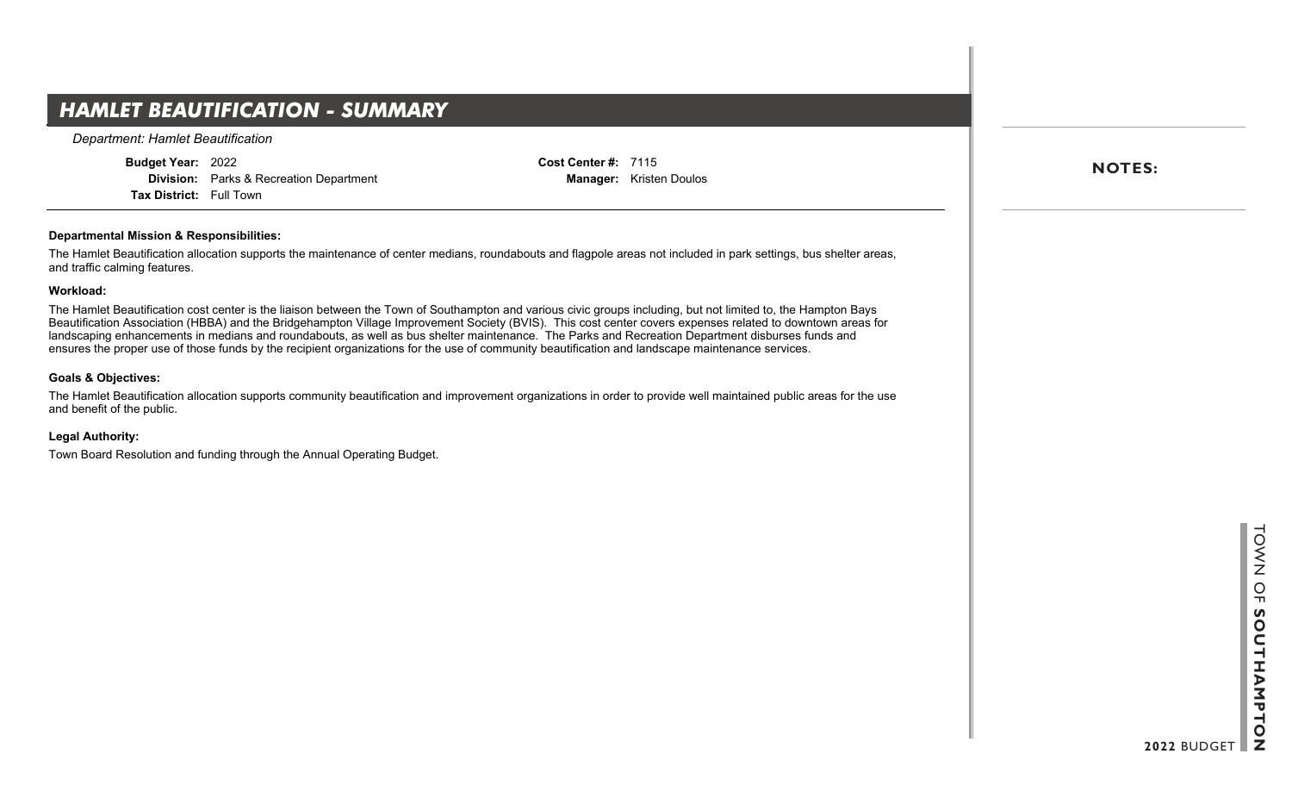## **HAMLET BEAUTIFICATION - SUMMARY**

*Department: Hamlet Beautification*

**Budget Year:** 2022

**Division:** Parks & Recreation Department **Tax District:** Full Town

**Cost Center #:** 7115 **Manager:** Kristen Doulos

### **Departmental Mission & Responsibilities:**

The Hamlet Beautification allocation supports the maintenance of center medians, roundabouts and flagpole areas not included in park settings, bus shelter areas, and traffic calming features.

### **Workload:**

The Hamlet Beautification cost center is the liaison between the Town of Southampton and various civic groups including, but not limited to, the Hampton Bays Beautification Association (HBBA) and the Bridgehampton Village Improvement Society (BVIS). This cost center covers expenses related to downtown areas for landscaping enhancements in medians and roundabouts, as well as bus shelter maintenance. The Parks and Recreation Department disburses funds and ensures the proper use of those funds by the recipient organizations for the use of community beautification and landscape maintenance services.

### **Goals & Objectives:**

The Hamlet Beautification allocation supports community beautification and improvement organizations in order to provide well maintained public areas for the use and benefit of the public.

**Legal Authority:**

Town Board Resolution and funding through the Annual Operating Budget.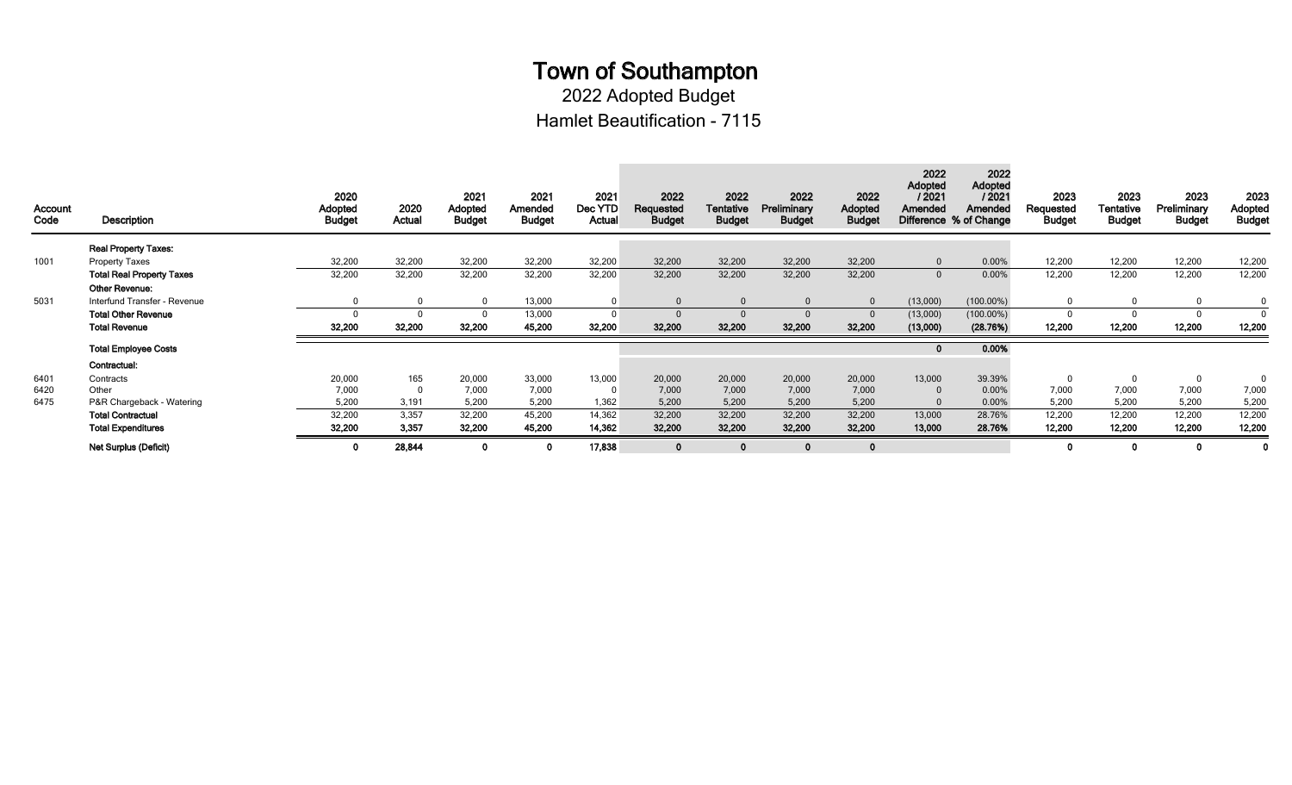2022 Adopted Budget

Hamlet Beautification - 7115

| Account<br>Code | Description                      | 2020<br>Adopted<br><b>Budget</b> | 2020<br>Actual | 2021<br>Adopted<br><b>Budget</b> | 2021<br>Amended<br><b>Budget</b> | 2021<br>Dec YTD<br><b>Actual</b> | 2022<br>Requested<br><b>Budget</b> | 2022<br>Tentative<br><b>Budget</b> | 2022<br>Preliminary<br><b>Budget</b> | 2022<br>Adopted<br><b>Budget</b> | 2022<br>Adopted<br>/2021<br>Amended | 2022<br><b>Adopted</b><br>/2021<br>Amended<br>Difference % of Change | 2023<br>Requested<br><b>Budget</b> | 2023<br><b>Tentative</b><br><b>Budget</b> | 2023<br>Preliminary<br><b>Budget</b> | 2023<br>Adopted<br><b>Budget</b> |
|-----------------|----------------------------------|----------------------------------|----------------|----------------------------------|----------------------------------|----------------------------------|------------------------------------|------------------------------------|--------------------------------------|----------------------------------|-------------------------------------|----------------------------------------------------------------------|------------------------------------|-------------------------------------------|--------------------------------------|----------------------------------|
|                 | <b>Real Property Taxes:</b>      |                                  |                |                                  |                                  |                                  |                                    |                                    |                                      |                                  |                                     |                                                                      |                                    |                                           |                                      |                                  |
| 1001            | <b>Property Taxes</b>            | 32,200                           | 32,200         | 32,200                           | 32,200                           | 32,200                           | 32,200                             | 32,200                             | 32,200                               | 32,200                           | $\overline{0}$                      | 0.00%                                                                | 12,200                             | 12,200                                    | 12,200                               | 12,200                           |
|                 | <b>Total Real Property Taxes</b> | 32,200                           | 32,200         | 32,200                           | 32,200                           | 32,200                           | 32,200                             | 32,200                             | 32,200                               | 32,200                           | $\mathbf{0}$                        | 0.00%                                                                | 12,200                             | 12,200                                    | 12,200                               | 12,200                           |
|                 | <b>Other Revenue:</b>            |                                  |                |                                  |                                  |                                  |                                    |                                    |                                      |                                  |                                     |                                                                      |                                    |                                           |                                      |                                  |
| 5031            | Interfund Transfer - Revenue     | $\mathbf{0}$                     |                | $\Omega$                         | 13,000                           |                                  | $\Omega$                           |                                    |                                      | $\mathbf{0}$                     | (13,000)                            | $(100.00\%)$                                                         | $\Omega$                           | $\mathbf 0$                               |                                      |                                  |
|                 | <b>Total Other Revenue</b>       | $\Omega$                         |                |                                  | 13,000                           |                                  |                                    |                                    |                                      |                                  | (13,000)                            | $(100.00\%)$                                                         |                                    | $\Omega$                                  |                                      |                                  |
|                 | <b>Total Revenue</b>             | 32,200                           | 32,200         | 32,200                           | 45,200                           | 32,200                           | 32,200                             | 32,200                             | 32,200                               | 32,200                           | (13,000)                            | (28.76%)                                                             | 12,200                             | 12,200                                    | 12,200                               | 12,200                           |
|                 | <b>Total Employee Costs</b>      |                                  |                |                                  |                                  |                                  |                                    |                                    |                                      |                                  | $\bf{0}$                            | 0.00%                                                                |                                    |                                           |                                      |                                  |
|                 | <b>Contractual:</b>              |                                  |                |                                  |                                  |                                  |                                    |                                    |                                      |                                  |                                     |                                                                      |                                    |                                           |                                      |                                  |
| 6401            | Contracts                        | 20,000                           | 165            | 20,000                           | 33,000                           | 13,000                           | 20,000                             | 20,000                             | 20,000                               | 20,000                           | 13,000                              | 39.39%                                                               | $\Omega$                           | $\mathbf 0$                               |                                      |                                  |
| 6420            | Other                            | 7,000                            |                | 7,000                            | 7,000                            |                                  | 7,000                              | 7,000                              | 7,000                                | 7,000                            | $\Omega$                            | 0.00%                                                                | 7,000                              | 7,000                                     | 7,000                                | 7,000                            |
| 6475            | P&R Chargeback - Watering        | 5,200                            | 3,191          | 5,200                            | 5,200                            | 1,362                            | 5,200                              | 5,200                              | 5,200                                | 5,200                            |                                     | 0.00%                                                                | 5,200                              | 5,200                                     | 5,200                                | 5,200                            |
|                 | <b>Total Contractual</b>         | 32,200                           | 3,357          | 32,200                           | 45,200                           | 14,362                           | 32,200                             | 32,200                             | 32,200                               | 32,200                           | 13,000                              | 28.76%                                                               | 12,200                             | 12,200                                    | 12,200                               | 12,200                           |
|                 | <b>Total Expenditures</b>        | 32,200                           | 3,357          | 32,200                           | 45,200                           | 14,362                           | 32,200                             | 32,200                             | 32,200                               | 32,200                           | 13,000                              | 28.76%                                                               | 12,200                             | 12,200                                    | 12,200                               | 12,200                           |
|                 | <b>Net Surplus (Deficit)</b>     | 0                                | 28,844         |                                  | 0                                | 17,838                           | $\mathbf{0}$                       |                                    |                                      | $\mathbf 0$                      |                                     |                                                                      |                                    | 0                                         |                                      |                                  |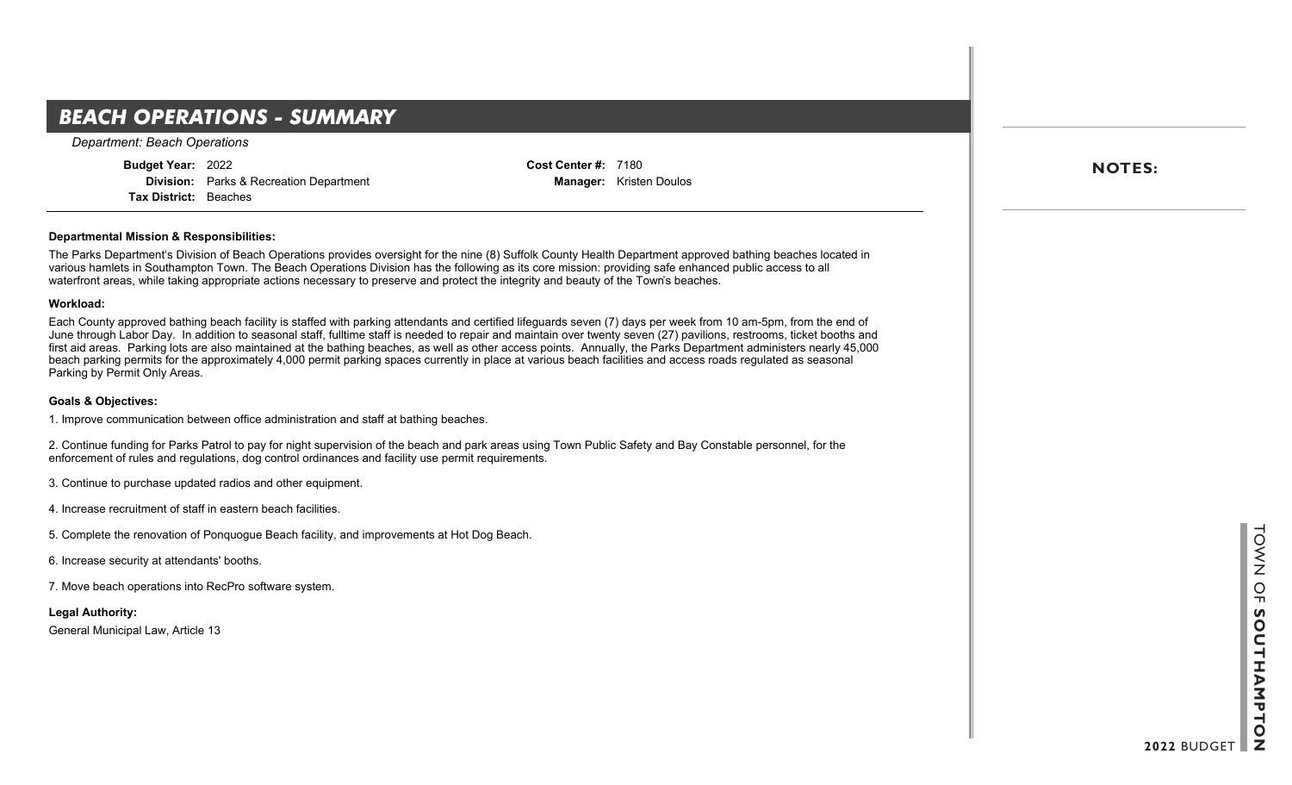## **BEACH OPERATIONS - SUMMARY**

*Department: Beach Operations*

**Budget Year:** 2022

**Division:** Parks & Recreation Department **Tax District:** Beaches

**Cost Center #:** 7180 **Manager:** Kristen Doulos

### **Departmental Mission & Responsibilities:**

The Parks Department's Division of Beach Operations provides oversight for the nine (8) Suffolk County Health Department approved bathing beaches located in various hamlets in Southampton Town. The Beach Operations Division has the following as its core mission: providing safe enhanced public access to all waterfront areas, while taking appropriate actions necessary to preserve and protect the integrity and beauty of the Town's beaches.

#### **Workload:**

Each County approved bathing beach facility is staffed with parking attendants and certified lifeguards seven (7) days per week from 10 am-5pm, from the end of June through Labor Day. In addition to seasonal staff, fulltime staff is needed to repair and maintain over twenty seven (27) pavilions, restrooms, ticket booths and first aid areas. Parking lots are also maintained at the bathing beaches, as well as other access points. Annually, the Parks Department administers nearly 45,000 beach parking permits for the approximately 4,000 permit parking spaces currently in place at various beach facilities and access roads regulated as seasonal Parking by Permit Only Areas.

### **Goals & Objectives:**

1. Improve communication between office administration and staff at bathing beaches.

2. Continue funding for Parks Patrol to pay for night supervision of the beach and park areas using Town Public Safety and Bay Constable personnel, for the enforcement of rules and regulations, dog control ordinances and facility use permit requirements.

- 3. Continue to purchase updated radios and other equipment.
- 4. Increase recruitment of staff in eastern beach facilities.
- 5. Complete the renovation of Ponquogue Beach facility, and improvements at Hot Dog Beach.
- 6. Increase security at attendants' booths.
- 7. Move beach operations into RecPro software system.

**Legal Authority:**

General Municipal Law, Article 13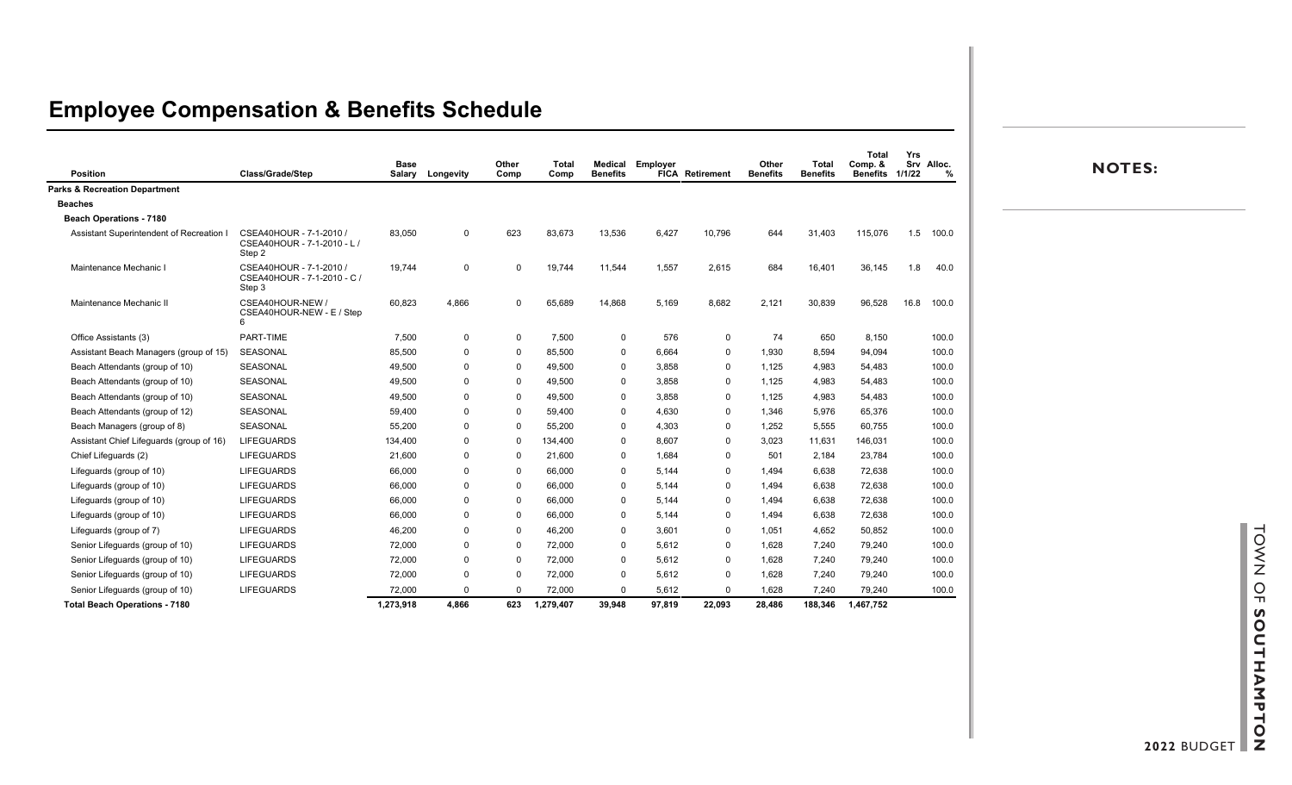|                                          |                                                                  | Base      |                  | Other       | Total     | Medical         | Employer |                        | Other           | Total           | <b>Total</b><br>Comp. & | Yrs  | Srv Alloc. |
|------------------------------------------|------------------------------------------------------------------|-----------|------------------|-------------|-----------|-----------------|----------|------------------------|-----------------|-----------------|-------------------------|------|------------|
| <b>Position</b>                          | Class/Grade/Step                                                 |           | Salary Longevity | Comp        | Comp      | <b>Benefits</b> |          | <b>FICA Retirement</b> | <b>Benefits</b> | <b>Benefits</b> | Benefits 1/1/22         |      |            |
| <b>Parks &amp; Recreation Department</b> |                                                                  |           |                  |             |           |                 |          |                        |                 |                 |                         |      |            |
| Beaches                                  |                                                                  |           |                  |             |           |                 |          |                        |                 |                 |                         |      |            |
| <b>Beach Operations - 7180</b>           |                                                                  |           |                  |             |           |                 |          |                        |                 |                 |                         |      |            |
| Assistant Superintendent of Recreation   | CSEA40HOUR - 7-1-2010 /<br>CSEA40HOUR - 7-1-2010 - L /<br>Step 2 | 83,050    | $\mathbf 0$      | 623         | 83,673    | 13,536          | 6,427    | 10,796                 | 644             | 31,403          | 115,076                 | 1.5  | 100.0      |
| Maintenance Mechanic I                   | CSEA40HOUR - 7-1-2010 /<br>CSEA40HOUR - 7-1-2010 - C /<br>Step 3 | 19,744    | $\mathbf 0$      | $\mathbf 0$ | 19,744    | 11,544          | 1,557    | 2,615                  | 684             | 16,401          | 36,145                  | 1.8  | 40.0       |
| Maintenance Mechanic II                  | CSEA40HOUR-NEW /<br>CSEA40HOUR-NEW - E / Step<br>6               | 60,823    | 4,866            | $\mathbf 0$ | 65,689    | 14,868          | 5,169    | 8,682                  | 2,121           | 30,839          | 96,528                  | 16.8 | 100.0      |
| Office Assistants (3)                    | PART-TIME                                                        | 7,500     | 0                | $\mathbf 0$ | 7,500     | $\mathbf 0$     | 576      | 0                      | 74              | 650             | 8,150                   |      | 100.0      |
| Assistant Beach Managers (group of 15)   | <b>SEASONAL</b>                                                  | 85,500    | $\mathbf 0$      | - 0         | 85,500    | 0               | 6,664    | 0                      | 1,930           | 8,594           | 94,094                  |      | 100.0      |
| Beach Attendants (group of 10)           | SEASONAL                                                         | 49,500    | $\mathbf 0$      | - 0         | 49,500    | 0               | 3,858    | 0                      | 1,125           | 4,983           | 54,483                  |      | 100.0      |
| Beach Attendants (group of 10)           | <b>SEASONAL</b>                                                  | 49,500    | $\mathbf 0$      | $\Omega$    | 49,500    | $\mathbf 0$     | 3,858    | $\Omega$               | 1,125           | 4,983           | 54,483                  |      | 100.0      |
| Beach Attendants (group of 10)           | <b>SEASONAL</b>                                                  | 49,500    | $\Omega$         | $\Omega$    | 49,500    | 0               | 3,858    | $\Omega$               | 1,125           | 4,983           | 54,483                  |      | 100.0      |
| Beach Attendants (group of 12)           | SEASONAL                                                         | 59,400    | 0                | - 0         | 59,400    | 0               | 4,630    | 0                      | 1,346           | 5,976           | 65,376                  |      | 100.0      |
| Beach Managers (group of 8)              | <b>SEASONAL</b>                                                  | 55,200    | $\Omega$         | $\Omega$    | 55,200    | 0               | 4,303    | $\Omega$               | 1,252           | 5,555           | 60,755                  |      | 100.0      |
| Assistant Chief Lifeguards (group of 16) | <b>LIFEGUARDS</b>                                                | 134,400   | $\Omega$         | $\Omega$    | 134,400   | $\Omega$        | 8,607    | $\Omega$               | 3,023           | 11,631          | 146,031                 |      | 100.0      |
| Chief Lifeguards (2)                     | <b>LIFEGUARDS</b>                                                | 21,600    | $\Omega$         | - 0         | 21,600    | $\Omega$        | 1,684    | $\Omega$               | 501             | 2,184           | 23,784                  |      | 100.0      |
| Lifeguards (group of 10)                 | <b>LIFEGUARDS</b>                                                | 66,000    | $\Omega$         | $\Omega$    | 66,000    | $\Omega$        | 5,144    | $\Omega$               | 1,494           | 6,638           | 72,638                  |      | 100.0      |
| Lifeguards (group of 10)                 | <b>LIFEGUARDS</b>                                                | 66,000    | $\Omega$         | $\Omega$    | 66,000    | 0               | 5,144    | $\Omega$               | 1,494           | 6,638           | 72,638                  |      | 100.0      |
| Lifeguards (group of 10)                 | <b>LIFEGUARDS</b>                                                | 66,000    | $\mathbf 0$      | $\Omega$    | 66,000    | $\Omega$        | 5,144    | $\Omega$               | 1,494           | 6,638           | 72,638                  |      | 100.0      |
| Lifeguards (group of 10)                 | <b>LIFEGUARDS</b>                                                | 66,000    | $\Omega$         | $\Omega$    | 66,000    | 0               | 5,144    | $\Omega$               | 1,494           | 6,638           | 72,638                  |      | 100.0      |
| Lifeguards (group of 7)                  | <b>LIFEGUARDS</b>                                                | 46,200    | $\Omega$         | - 0         | 46,200    | 0               | 3,601    | $\Omega$               | 1,051           | 4,652           | 50,852                  |      | 100.0      |
| Senior Lifeguards (group of 10)          | <b>LIFEGUARDS</b>                                                | 72,000    | $\mathbf 0$      | $\Omega$    | 72,000    | 0               | 5,612    | $\Omega$               | 1,628           | 7,240           | 79,240                  |      | 100.0      |
| Senior Lifeguards (group of 10)          | <b>LIFEGUARDS</b>                                                | 72,000    | $\Omega$         | $\Omega$    | 72,000    | 0               | 5,612    | $\Omega$               | 1,628           | 7,240           | 79,240                  |      | 100.0      |
| Senior Lifeguards (group of 10)          | <b>LIFEGUARDS</b>                                                | 72,000    | $\Omega$         | $\Omega$    | 72,000    | $\Omega$        | 5,612    | $\Omega$               | 1,628           | 7,240           | 79,240                  |      | 100.0      |
| Senior Lifeguards (group of 10)          | <b>LIFEGUARDS</b>                                                | 72,000    | $\mathbf 0$      | $\Omega$    | 72,000    | $\Omega$        | 5,612    | $\Omega$               | 1,628           | 7,240           | 79,240                  |      | 100.0      |
| <b>Total Beach Operations - 7180</b>     |                                                                  | 1,273,918 | 4,866            | 623         | 1,279,407 | 39,948          | 97,819   | 22,093                 | 28,486          | 188,346         | 1,467,752               |      |            |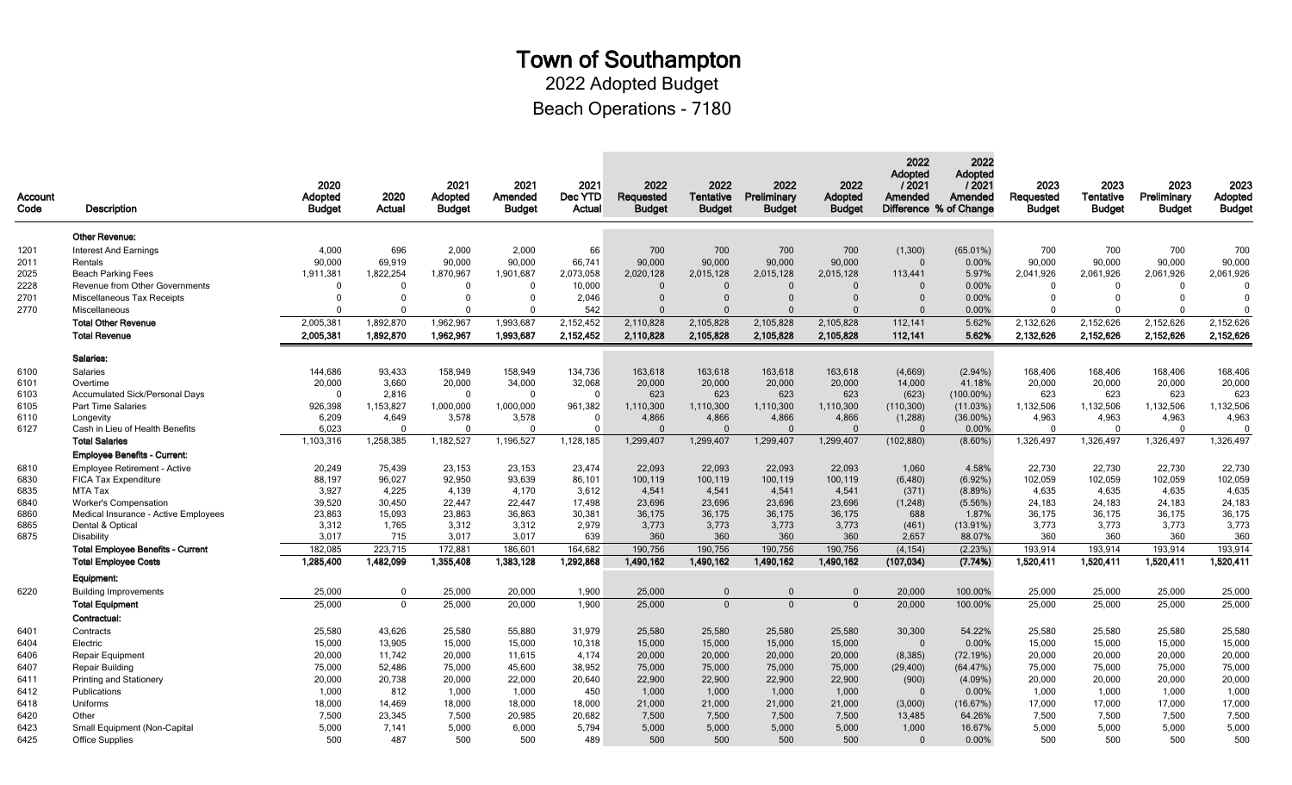2022 Adopted Budget

Beach Operations - 7180

| <b>Account</b><br>Code | Description                              | 2020<br>Adopted<br><b>Budget</b> | 2020<br>Actual | 2021<br>Adopted<br><b>Budget</b> | 2021<br>Amended<br><b>Budget</b> | 2021<br>Dec YTD<br>Actual | 2022<br>Requested<br><b>Budget</b> | 2022<br><b>Tentative</b><br><b>Budget</b> | 2022<br>Preliminary<br><b>Budget</b> | 2022<br>Adopted<br><b>Budget</b> | 2022<br>Adopted<br>/2021<br>Amended<br>Difference % of Change | 2022<br>Adopted<br>12021<br>Amended | 2023<br>Requested<br><b>Budget</b> | 2023<br><b>Tentative</b><br><b>Budget</b> | 2023<br>Preliminary<br><b>Budget</b> | 2023<br>Adopted<br><b>Budget</b> |
|------------------------|------------------------------------------|----------------------------------|----------------|----------------------------------|----------------------------------|---------------------------|------------------------------------|-------------------------------------------|--------------------------------------|----------------------------------|---------------------------------------------------------------|-------------------------------------|------------------------------------|-------------------------------------------|--------------------------------------|----------------------------------|
|                        | <b>Other Revenue:</b>                    |                                  |                |                                  |                                  |                           |                                    |                                           |                                      |                                  |                                                               |                                     |                                    |                                           |                                      |                                  |
| 1201                   | <b>Interest And Earnings</b>             | 4,000                            | 696            | 2,000                            | 2,000                            | 66                        | 700                                | 700                                       | 700                                  | 700                              | (1,300)                                                       | (65.01%)                            | 700                                | 700                                       | 700                                  | 700                              |
| 2011                   | Rentals                                  | 90,000                           | 69.919         | 90,000                           | 90.000                           | 66,741                    | 90,000                             | 90,000                                    | 90,000                               | 90,000                           | $\Omega$                                                      | 0.00%                               | 90,000                             | 90,000                                    | 90.000                               | 90,000                           |
| 2025                   | <b>Beach Parking Fees</b>                | 1,911,381                        | 1,822,254      | 1,870,967                        | 1,901,687                        | 2,073,058                 | 2,020,128                          | 2,015,128                                 | 2,015,128                            | 2,015,128                        | 113,441                                                       | 5.97%                               | 2,041,926                          | 2,061,926                                 | 2,061,926                            | 2,061,926                        |
| 2228                   | Revenue from Other Governments           | $\Omega$                         | $\Omega$       | $\Omega$                         | $\Omega$                         | 10,000                    | $\Omega$                           | $\Omega$                                  |                                      | $\Omega$                         | $\Omega$                                                      | 0.00%                               | $\Omega$                           | $\mathbf 0$                               | $\overline{0}$                       | $\Omega$                         |
| 2701                   | Miscellaneous Tax Receipts               | $\Omega$                         | $\Omega$       | $\Omega$                         | $\Omega$                         | 2,046                     | $\Omega$                           | $\Omega$                                  |                                      | $\sqrt{ }$                       | $\Omega$                                                      | 0.00%                               | $\Omega$                           | $\mathbf 0$                               | $\Omega$                             |                                  |
| 2770                   | Miscellaneous                            |                                  | $\Omega$       | $\Omega$                         | $\Omega$                         | 542                       | $\Omega$                           |                                           |                                      | $\mathbf{0}$                     | $\Omega$                                                      | 0.00%                               | $\Omega$                           | $\mathbf{0}$                              | $\mathbf{0}$                         |                                  |
|                        | <b>Total Other Revenue</b>               | 2,005,381                        | 1,892,870      | 1,962,967                        | 1,993,687                        | 2,152,452                 | 2,110,828                          | 2,105,828                                 | 2,105,828                            | 2,105,828                        | 112,141                                                       | 5.62%                               | 2,132,626                          | 2,152,626                                 | 2,152,626                            | 2,152,626                        |
|                        | <b>Total Revenue</b>                     | 2,005,381                        | 1,892,870      | 1,962,967                        | 1,993,687                        | 2,152,452                 | 2,110,828                          | 2,105,828                                 | 2,105,828                            | 2,105,828                        | 112,141                                                       | 5.62%                               | 2,132,626                          | 2,152,626                                 | 2,152,626                            | 2,152,626                        |
|                        | Salaries:                                |                                  |                |                                  |                                  |                           |                                    |                                           |                                      |                                  |                                                               |                                     |                                    |                                           |                                      |                                  |
| 6100                   | <b>Salaries</b>                          | 144,686                          | 93,433         | 158,949                          | 158,949                          | 134,736                   | 163,618                            | 163,618                                   | 163,618                              | 163,618                          | (4,669)                                                       | $(2.94\%)$                          | 168,406                            | 168,406                                   | 168,406                              | 168,406                          |
| 6101                   | Overtime                                 | 20,000                           | 3,660          | 20,000                           | 34,000                           | 32,068                    | 20,000                             | 20,000                                    | 20,000                               | 20,000                           | 14,000                                                        | 41.18%                              | 20,000                             | 20,000                                    | 20,000                               | 20,000                           |
| 6103                   | <b>Accumulated Sick/Personal Days</b>    | $\Omega$                         | 2,816          | $\Omega$                         | $\Omega$                         | $\Omega$                  | 623                                | 623                                       | 623                                  | 623                              | (623)                                                         | $(100.00\%)$                        | 623                                | 623                                       | 623                                  | 623                              |
| 6105                   | <b>Part Time Salaries</b>                | 926,398                          | 1,153,827      | 1,000,000                        | 1,000,000                        | 961,382                   | 1,110,300                          | 1,110,300                                 | 1,110,300                            | 1,110,300                        | (110, 300)                                                    | (11.03%)                            | 1,132,506                          | 1,132,506                                 | 1,132,506                            | 1,132,506                        |
| 6110                   | Longevity                                | 6,209                            | 4,649          | 3,578                            | 3,578                            | $\overline{0}$            | 4,866                              | 4,866                                     | 4,866                                | 4,866                            | (1,288)                                                       | $(36.00\%)$                         | 4,963                              | 4,963                                     | 4,963                                | 4,963                            |
| 6127                   | Cash in Lieu of Health Benefits          | 6,023                            | $\Omega$       | $\Omega$                         | $\Omega$                         | $\Omega$                  | $\Omega$                           | $\Omega$                                  | $\Omega$                             | $\overline{0}$                   | $\Omega$                                                      | 0.00%                               | $\Omega$                           | $\mathbf{0}$                              | $\overline{0}$                       | $\Omega$                         |
|                        | <b>Total Salaries</b>                    | 1,103,316                        | 1,258,385      | 1,182,527                        | 1,196,527                        | 1,128,185                 | 1,299,407                          | 1,299,407                                 | 1,299,407                            | 1,299,407                        | (102, 880)                                                    | $(8.60\%)$                          | 1,326,497                          | 1,326,497                                 | 1,326,497                            | 1,326,497                        |
|                        | <b>Employee Benefits - Current:</b>      |                                  |                |                                  |                                  |                           |                                    |                                           |                                      |                                  |                                                               |                                     |                                    |                                           |                                      |                                  |
| 6810                   | Emplovee Retirement - Active             | 20,249                           | 75,439         | 23,153                           | 23,153                           | 23,474                    | 22,093                             | 22,093                                    | 22,093                               | 22,093                           | 1,060                                                         | 4.58%                               | 22,730                             | 22,730                                    | 22,730                               | 22,730                           |
| 6830                   | <b>FICA Tax Expenditure</b>              | 88,197                           | 96,027         | 92,950                           | 93,639                           | 86,101                    | 100,119                            | 100,119                                   | 100,119                              | 100,119                          | (6, 480)                                                      | $(6.92\%)$                          | 102,059                            | 102,059                                   | 102,059                              | 102,059                          |
| 6835                   | MTA Tax                                  | 3,927                            | 4,225          | 4,139                            | 4,170                            | 3,612                     | 4,541                              | 4,541                                     | 4,541                                | 4,541                            | (371)                                                         | $(8.89\%)$                          | 4,635                              | 4,635                                     | 4,635                                | 4,635                            |
| 6840                   | <b>Worker's Compensation</b>             | 39,520                           | 30,450         | 22,447                           | 22,447                           | 17,498                    | 23,696                             | 23,696                                    | 23,696                               | 23,696                           | (1,248)                                                       | $(5.56\%)$                          | 24,183                             | 24,183                                    | 24,183                               | 24,183                           |
| 6860                   | Medical Insurance - Active Employees     | 23,863                           | 15,093         | 23,863                           | 36,863                           | 30,381                    | 36,175                             | 36,175                                    | 36,175                               | 36,175                           | 688                                                           | 1.87%                               | 36,175                             | 36,175                                    | 36,175                               | 36,175                           |
| 6865                   | Dental & Optical                         | 3,312                            | 1,765          | 3,312                            | 3,312                            | 2,979                     | 3,773                              | 3,773                                     | 3,773                                | 3,773                            | (461)                                                         | $(13.91\%)$                         | 3,773                              | 3,773                                     | 3,773                                | 3,773                            |
| 6875                   | Disability                               | 3.017                            | 715            | 3,017                            | 3,017                            | 639                       | 360                                | 360                                       | 360                                  | 360                              | 2,657                                                         | 88.07%                              | 360                                | 360                                       | 360                                  | 360                              |
|                        | <b>Total Employee Benefits - Current</b> | 182,085                          | 223,715        | 172,881                          | 186,601                          | 164,682                   | 190,756                            | 190,756                                   | 190,756                              | 190,756                          | (4, 154)                                                      | (2.23%)                             | 193,914                            | 193,914                                   | 193,914                              | 193,914                          |
|                        | <b>Total Employee Costs</b>              | 1,285,400                        | 1,482,099      | 1,355,408                        | 1,383,128                        | 1,292,868                 | 1.490.162                          | 1,490,162                                 | 1.490.162                            | 1,490,162                        | (107, 034)                                                    | (7.74%)                             | 1,520,411                          | 1,520,411                                 | 1,520,411                            | 1,520,411                        |
|                        | Equipment:                               |                                  |                |                                  |                                  |                           |                                    |                                           |                                      |                                  |                                                               |                                     |                                    |                                           |                                      |                                  |
| 6220                   | <b>Building Improvements</b>             | 25,000                           | $\mathbf{0}$   | 25,000                           | 20,000                           | 1,900                     | 25,000                             | $\Omega$                                  |                                      | $\Omega$                         | 20,000                                                        | 100.00%                             | 25,000                             | 25,000                                    | 25,000                               | 25,000                           |
|                        | <b>Total Equipment</b>                   | 25,000                           | $\Omega$       | 25,000                           | 20,000                           | 1,900                     | 25,000                             | $\Omega$                                  | $\Omega$                             | $\Omega$                         | 20,000                                                        | 100.00%                             | 25,000                             | 25,000                                    | 25,000                               | 25,000                           |
|                        | Contractual:                             |                                  |                |                                  |                                  |                           |                                    |                                           |                                      |                                  |                                                               |                                     |                                    |                                           |                                      |                                  |
| 6401                   | Contracts                                | 25,580                           | 43,626         | 25,580                           | 55,880                           | 31,979                    | 25,580                             | 25,580                                    | 25,580                               | 25,580                           | 30,300                                                        | 54.22%                              | 25,580                             | 25,580                                    | 25,580                               | 25,580                           |
| 6404                   | Electric                                 | 15,000                           | 13,905         | 15,000                           | 15,000                           | 10,318                    | 15,000                             | 15,000                                    | 15,000                               | 15,000                           | $\Omega$                                                      | 0.00%                               | 15,000                             | 15,000                                    | 15,000                               | 15,000                           |
| 6406                   | <b>Repair Equipment</b>                  | 20,000                           | 11,742         | 20,000                           | 11,615                           | 4,174                     | 20,000                             | 20,000                                    | 20,000                               | 20,000                           | (8, 385)                                                      | (72.19%)                            | 20,000                             | 20,000                                    | 20,000                               | 20,000                           |
| 6407                   | Repair Building                          | 75,000                           | 52,486         | 75,000                           | 45,600                           | 38,952                    | 75,000                             | 75,000                                    | 75,000                               | 75,000                           | (29, 400)                                                     | (64.47%)                            | 75,000                             | 75,000                                    | 75,000                               | 75,000                           |
| 6411                   | Printing and Stationery                  | 20,000                           | 20,738         | 20,000                           | 22,000                           | 20,640                    | 22,900                             | 22,900                                    | 22.900                               | 22,900                           | (900)                                                         | $(4.09\%)$                          | 20,000                             | 20,000                                    | 20,000                               | 20,000                           |
| 6412                   | Publications                             | 1,000                            | 812            | 1,000                            | 1,000                            | 450                       | 1,000                              | 1,000                                     | 1,000                                | 1,000                            | $\overline{0}$                                                | 0.00%                               | 1,000                              | 1,000                                     | 1,000                                | 1,000                            |
| 6418                   | Uniforms                                 | 18,000                           | 14,469         | 18,000                           | 18,000                           | 18,000                    | 21,000                             | 21,000                                    | 21,000                               | 21,000                           | (3,000)                                                       | (16.67%)                            | 17,000                             | 17,000                                    | 17,000                               | 17,000                           |
| 6420                   | Other                                    | 7,500                            | 23,345         | 7,500                            | 20,985                           | 20,682                    | 7,500                              | 7,500                                     | 7,500                                | 7,500                            | 13,485                                                        | 64.26%                              | 7,500                              | 7,500                                     | 7,500                                | 7,500                            |
| 6423                   | Small Equipment (Non-Capital             | 5,000                            | 7,141          | 5,000                            | 6,000                            | 5,794                     | 5,000                              | 5,000                                     | 5,000                                | 5,000                            | 1,000                                                         | 16.67%                              | 5,000                              | 5,000                                     | 5,000                                | 5,000                            |
| 6425                   | <b>Office Supplies</b>                   | 500                              | 487            | 500                              | 500                              | 489                       | 500                                | 500                                       | 500                                  | 500                              | $\Omega$                                                      | 0.00%                               | 500                                | 500                                       | 500                                  | 500                              |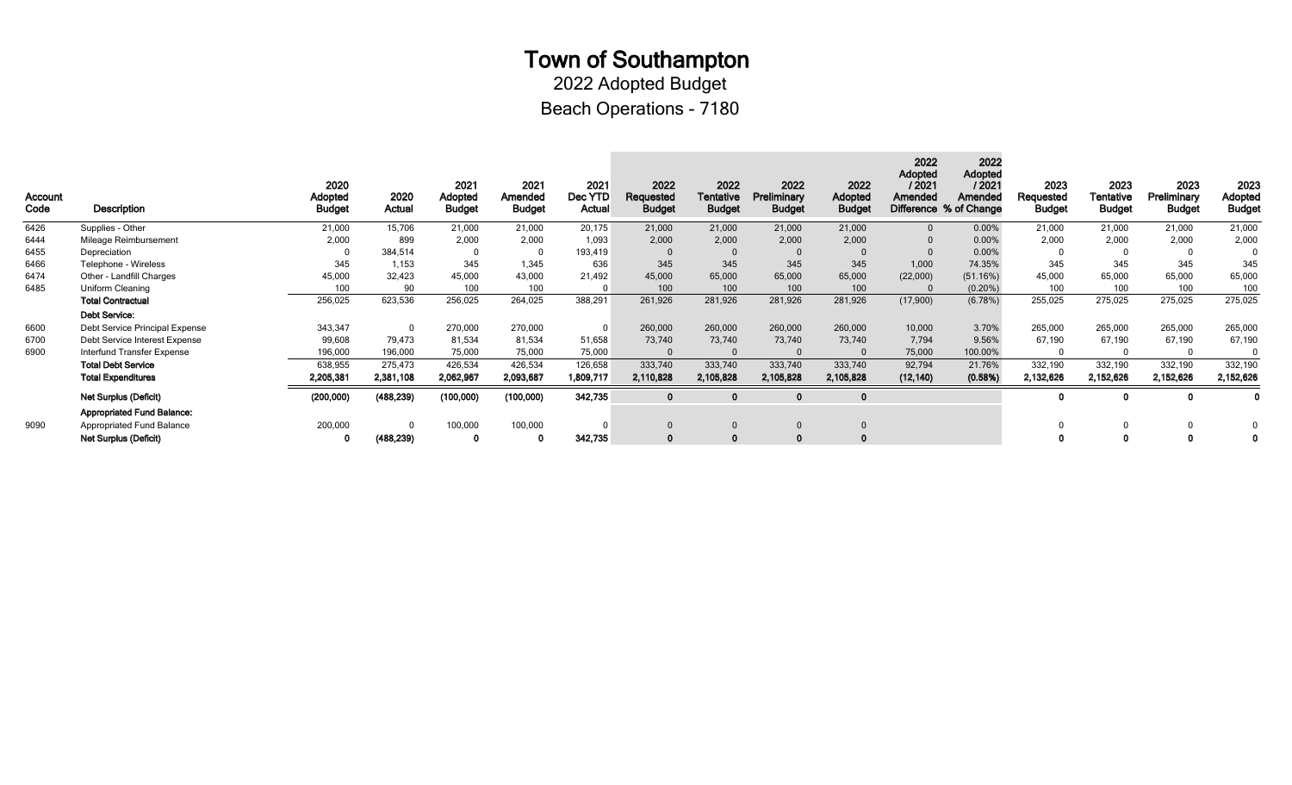2022 Adopted Budget

Beach Operations - 7180

| 6426<br>21,000<br>15,706<br>20,175<br>21,000<br>21,000<br>$0.00\%$<br>21,000<br>Supplies - Other<br>21,000<br>21,000<br>21,000<br>21,000<br>21,000<br>899<br>2,000<br>2,000<br>2,000<br>2,000<br>2,000<br>2,000<br>2,000<br>6444<br>2,000<br>1,093<br>0.00%<br>2,000<br>Mileage Reimbursement<br>193,419<br>0.00%<br>6455<br>384,514<br>$\overline{0}$<br>Depreciation<br>$\Omega$<br>345<br>345<br>345<br>345<br>345<br>1,000<br>74.35%<br>345<br>6466<br>345<br>1,153<br>345<br>1,345<br>636<br>Telephone - Wireless<br>65,000<br>65,000<br>65,000<br>65,000<br>(22,000)<br>45,000<br>45,000<br>32,423<br>45,000<br>43,000<br>21,492<br>45,000<br>(51.16%)<br>6474<br>Other - Landfill Charges<br>100<br>100<br>100<br>Uniform Cleaning<br>90<br>100<br>100<br>$(0.20\%)$<br>100<br>100<br>6485<br>100<br>100<br>281,926<br>(6.78%)<br>275,025<br>256,025<br>623,536<br>256,025<br>264,025<br>388,291<br>261,926<br>281,926<br>281,926<br>(17,900)<br>255,025<br><b>Total Contractual</b><br><b>Debt Service:</b><br>3.70%<br>6600<br>270,000<br>260,000<br>260,000<br>260,000<br>260,000<br>265,000<br>265,000<br>Debt Service Principal Expense<br>343,347<br>$\mathbf{0}$<br>270,000<br>10,000<br>73,740<br>73,740<br>73,740<br>7,794<br>9.56%<br>6700<br>99,608<br>79,473<br>81,534<br>81,534<br>51,658<br>73,740<br>67,190<br>67,190<br>Debt Service Interest Expense<br>100.00%<br>75,000<br>75,000<br>75,000<br>6900<br>Interfund Transfer Expense<br>196,000<br>196,000<br>75,000<br>$\Omega$<br>- 0<br>333,740<br>333,740<br>333,740<br>333,740<br>92,794<br>21.76%<br>332,190<br>638,955<br>275,473<br>426,534<br>426,534<br>126,658<br>332,190<br><b>Total Debt Service</b><br>2,105,828<br>2,062,967<br>2,093,687<br>2,110,828<br>2,105,828<br>2,105,828<br>(0.58%)<br><b>Total Expenditures</b><br>2,205,381<br>2,381,108<br>1,809,717<br>(12, 140)<br>2,132,626<br>2,152,626<br>(200,000)<br>(488, 239)<br>(100,000)<br>342,735<br>(100,000)<br><b>Net Surplus (Deficit)</b><br>$\mathbf 0$<br>$\mathbf 0$<br>0<br>0<br><b>Appropriated Fund Balance:</b><br>200,000<br>100,000<br>100,000<br>9090<br><b>Appropriated Fund Balance</b><br>(488, 239)<br>342,735<br><b>Net Surplus (Deficit)</b><br>0 | Account<br>Code | Description | 2020<br>Adopted<br><b>Budget</b> | 2020<br>Actual | 2021<br>Adopted<br><b>Budget</b> | 2021<br>Amended<br><b>Budget</b> | 2021<br>Dec YTD<br>Actual | 2022<br>Requested<br><b>Budget</b> | 2022<br>Tentative<br><b>Budget</b> | 2022<br>Preliminary<br><b>Budget</b> | 2022<br>Adopted<br><b>Budget</b> | 2022<br>Adopted<br>/ 2021<br>Amended | 2022<br>Adopted<br>/2021<br>Amended<br>Difference % of Change | 2023<br>Requested<br><b>Budget</b> | 2023<br><b>Tentative</b><br><b>Budget</b> | 2023<br>Preliminary<br><b>Budget</b> | 2023<br>Adopted<br><b>Budget</b> |
|----------------------------------------------------------------------------------------------------------------------------------------------------------------------------------------------------------------------------------------------------------------------------------------------------------------------------------------------------------------------------------------------------------------------------------------------------------------------------------------------------------------------------------------------------------------------------------------------------------------------------------------------------------------------------------------------------------------------------------------------------------------------------------------------------------------------------------------------------------------------------------------------------------------------------------------------------------------------------------------------------------------------------------------------------------------------------------------------------------------------------------------------------------------------------------------------------------------------------------------------------------------------------------------------------------------------------------------------------------------------------------------------------------------------------------------------------------------------------------------------------------------------------------------------------------------------------------------------------------------------------------------------------------------------------------------------------------------------------------------------------------------------------------------------------------------------------------------------------------------------------------------------------------------------------------------------------------------------------------------------------------------------------------------------------------------------------------------------------------------------------------------------------------------------------------------------------------------------|-----------------|-------------|----------------------------------|----------------|----------------------------------|----------------------------------|---------------------------|------------------------------------|------------------------------------|--------------------------------------|----------------------------------|--------------------------------------|---------------------------------------------------------------|------------------------------------|-------------------------------------------|--------------------------------------|----------------------------------|
|                                                                                                                                                                                                                                                                                                                                                                                                                                                                                                                                                                                                                                                                                                                                                                                                                                                                                                                                                                                                                                                                                                                                                                                                                                                                                                                                                                                                                                                                                                                                                                                                                                                                                                                                                                                                                                                                                                                                                                                                                                                                                                                                                                                                                      |                 |             |                                  |                |                                  |                                  |                           |                                    |                                    |                                      |                                  |                                      |                                                               |                                    |                                           | 21,000                               | 21,000                           |
|                                                                                                                                                                                                                                                                                                                                                                                                                                                                                                                                                                                                                                                                                                                                                                                                                                                                                                                                                                                                                                                                                                                                                                                                                                                                                                                                                                                                                                                                                                                                                                                                                                                                                                                                                                                                                                                                                                                                                                                                                                                                                                                                                                                                                      |                 |             |                                  |                |                                  |                                  |                           |                                    |                                    |                                      |                                  |                                      |                                                               |                                    |                                           | 2,000                                | 2,000                            |
|                                                                                                                                                                                                                                                                                                                                                                                                                                                                                                                                                                                                                                                                                                                                                                                                                                                                                                                                                                                                                                                                                                                                                                                                                                                                                                                                                                                                                                                                                                                                                                                                                                                                                                                                                                                                                                                                                                                                                                                                                                                                                                                                                                                                                      |                 |             |                                  |                |                                  |                                  |                           |                                    |                                    |                                      |                                  |                                      |                                                               |                                    |                                           |                                      |                                  |
|                                                                                                                                                                                                                                                                                                                                                                                                                                                                                                                                                                                                                                                                                                                                                                                                                                                                                                                                                                                                                                                                                                                                                                                                                                                                                                                                                                                                                                                                                                                                                                                                                                                                                                                                                                                                                                                                                                                                                                                                                                                                                                                                                                                                                      |                 |             |                                  |                |                                  |                                  |                           |                                    |                                    |                                      |                                  |                                      |                                                               |                                    |                                           | 345                                  | 345                              |
|                                                                                                                                                                                                                                                                                                                                                                                                                                                                                                                                                                                                                                                                                                                                                                                                                                                                                                                                                                                                                                                                                                                                                                                                                                                                                                                                                                                                                                                                                                                                                                                                                                                                                                                                                                                                                                                                                                                                                                                                                                                                                                                                                                                                                      |                 |             |                                  |                |                                  |                                  |                           |                                    |                                    |                                      |                                  |                                      |                                                               |                                    |                                           | 65,000                               | 65,000                           |
|                                                                                                                                                                                                                                                                                                                                                                                                                                                                                                                                                                                                                                                                                                                                                                                                                                                                                                                                                                                                                                                                                                                                                                                                                                                                                                                                                                                                                                                                                                                                                                                                                                                                                                                                                                                                                                                                                                                                                                                                                                                                                                                                                                                                                      |                 |             |                                  |                |                                  |                                  |                           |                                    |                                    |                                      |                                  |                                      |                                                               |                                    |                                           | 100                                  | 100                              |
|                                                                                                                                                                                                                                                                                                                                                                                                                                                                                                                                                                                                                                                                                                                                                                                                                                                                                                                                                                                                                                                                                                                                                                                                                                                                                                                                                                                                                                                                                                                                                                                                                                                                                                                                                                                                                                                                                                                                                                                                                                                                                                                                                                                                                      |                 |             |                                  |                |                                  |                                  |                           |                                    |                                    |                                      |                                  |                                      |                                                               |                                    |                                           | 275,025                              | 275,025                          |
|                                                                                                                                                                                                                                                                                                                                                                                                                                                                                                                                                                                                                                                                                                                                                                                                                                                                                                                                                                                                                                                                                                                                                                                                                                                                                                                                                                                                                                                                                                                                                                                                                                                                                                                                                                                                                                                                                                                                                                                                                                                                                                                                                                                                                      |                 |             |                                  |                |                                  |                                  |                           |                                    |                                    |                                      |                                  |                                      |                                                               |                                    |                                           |                                      |                                  |
|                                                                                                                                                                                                                                                                                                                                                                                                                                                                                                                                                                                                                                                                                                                                                                                                                                                                                                                                                                                                                                                                                                                                                                                                                                                                                                                                                                                                                                                                                                                                                                                                                                                                                                                                                                                                                                                                                                                                                                                                                                                                                                                                                                                                                      |                 |             |                                  |                |                                  |                                  |                           |                                    |                                    |                                      |                                  |                                      |                                                               |                                    |                                           | 265,000                              | 265,000                          |
|                                                                                                                                                                                                                                                                                                                                                                                                                                                                                                                                                                                                                                                                                                                                                                                                                                                                                                                                                                                                                                                                                                                                                                                                                                                                                                                                                                                                                                                                                                                                                                                                                                                                                                                                                                                                                                                                                                                                                                                                                                                                                                                                                                                                                      |                 |             |                                  |                |                                  |                                  |                           |                                    |                                    |                                      |                                  |                                      |                                                               |                                    |                                           | 67,190                               | 67,190                           |
|                                                                                                                                                                                                                                                                                                                                                                                                                                                                                                                                                                                                                                                                                                                                                                                                                                                                                                                                                                                                                                                                                                                                                                                                                                                                                                                                                                                                                                                                                                                                                                                                                                                                                                                                                                                                                                                                                                                                                                                                                                                                                                                                                                                                                      |                 |             |                                  |                |                                  |                                  |                           |                                    |                                    |                                      |                                  |                                      |                                                               |                                    |                                           | $\Omega$                             |                                  |
|                                                                                                                                                                                                                                                                                                                                                                                                                                                                                                                                                                                                                                                                                                                                                                                                                                                                                                                                                                                                                                                                                                                                                                                                                                                                                                                                                                                                                                                                                                                                                                                                                                                                                                                                                                                                                                                                                                                                                                                                                                                                                                                                                                                                                      |                 |             |                                  |                |                                  |                                  |                           |                                    |                                    |                                      |                                  |                                      |                                                               |                                    |                                           | 332,190                              | 332,190                          |
|                                                                                                                                                                                                                                                                                                                                                                                                                                                                                                                                                                                                                                                                                                                                                                                                                                                                                                                                                                                                                                                                                                                                                                                                                                                                                                                                                                                                                                                                                                                                                                                                                                                                                                                                                                                                                                                                                                                                                                                                                                                                                                                                                                                                                      |                 |             |                                  |                |                                  |                                  |                           |                                    |                                    |                                      |                                  |                                      |                                                               |                                    |                                           | 2,152,626                            | 2,152,626                        |
|                                                                                                                                                                                                                                                                                                                                                                                                                                                                                                                                                                                                                                                                                                                                                                                                                                                                                                                                                                                                                                                                                                                                                                                                                                                                                                                                                                                                                                                                                                                                                                                                                                                                                                                                                                                                                                                                                                                                                                                                                                                                                                                                                                                                                      |                 |             |                                  |                |                                  |                                  |                           |                                    |                                    |                                      |                                  |                                      |                                                               |                                    |                                           | 0                                    |                                  |
|                                                                                                                                                                                                                                                                                                                                                                                                                                                                                                                                                                                                                                                                                                                                                                                                                                                                                                                                                                                                                                                                                                                                                                                                                                                                                                                                                                                                                                                                                                                                                                                                                                                                                                                                                                                                                                                                                                                                                                                                                                                                                                                                                                                                                      |                 |             |                                  |                |                                  |                                  |                           |                                    |                                    |                                      |                                  |                                      |                                                               |                                    |                                           |                                      |                                  |
|                                                                                                                                                                                                                                                                                                                                                                                                                                                                                                                                                                                                                                                                                                                                                                                                                                                                                                                                                                                                                                                                                                                                                                                                                                                                                                                                                                                                                                                                                                                                                                                                                                                                                                                                                                                                                                                                                                                                                                                                                                                                                                                                                                                                                      |                 |             |                                  |                |                                  |                                  |                           |                                    |                                    |                                      |                                  |                                      |                                                               |                                    |                                           |                                      |                                  |
|                                                                                                                                                                                                                                                                                                                                                                                                                                                                                                                                                                                                                                                                                                                                                                                                                                                                                                                                                                                                                                                                                                                                                                                                                                                                                                                                                                                                                                                                                                                                                                                                                                                                                                                                                                                                                                                                                                                                                                                                                                                                                                                                                                                                                      |                 |             |                                  |                |                                  |                                  |                           |                                    |                                    |                                      |                                  |                                      |                                                               |                                    |                                           |                                      |                                  |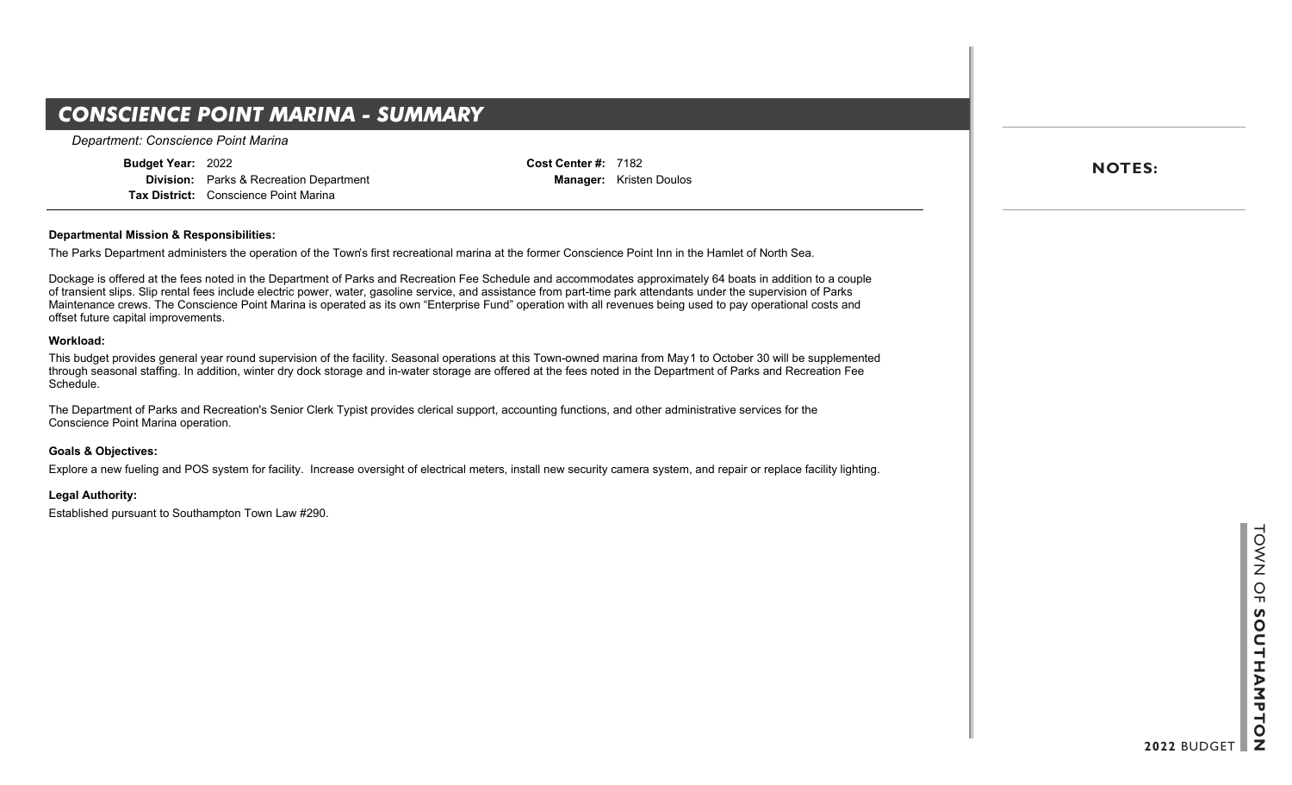## **CONSCIENCE POINT MARINA - SUMMARY**

*Department: Conscience Point Marina*

**Budget Year:** 2022 **Division:** Parks & Recreation Department **Tax District:** Conscience Point Marina

**Cost Center #:** 7182 **Manager:** Kristen Doulos

### **Departmental Mission & Responsibilities:**

The Parks Department administers the operation of the Town's first recreational marina at the former Conscience Point Inn in the Hamlet of North Sea.

Dockage is offered at the fees noted in the Department of Parks and Recreation Fee Schedule and accommodates approximately 64 boats in addition to a couple of transient slips. Slip rental fees include electric power, water, gasoline service, and assistance from part-time park attendants under the supervision of Parks Maintenance crews. The Conscience Point Marina is operated as its own "Enterprise Fund" operation with all revenues being used to pay operational costs and offset future capital improvements.

#### **Workload:**

This budget provides general year round supervision of the facility. Seasonal operations at this Town-owned marina from May 1 to October 30 will be supplemented through seasonal staffing. In addition, winter dry dock storage and in-water storage are offered at the fees noted in the Department of Parks and Recreation Fee Schedule.

The Department of Parks and Recreation's Senior Clerk Typist provides clerical support, accounting functions, and other administrative services for the Conscience Point Marina operation.

### **Goals & Objectives:**

Explore a new fueling and POS system for facility. Increase oversight of electrical meters, install new security camera system, and repair or replace facility lighting.

### **Legal Authority:**

Established pursuant to Southampton Town Law #290.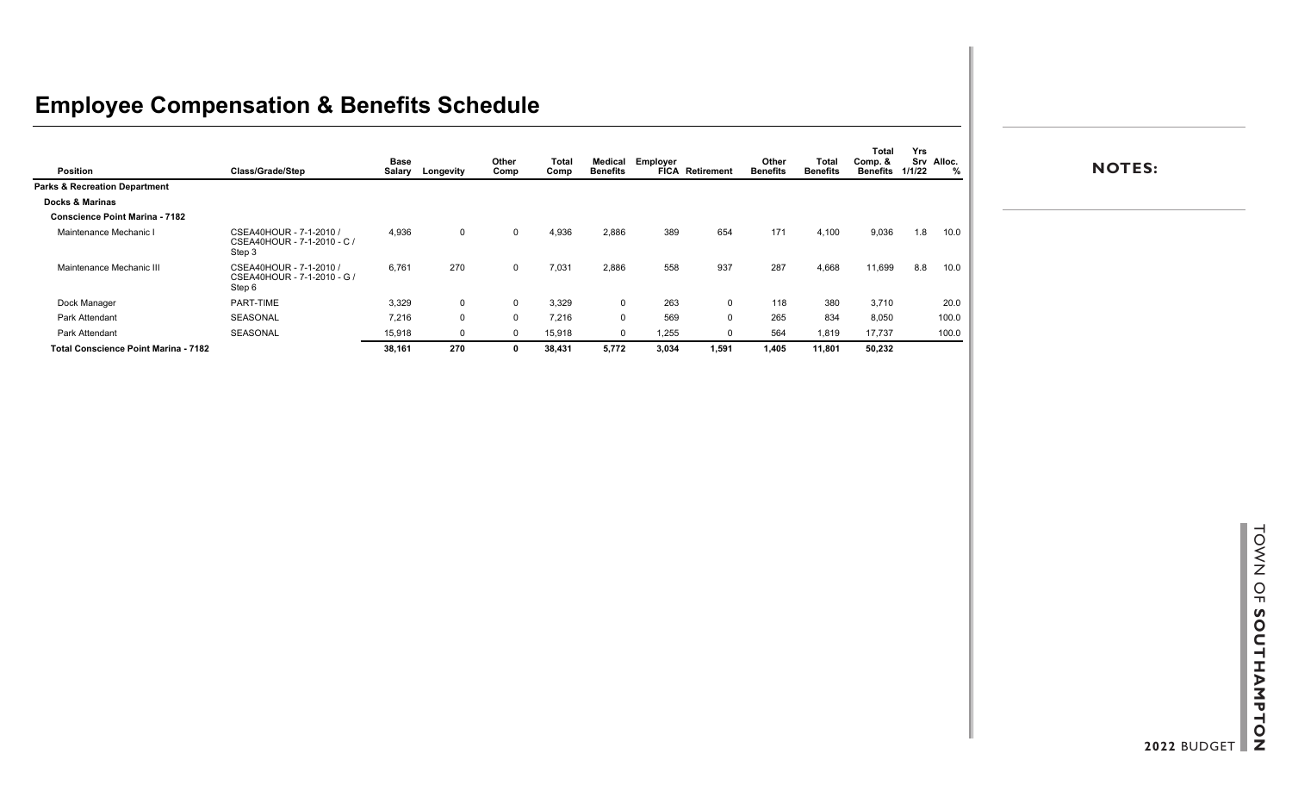| <b>Position</b>                             | Class/Grade/Step                                                 | <b>Base</b><br>Salary | Longevity   | Other<br>Comp | Total<br>Comp | <b>Medical</b><br><b>Benefits</b> | Employer | <b>FICA Retirement</b> | Other<br><b>Benefits</b> | Total<br><b>Benefits</b> | <b>Total</b><br>Comp. &<br>Benefits | Yrs<br>Srv Alloc.<br>1/1/22 | % |
|---------------------------------------------|------------------------------------------------------------------|-----------------------|-------------|---------------|---------------|-----------------------------------|----------|------------------------|--------------------------|--------------------------|-------------------------------------|-----------------------------|---|
| <b>Parks &amp; Recreation Department</b>    |                                                                  |                       |             |               |               |                                   |          |                        |                          |                          |                                     |                             |   |
| <b>Docks &amp; Marinas</b>                  |                                                                  |                       |             |               |               |                                   |          |                        |                          |                          |                                     |                             |   |
| <b>Conscience Point Marina - 7182</b>       |                                                                  |                       |             |               |               |                                   |          |                        |                          |                          |                                     |                             |   |
| Maintenance Mechanic I                      | CSEA40HOUR - 7-1-2010 /<br>CSEA40HOUR - 7-1-2010 - C /<br>Step 3 | 4,936                 | 0           | $\mathbf 0$   | 4,936         | 2,886                             | 389      | 654                    | 171                      | 4,100                    | 9,036                               | 10.0<br>1.8                 |   |
| Maintenance Mechanic III                    | CSEA40HOUR - 7-1-2010 /<br>CSEA40HOUR - 7-1-2010 - G /<br>Step 6 | 6,761                 | 270         | $\Omega$      | 7.031         | 2,886                             | 558      | 937                    | 287                      | 4.668                    | 11,699                              | 8.8<br>10.0                 |   |
| Dock Manager                                | PART-TIME                                                        | 3,329                 | 0           | $\Omega$      | 3.329         | $\mathbf 0$                       | 263      | $\mathbf{0}$           | 118                      | 380                      | 3,710                               | 20.0                        |   |
| Park Attendant                              | SEASONAL                                                         | 7,216                 | $\mathbf 0$ | $\Omega$      | 7.216         | $\Omega$                          | 569      | $\Omega$               | 265                      | 834                      | 8,050                               | 100.0                       |   |
| Park Attendant                              | SEASONAL                                                         | 15,918                | $\mathbf 0$ | $\Omega$      | 15,918        | $\mathbf{0}$                      | 1,255    | $\Omega$               | 564                      | 1,819                    | 17,737                              | 100.0                       |   |
| <b>Total Conscience Point Marina - 7182</b> |                                                                  | 38,161                | 270         |               | 38,431        | 5,772                             | 3,034    | 1,591                  | 1,405                    | 11,801                   | 50,232                              |                             |   |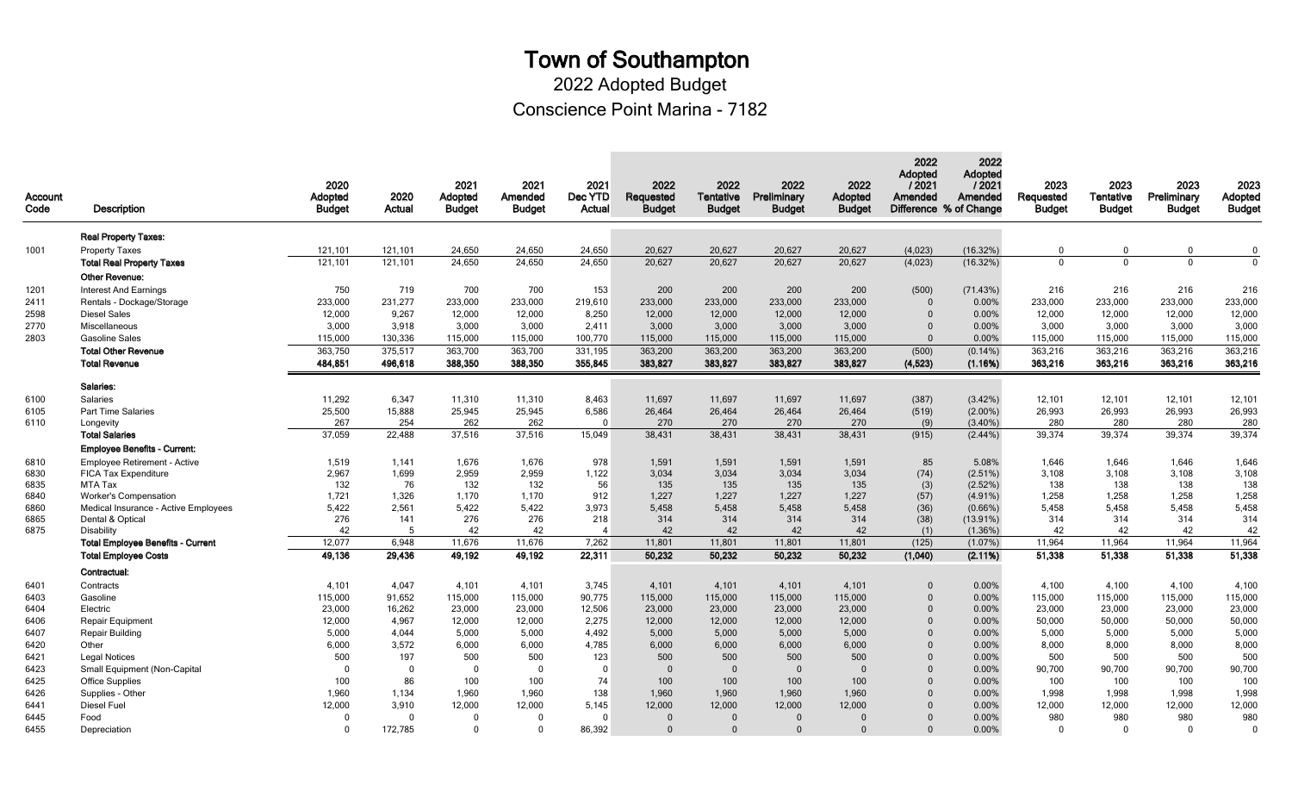Conscience Point Marina - 7182 2022 Adopted Budget

| Account<br>Code | <b>Description</b>                                     | 2020<br>Adopted<br><b>Budget</b> | 2020<br>Actual | 2021<br>Adopted<br><b>Budget</b> | 2021<br>Amended<br><b>Budget</b> | 2021<br>Dec YTD<br>Actual | 2022<br>Requested<br><b>Budget</b> | 2022<br><b>Tentative</b><br><b>Budget</b> | 2022<br>Preliminary<br>Budget | 2022<br>Adopted<br><b>Budget</b> | 2022<br>Adopted<br>12021<br>Amended<br>Difference % of Change | 2022<br>Adopted<br>12021<br>Amended | 2023<br>Requested<br><b>Budget</b> | 2023<br><b>Tentative</b><br><b>Budget</b> | 2023<br>Preliminary<br><b>Budget</b> | 2023<br>Adopted<br><b>Budget</b> |
|-----------------|--------------------------------------------------------|----------------------------------|----------------|----------------------------------|----------------------------------|---------------------------|------------------------------------|-------------------------------------------|-------------------------------|----------------------------------|---------------------------------------------------------------|-------------------------------------|------------------------------------|-------------------------------------------|--------------------------------------|----------------------------------|
|                 | <b>Real Property Taxes:</b>                            |                                  |                |                                  |                                  |                           |                                    |                                           |                               |                                  |                                                               |                                     |                                    |                                           |                                      |                                  |
| 1001            | <b>Property Taxes</b>                                  | 121,101                          | 121,101        | 24,650                           | 24,650                           | 24,650                    | 20,627                             | 20,627                                    | 20,627                        | 20,627                           | (4,023)                                                       | (16.32%)                            | $\mathbf 0$                        | $\mathbf 0$                               | $\mathbf 0$                          | $\Omega$                         |
|                 | <b>Total Real Property Taxes</b>                       | 121,101                          | 121,101        | 24,650                           | 24,650                           | 24,650                    | 20,627                             | 20,627                                    | 20,627                        | 20,627                           | (4,023)                                                       | (16.32%)                            | $\overline{0}$                     | $\overline{0}$                            | $\Omega$                             | $\Omega$                         |
|                 | Other Revenue:                                         |                                  |                |                                  |                                  |                           |                                    |                                           |                               |                                  |                                                               |                                     |                                    |                                           |                                      |                                  |
| 1201            | <b>Interest And Earnings</b>                           | 750                              | 719            | 700                              | 700                              | 153                       | 200                                | 200                                       | 200                           | 200                              | (500)                                                         | (71.43%)                            | 216                                | 216                                       | 216                                  | 216                              |
| 2411            | Rentals - Dockage/Storage                              | 233,000                          | 231,277        | 233,000                          | 233,000                          | 219,610                   | 233,000                            | 233,000                                   | 233,000                       | 233,000                          | $\overline{0}$                                                | 0.00%                               | 233,000                            | 233,000                                   | 233,000                              | 233,000                          |
| 2598            | <b>Diesel Sales</b>                                    | 12,000                           | 9,267          | 12,000                           | 12,000                           | 8,250                     | 12,000                             | 12,000                                    | 12,000                        | 12,000                           | $\mathbf 0$                                                   | 0.00%                               | 12,000                             | 12,000                                    | 12,000                               | 12,000                           |
| 2770            | Miscellaneous                                          | 3,000                            | 3,918          | 3,000                            | 3,000                            | 2,411                     | 3,000                              | 3,000                                     | 3,000                         | 3,000                            | $\mathbf{0}$                                                  | 0.00%                               | 3,000                              | 3,000                                     | 3,000                                | 3,000                            |
| 2803            | <b>Gasoline Sales</b>                                  | 115,000                          | 130,336        | 115,000                          | 115,000                          | 100,770                   | 115,000                            | 115,000                                   | 115,000                       | 115,000                          | $\Omega$                                                      | 0.00%                               | 115,000                            | 115,000                                   | 115,000                              | 115,000                          |
|                 | <b>Total Other Revenue</b>                             | 363,750                          | 375,517        | 363,700                          | 363,700                          | 331,195                   | 363,200                            | 363,200                                   | 363,200                       | 363,200                          | (500)                                                         | $(0.14\%)$                          | 363,216                            | 363,216                                   | 363,216                              | 363,216                          |
|                 | <b>Total Revenue</b>                                   | 484,851                          | 496,618        | 388,350                          | 388,350                          | 355,845                   | 383,827                            | 383,827                                   | 383,827                       | 383,827                          | (4,523)                                                       | (1.16%)                             | 363,216                            | 363,216                                   | 363,216                              | 363,216                          |
|                 | Salaries:                                              |                                  |                |                                  |                                  |                           |                                    |                                           |                               |                                  |                                                               |                                     |                                    |                                           |                                      |                                  |
| 6100            | <b>Salaries</b>                                        | 11,292                           | 6,347          | 11,310                           | 11,310                           | 8,463                     | 11,697                             | 11,697                                    | 11,697                        | 11,697                           | (387)                                                         | (3.42%)                             | 12,101                             | 12,101                                    | 12,101                               | 12,101                           |
| 6105            | <b>Part Time Salaries</b>                              | 25,500                           | 15,888         | 25,945                           | 25,945                           | 6,586                     | 26,464                             | 26,464                                    | 26,464                        | 26,464                           | (519)                                                         | $(2.00\%)$                          | 26,993                             | 26,993                                    | 26,993                               | 26,993                           |
| 6110            | Longevity                                              | 267                              | 254            | 262                              | 262                              | $\Omega$                  | 270                                | 270                                       | 270                           | 270                              | (9)                                                           | $(3.40\%)$                          | 280                                | 280                                       | 280                                  | 280                              |
|                 | <b>Total Salaries</b>                                  | 37,059                           | 22,488         | 37,516                           | 37,516                           | 15,049                    | 38,431                             | 38,431                                    | 38,431                        | 38,431                           | (915)                                                         | $(2.44\%)$                          | 39,374                             | 39,374                                    | 39,374                               | 39,374                           |
|                 | <b>Employee Benefits - Current:</b>                    |                                  |                |                                  |                                  |                           |                                    |                                           |                               |                                  |                                                               |                                     |                                    |                                           |                                      |                                  |
| 6810            | <b>Employee Retirement - Active</b>                    | 1,519                            | 1,141          | 1,676                            | 1,676                            | 978                       | 1,591                              | 1,591                                     | 1,591                         | 1,591                            | 85                                                            | 5.08%                               | 1,646                              | 1,646                                     | 1,646                                | 1,646                            |
| 6830            | FICA Tax Expenditure                                   | 2,967                            | 1,699          | 2,959                            | 2,959                            | 1,122                     | 3,034                              | 3,034                                     | 3,034                         | 3,034                            | (74)                                                          | (2.51%)                             | 3,108                              | 3,108                                     | 3,108                                | 3,108                            |
| 6835            | MTA Tax                                                | 132                              | 76             | 132                              | 132                              | 56                        | 135                                | 135                                       | 135                           | 135                              | (3)                                                           | (2.52%)                             | 138                                | 138                                       | 138                                  | 138                              |
| 6840            | <b>Worker's Compensation</b>                           | 1,721                            | 1,326          | 1,170                            | 1,170                            | 912                       | 1,227                              | 1,227                                     | 1,227                         | 1,227                            | (57)                                                          | $(4.91\%)$                          | 1,258                              | 1,258                                     | 1,258                                | 1,258                            |
| 6860            | Medical Insurance - Active Employees                   | 5,422                            | 2,561          | 5,422                            | 5,422                            | 3,973                     | 5,458                              | 5,458                                     | 5,458                         | 5,458                            | (36)                                                          | $(0.66\%)$                          | 5,458                              | 5,458                                     | 5,458                                | 5,458                            |
| 6865            | Dental & Optical                                       | 276<br>42                        | 141<br>-5      | 276<br>42                        | 276<br>42                        | 218<br>$\overline{4}$     | 314<br>42                          | 314<br>42                                 | 314<br>42                     | 314<br>42                        | (38)                                                          | (13.91%)                            | 314<br>42                          | 314<br>42                                 | 314<br>42                            | 314<br>42                        |
| 6875            | Disability<br><b>Total Employee Benefits - Current</b> | 12,077                           | 6,948          | 11,676                           | 11,676                           | 7,262                     | 11,801                             | 11,801                                    | 11,801                        | 11,801                           | (1)<br>(125)                                                  | $(1.36\%)$<br>(1.07%)               | 11,964                             | 11,964                                    | 11,964                               | 11,964                           |
|                 | <b>Total Employee Costs</b>                            | 49,136                           | 29,436         | 49.192                           | 49,192                           | 22,311                    | 50,232                             | 50.232                                    | 50.232                        | 50,232                           | (1,040)                                                       | (2.11%)                             | 51.338                             | 51.338                                    | 51.338                               | 51,338                           |
|                 | Contractual:                                           |                                  |                |                                  |                                  |                           |                                    |                                           |                               |                                  |                                                               |                                     |                                    |                                           |                                      |                                  |
| 6401            | Contracts                                              | 4,101                            | 4,047          | 4.101                            | 4.101                            | 3,745                     | 4,101                              | 4,101                                     | 4,101                         | 4,101                            | $\Omega$                                                      | 0.00%                               | 4,100                              | 4,100                                     | 4.100                                | 4,100                            |
| 6403            | Gasoline                                               | 115,000                          | 91,652         | 115,000                          | 115,000                          | 90,775                    | 115,000                            | 115,000                                   | 115,000                       | 115,000                          | $\Omega$                                                      | 0.00%                               | 115,000                            | 115,000                                   | 115,000                              | 115,000                          |
| 6404            | Electric                                               | 23,000                           | 16,262         | 23,000                           | 23,000                           | 12,506                    | 23,000                             | 23,000                                    | 23,000                        | 23,000                           | $\Omega$                                                      | 0.00%                               | 23,000                             | 23,000                                    | 23,000                               | 23,000                           |
| 6406            | Repair Equipment                                       | 12,000                           | 4,967          | 12,000                           | 12,000                           | 2,275                     | 12,000                             | 12,000                                    | 12,000                        | 12,000                           | $\Omega$                                                      | 0.00%                               | 50,000                             | 50,000                                    | 50,000                               | 50,000                           |
| 6407            | Repair Building                                        | 5,000                            | 4,044          | 5,000                            | 5,000                            | 4,492                     | 5,000                              | 5,000                                     | 5,000                         | 5,000                            | $\Omega$                                                      | 0.00%                               | 5,000                              | 5,000                                     | 5,000                                | 5,000                            |
| 6420            | Other                                                  | 6,000                            | 3,572          | 6,000                            | 6,000                            | 4,785                     | 6,000                              | 6,000                                     | 6,000                         | 6,000                            | $\Omega$                                                      | 0.00%                               | 8,000                              | 8,000                                     | 8,000                                | 8,000                            |
| 6421            | <b>Legal Notices</b>                                   | 500                              | 197            | 500                              | 500                              | 123                       | 500                                | 500                                       | 500                           | 500                              | $\Omega$                                                      | 0.00%                               | 500                                | 500                                       | 500                                  | 500                              |
| 6423            | Small Equipment (Non-Capital                           | $\Omega$                         | $\Omega$       | $\Omega$                         | $\Omega$                         | $\Omega$                  | $\Omega$                           | $\Omega$                                  | $\Omega$                      | $\Omega$                         | $\Omega$                                                      | 0.00%                               | 90,700                             | 90,700                                    | 90,700                               | 90,700                           |
| 6425            | Office Supplies                                        | 100                              | 86             | 100                              | 100                              | 74                        | 100                                | 100                                       | 100                           | 100                              | $\Omega$                                                      | 0.00%                               | 100                                | 100                                       | 100                                  | 100                              |
| 6426            | Supplies - Other                                       | 1,960                            | 1,134          | 1,960                            | 1,960                            | 138                       | 1,960                              | 1,960                                     | 1,960                         | 1,960                            | $\Omega$                                                      | 0.00%                               | 1,998                              | 1,998                                     | 1,998                                | 1,998                            |
| 6441            | Diesel Fuel                                            | 12.000                           | 3,910          | 12,000                           | 12,000                           | 5,145                     | 12,000                             | 12,000                                    | 12,000                        | 12,000                           | $\Omega$                                                      | 0.00%                               | 12,000                             | 12,000                                    | 12,000                               | 12,000                           |
| 6445            | Food                                                   | $\Omega$                         | $\Omega$       | $\Omega$                         | $\Omega$                         | $\Omega$                  | $\Omega$                           | $\Omega$                                  | $\Omega$                      | $\Omega$                         | $\Omega$                                                      | 0.00%                               | 980                                | 980                                       | 980                                  | 980                              |
| 6455            | Depreciation                                           | $\Omega$                         | 172.785        | $\Omega$                         | $\Omega$                         | 86.392                    | $\Omega$                           | $\Omega$                                  | $\Omega$                      | $\Omega$                         | $\Omega$                                                      | 0.00%                               | $\Omega$                           | $\Omega$                                  | $\Omega$                             | $\Omega$                         |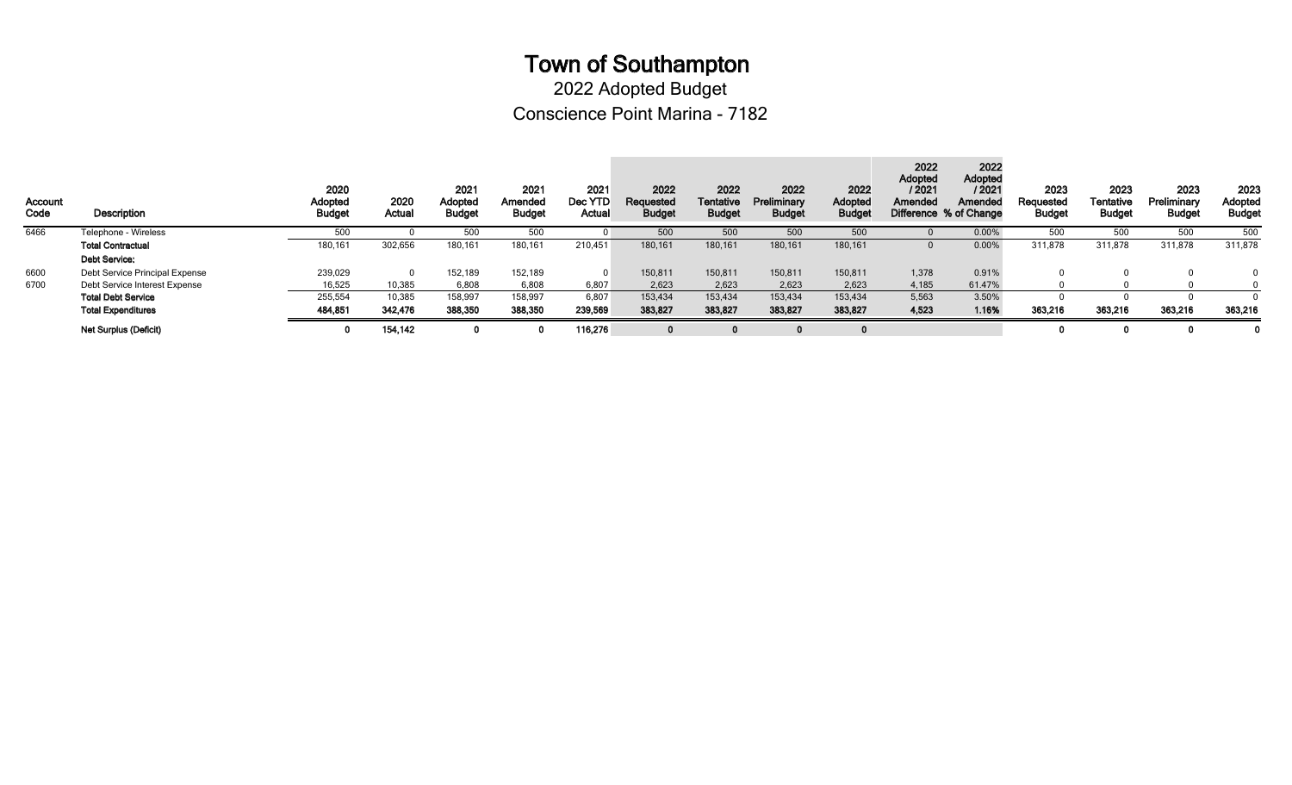2022 Adopted Budget

Conscience Point Marina - 7182

**Contract** 

| Account<br>Code | <b>Description</b>             | 2020<br>Adopted<br><b>Budget</b> | 2020<br>Actual | 2021<br>Adopted<br><b>Budget</b> | 2021<br>Amended<br><b>Budget</b> | 2021<br>Dec YTD<br>Actual | 2022<br>Requested<br><b>Budget</b> | 2022<br>Tentative<br><b>Budget</b> | 2022<br>Preliminary<br><b>Budget</b> | 2022<br>Adopted<br><b>Budget</b> | 2022<br>Adopted<br>/ 2021<br>Amended | 2022<br><b>Adopted</b><br>$1202 -$<br>Amended<br>Difference % of Change | 2023<br>Requested<br><b>Budget</b> | 2023<br><b>Fentative</b><br><b>Budget</b> | 2023<br>Preliminary<br><b>Budget</b> | 2023<br>Adopted<br><b>Budget</b> |
|-----------------|--------------------------------|----------------------------------|----------------|----------------------------------|----------------------------------|---------------------------|------------------------------------|------------------------------------|--------------------------------------|----------------------------------|--------------------------------------|-------------------------------------------------------------------------|------------------------------------|-------------------------------------------|--------------------------------------|----------------------------------|
| 6466            | Telephone - Wireless           | 500                              |                | 500                              |                                  |                           | 500                                | 500                                | 500                                  | 500                              |                                      | 0.00%                                                                   | 500                                | 500                                       | 500                                  | 500                              |
|                 | <b>Total Contractual</b>       | 180,161                          | 302,656        | 180,161                          | 180,161                          | 210,451                   | 180,161                            | 180,161                            | 180,161                              | 180,161                          |                                      | 0.00%                                                                   | 311,878                            | 311,878                                   | 311,878                              | 311,878                          |
|                 | <b>Debt Service:</b>           |                                  |                |                                  |                                  |                           |                                    |                                    |                                      |                                  |                                      |                                                                         |                                    |                                           |                                      |                                  |
| 6600            | Debt Service Principal Expense | 239,029                          |                | 152,189                          | 152,189                          | $\Omega$                  | 150,811                            | 150,811                            | 150,811                              | 150,811                          | 1,378                                | 0.91%                                                                   |                                    |                                           |                                      |                                  |
| 6700            | Debt Service Interest Expense  | 16,525                           | 10,385         | 6,808                            | 6,808                            | 6,807                     | 2,623                              | 2,623                              | 2,623                                | 2,623                            | 4,185                                | 61.47%                                                                  |                                    |                                           |                                      |                                  |
|                 | <b>Total Debt Service</b>      | 255,554                          | 10,385         | 158,997                          | 158,997                          | 6,807                     | 153,434                            | 153,434                            | 153,434                              | 153,434                          | 5,563                                | 3.50%                                                                   |                                    |                                           |                                      |                                  |
|                 | <b>Total Expenditures</b>      | 484,851                          | 342,476        | 388,350                          | 388,350                          | 239,569                   | 383,827                            | 383,827                            | 383,827                              | 383,827                          | 4,523                                | 1.16%                                                                   | 363,216                            | 363,216                                   | 363,216                              | 363,216                          |
|                 | Net Surplus (Deficit)          |                                  | 154,142        |                                  | 0                                | 116,276                   |                                    |                                    |                                      |                                  |                                      |                                                                         |                                    | 0                                         |                                      |                                  |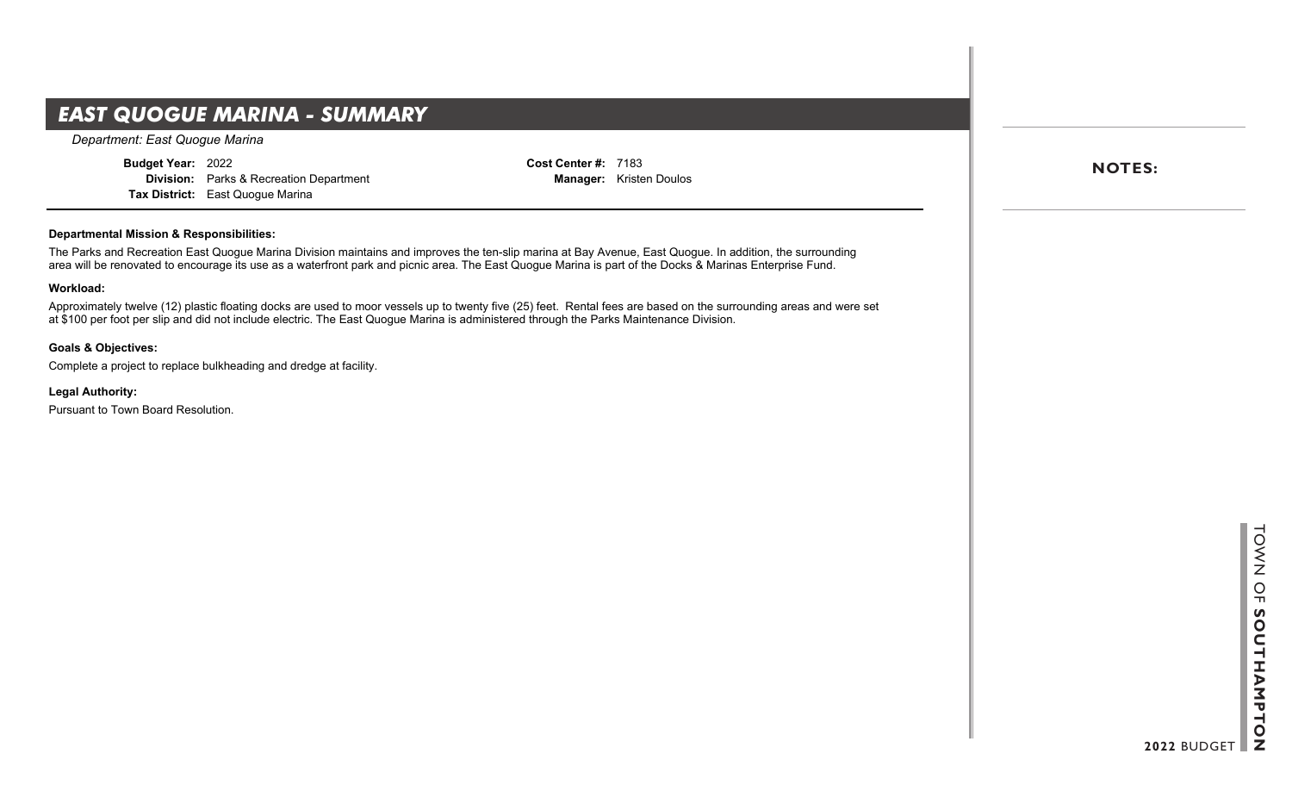## **EAST QUOGUE MARINA - SUMMARY**

*Department: East Quogue Marina*

**Budget Year:** 2022 **Division:** Parks & Recreation Department **Tax District:** East Quogue Marina

**Cost Center #:** 7183 **Manager:** Kristen Doulos

### **Departmental Mission & Responsibilities:**

The Parks and Recreation East Quogue Marina Division maintains and improves the ten-slip marina at Bay Avenue, East Quogue. In addition, the surrounding area will be renovated to encourage its use as a waterfront park and picnic area. The East Quogue Marina is part of the Docks & Marinas Enterprise Fund.

### **Workload:**

Approximately twelve (12) plastic floating docks are used to moor vessels up to twenty five (25) feet. Rental fees are based on the surrounding areas and were set at \$100 per foot per slip and did not include electric. The East Quogue Marina is administered through the Parks Maintenance Division.

### **Goals & Objectives:**

Complete a project to replace bulkheading and dredge at facility.

**Legal Authority:**

Pursuant to Town Board Resolution.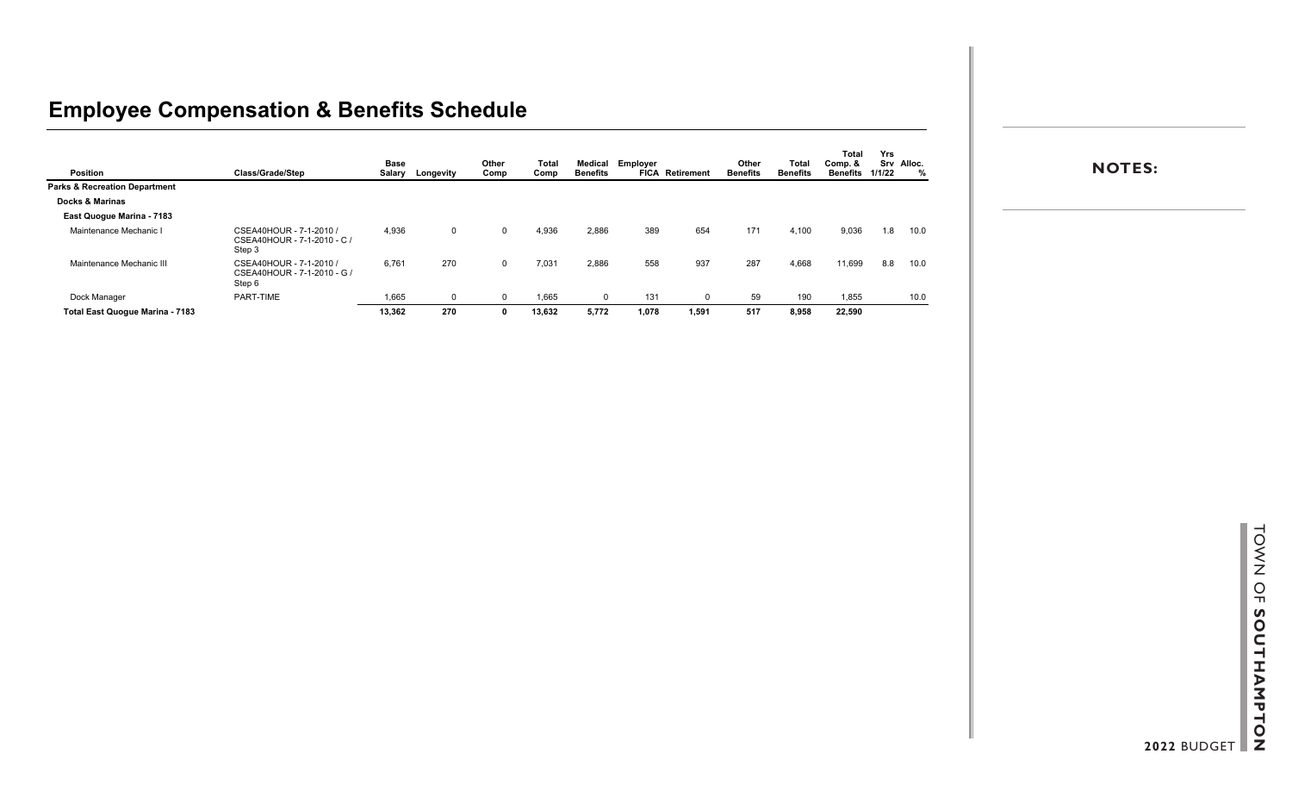| Position                                 | Class/Grade/Step                                                 | <b>Base</b><br>Salary | Longevity   | Other<br>Comp | <b>Total</b><br>Comp | Medical<br><b>Benefits</b> | Employer | <b>FICA Retirement</b> | Other<br><b>Benefits</b> | <b>Total</b><br>Benefits | Total<br>Comp. &<br><b>Benefits</b> | Yrs<br>1/1/22 | Srv Alloc. |
|------------------------------------------|------------------------------------------------------------------|-----------------------|-------------|---------------|----------------------|----------------------------|----------|------------------------|--------------------------|--------------------------|-------------------------------------|---------------|------------|
| <b>Parks &amp; Recreation Department</b> |                                                                  |                       |             |               |                      |                            |          |                        |                          |                          |                                     |               |            |
| <b>Docks &amp; Marinas</b>               |                                                                  |                       |             |               |                      |                            |          |                        |                          |                          |                                     |               |            |
| East Quogue Marina - 7183                |                                                                  |                       |             |               |                      |                            |          |                        |                          |                          |                                     |               |            |
| Maintenance Mechanic I                   | CSEA40HOUR - 7-1-2010 /<br>CSEA40HOUR - 7-1-2010 - C /<br>Step 3 | 4,936                 | $\mathbf 0$ | $\Omega$      | 4,936                | 2,886                      | 389      | 654                    | 171                      | 4,100                    | 9,036                               | 1.8           | 10.0       |
| Maintenance Mechanic III                 | CSEA40HOUR - 7-1-2010 /<br>CSEA40HOUR - 7-1-2010 - G /<br>Step 6 | 6,761                 | 270         | $\Omega$      | 7,031                | 2,886                      | 558      | 937                    | 287                      | 4,668                    | 11,699                              | 8.8           | 10.0       |
| Dock Manager                             | PART-TIME                                                        | 1,665                 | $\Omega$    | $\Omega$      | 1,665                | $\Omega$                   | 131      | $\mathbf 0$            | 59                       | 190                      | 1,855                               |               | 10.0       |
| <b>Total East Quogue Marina - 7183</b>   |                                                                  | 13,362                | 270         |               | 13,632               | 5,772                      | 1,078    | 1,591                  | 517                      | 8,958                    | 22,590                              |               |            |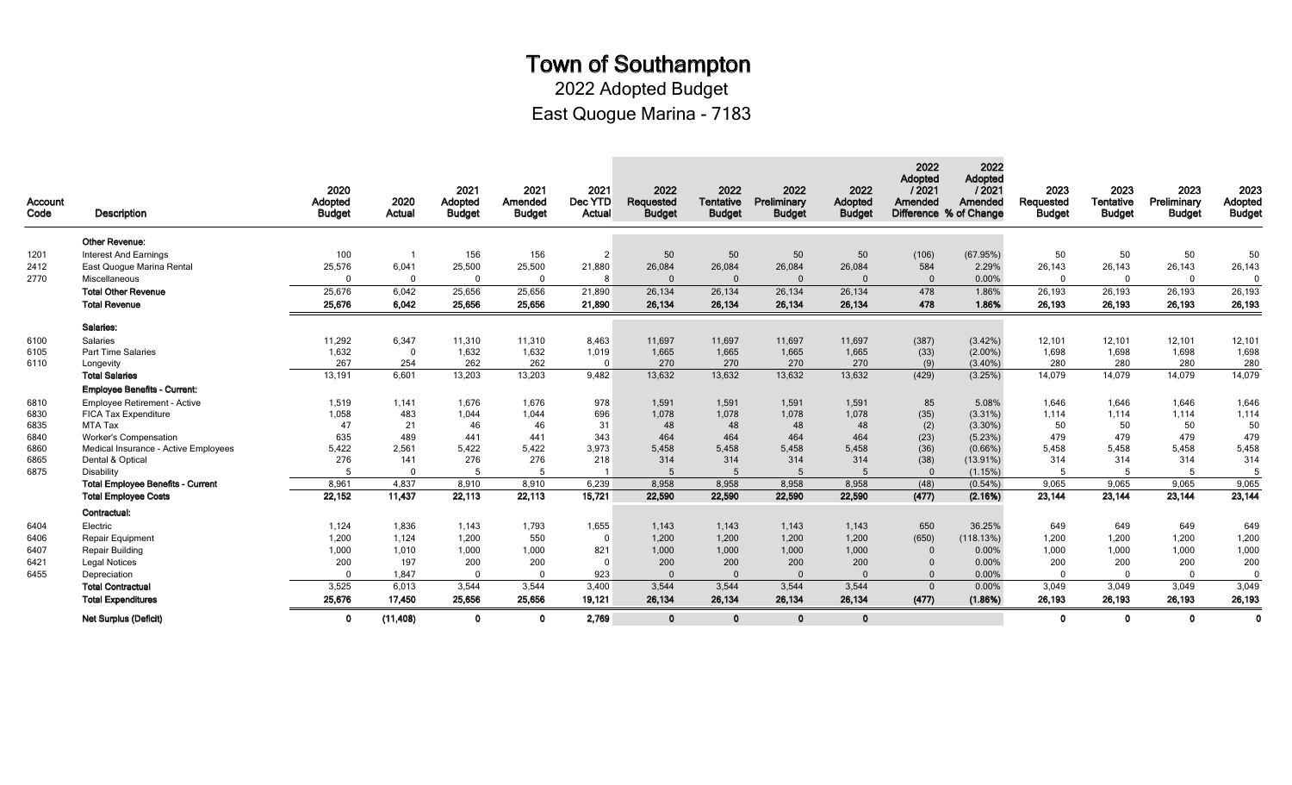2022 Adopted Budget

East Quogue Marina - 7183

| <b>Account</b><br>Code | Description                              | 2020<br>Adopted<br><b>Budget</b> | 2020<br>Actual | 2021<br>Adopted<br><b>Budget</b> | 2021<br>Amended<br><b>Budget</b> | 2021<br>Dec YTD<br><b>Actual</b> | 2022<br>Requested<br><b>Budget</b> | 2022<br>Tentative<br><b>Budget</b> | 2022<br>Preliminary<br><b>Budget</b> | 2022<br>Adopted<br><b>Budget</b> | 2022<br>Adopted<br>/2021<br>Amended | 2022<br>Adopted<br>12021<br>Amended<br>Difference % of Change | 2023<br>Requested<br><b>Budget</b> | 2023<br>Tentative<br><b>Budget</b> | 2023<br>Preliminary<br><b>Budget</b> | 2023<br>Adopted<br><b>Budget</b> |
|------------------------|------------------------------------------|----------------------------------|----------------|----------------------------------|----------------------------------|----------------------------------|------------------------------------|------------------------------------|--------------------------------------|----------------------------------|-------------------------------------|---------------------------------------------------------------|------------------------------------|------------------------------------|--------------------------------------|----------------------------------|
|                        | <b>Other Revenue:</b>                    |                                  |                |                                  |                                  |                                  |                                    |                                    |                                      |                                  |                                     |                                                               |                                    |                                    |                                      |                                  |
| 1201                   | <b>Interest And Earnings</b>             | 100                              |                | 156                              | 156                              | $\overline{2}$                   | 50                                 | 50                                 | 50                                   | 50                               | (106)                               | (67.95%)                                                      | 50                                 | 50                                 | 50                                   | 50                               |
| 2412                   | East Quogue Marina Rental                | 25,576                           | 6.041          | 25,500                           | 25,500                           | 21,880                           | 26,084                             | 26,084                             | 26,084                               | 26,084                           | 584                                 | 2.29%                                                         | 26,143                             | 26,143                             | 26,143                               | 26,143                           |
| 2770                   | Miscellaneous                            | $\Omega$                         | $\Omega$       | $\mathbf{0}$                     | $\overline{0}$                   | 8                                | $\Omega$                           | $\Omega$                           | $\mathbf{0}$                         | $\overline{0}$                   | $\overline{\mathbf{0}}$             | 0.00%                                                         | $\Omega$                           | $\Omega$                           | $\Omega$                             | $\mathbf 0$                      |
|                        | <b>Total Other Revenue</b>               | 25,676                           | 6,042          | 25,656                           | 25,656                           | 21,890                           | 26,134                             | 26,134                             | 26,134                               | 26,134                           | 478                                 | 1.86%                                                         | 26,193                             | 26,193                             | 26,193                               | 26,193                           |
|                        | <b>Total Revenue</b>                     | 25,676                           | 6,042          | 25,656                           | 25,656                           | 21,890                           | 26,134                             | 26,134                             | 26,134                               | 26,134                           | 478                                 | 1.86%                                                         | 26,193                             | 26,193                             | 26,193                               | 26,193                           |
|                        | Salaries:                                |                                  |                |                                  |                                  |                                  |                                    |                                    |                                      |                                  |                                     |                                                               |                                    |                                    |                                      |                                  |
| 6100                   | Salaries                                 | 11,292                           | 6,347          | 11,310                           | 11,310                           | 8,463                            | 11,697                             | 11,697                             | 11,697                               | 11,697                           | (387)                               | $(3.42\%)$                                                    | 12,101                             | 12,101                             | 12,101                               | 12,101                           |
| 6105                   | <b>Part Time Salaries</b>                | 1,632                            | $\Omega$       | 1,632                            | 1,632                            | 1,019                            | 1,665                              | 1,665                              | 1,665                                | 1,665                            | (33)                                | $(2.00\%)$                                                    | 1,698                              | 1,698                              | 1,698                                | 1,698                            |
| 6110                   | Longevity                                | 267                              | 254            | 262                              | 262                              | $\Omega$                         | 270                                | 270                                | 270                                  | 270                              | (9)                                 | $(3.40\%)$                                                    | 280                                | 280                                | 280                                  | 280                              |
|                        | <b>Total Salaries</b>                    | 13,191                           | 6,601          | 13,203                           | 13,203                           | 9,482                            | 13,632                             | 13,632                             | 13,632                               | 13,632                           | (429)                               | (3.25%)                                                       | 14,079                             | 14,079                             | 14,079                               | 14,079                           |
|                        | <b>Employee Benefits - Current:</b>      |                                  |                |                                  |                                  |                                  |                                    |                                    |                                      |                                  |                                     |                                                               |                                    |                                    |                                      |                                  |
| 6810                   | <b>Employee Retirement - Active</b>      | 1,519                            | 1.141          | 1.676                            | 1.676                            | 978                              | 1,591                              | 1,591                              | 1,591                                | 1,591                            | 85                                  | 5.08%                                                         | 1,646                              | 1,646                              | 1,646                                | 1,646                            |
| 6830                   | FICA Tax Expenditure                     | 1,058                            | 483            | 1,044                            | 1,044                            | 696                              | 1,078                              | 1,078                              | 1,078                                | 1,078                            | (35)                                | $(3.31\%)$                                                    | 1,114                              | 1,114                              | 1,114                                | 1,114                            |
| 6835                   | MTA Tax                                  | 47                               | 21             | 46                               | 46                               | 31                               | 48                                 | 48                                 | 48                                   | 48                               | (2)                                 | $(3.30\%)$                                                    | 50                                 | 50                                 | 50                                   | 50                               |
| 6840                   | <b>Worker's Compensation</b>             | 635                              | 489            | 441                              | 441                              | 343                              | 464                                | 464                                | 464                                  | 464                              | (23)                                | (5.23%)                                                       | 479                                | 479                                | 479                                  | 479                              |
| 6860                   | Medical Insurance - Active Employees     | 5,422                            | 2,561          | 5,422                            | 5,422                            | 3,973                            | 5,458                              | 5,458                              | 5,458                                | 5,458                            | (36)                                | $(0.66\%)$                                                    | 5,458                              | 5,458                              | 5,458                                | 5,458                            |
| 6865                   | Dental & Optical                         | 276                              | 141            | 276                              | 276                              | 218                              | 314                                | 314                                | 314                                  | 314                              | (38)                                | $(13.91\%)$                                                   | 314                                | 314                                | 314                                  | 314                              |
| 6875                   | <b>Disability</b>                        |                                  | $\Omega$       | -5                               | 5                                |                                  | 5                                  | 5                                  | 5                                    | 5                                | $\overline{\mathbf{0}}$             | (1.15%)                                                       | -5                                 | 5                                  | -5                                   |                                  |
|                        | <b>Total Employee Benefits - Current</b> | 8,961                            | 4,837          | 8,910                            | 8,910                            | 6,239                            | 8,958                              | 8,958                              | 8,958                                | 8,958                            | (48)                                | $(0.54\%)$                                                    | 9,065                              | 9,065                              | 9,065                                | 9,065                            |
|                        | <b>Total Employee Costs</b>              | 22,152                           | 11,437         | 22,113                           | 22,113                           | 15,721                           | 22,590                             | 22,590                             | 22,590                               | 22,590                           | (477)                               | (2.16%)                                                       | 23,144                             | 23,144                             | 23,144                               | 23,144                           |
|                        | Contractual:                             |                                  |                |                                  |                                  |                                  |                                    |                                    |                                      |                                  |                                     |                                                               |                                    |                                    |                                      |                                  |
| 6404                   | Electric                                 | 1,124                            | 1,836          | 1.143                            | 1,793                            | 1,655                            | 1,143                              | 1,143                              | 1,143                                | 1,143                            | 650                                 | 36.25%                                                        | 649                                | 649                                | 649                                  | 649                              |
| 6406                   | <b>Repair Equipment</b>                  | 1,200                            | 1,124          | 1.200                            | 550                              | $\Omega$                         | 1,200                              | 1,200                              | 1,200                                | 1,200                            | (650)                               | (118.13%)                                                     | 1,200                              | 1,200                              | 1,200                                | 1,200                            |
| 6407                   | Repair Building                          | 1,000                            | 1,010          | 1,000                            | 1,000                            | 821                              | 1,000                              | 1,000                              | 1,000                                | 1,000                            | $\overline{0}$                      | 0.00%                                                         | 1,000                              | 1,000                              | 1,000                                | 1,000                            |
| 6421                   | <b>Legal Notices</b>                     | 200                              | 197            | 200                              | 200                              | $\Omega$                         | 200                                | 200                                | 200                                  | 200                              | $\Omega$                            | 0.00%                                                         | 200                                | 200                                | 200                                  | 200                              |
| 6455                   | Depreciation                             | $\Omega$                         | 1,847          | $\mathbf{0}$                     | $\Omega$                         | 923                              | $\Omega$                           |                                    | $\Omega$                             | $\overline{0}$                   | $\Omega$                            | 0.00%                                                         | $\Omega$                           | $\Omega$                           | $\Omega$                             | $\Omega$                         |
|                        | <b>Total Contractual</b>                 | 3,525                            | 6,013          | 3,544                            | 3,544                            | 3,400                            | 3,544                              | 3,544                              | 3,544                                | 3,544                            | $\overline{0}$                      | 0.00%                                                         | 3,049                              | 3,049                              | 3,049                                | 3,049                            |
|                        | <b>Total Expenditures</b>                | 25,676                           | 17,450         | 25,656                           | 25,656                           | 19,121                           | 26,134                             | 26,134                             | 26,134                               | 26,134                           | (477)                               | (1.86%)                                                       | 26,193                             | 26,193                             | 26,193                               | 26,193                           |
|                        | Net Surplus (Deficit)                    | $\mathbf{0}$                     | (11, 408)      | $\mathbf{0}$                     | $\Omega$                         | 2,769                            | $\mathbf{0}$                       | $\mathbf 0$                        | $\Omega$                             | $\mathbf{0}$                     |                                     |                                                               | $\Omega$                           | $\mathbf 0$                        | $\mathbf 0$                          | $\mathbf 0$                      |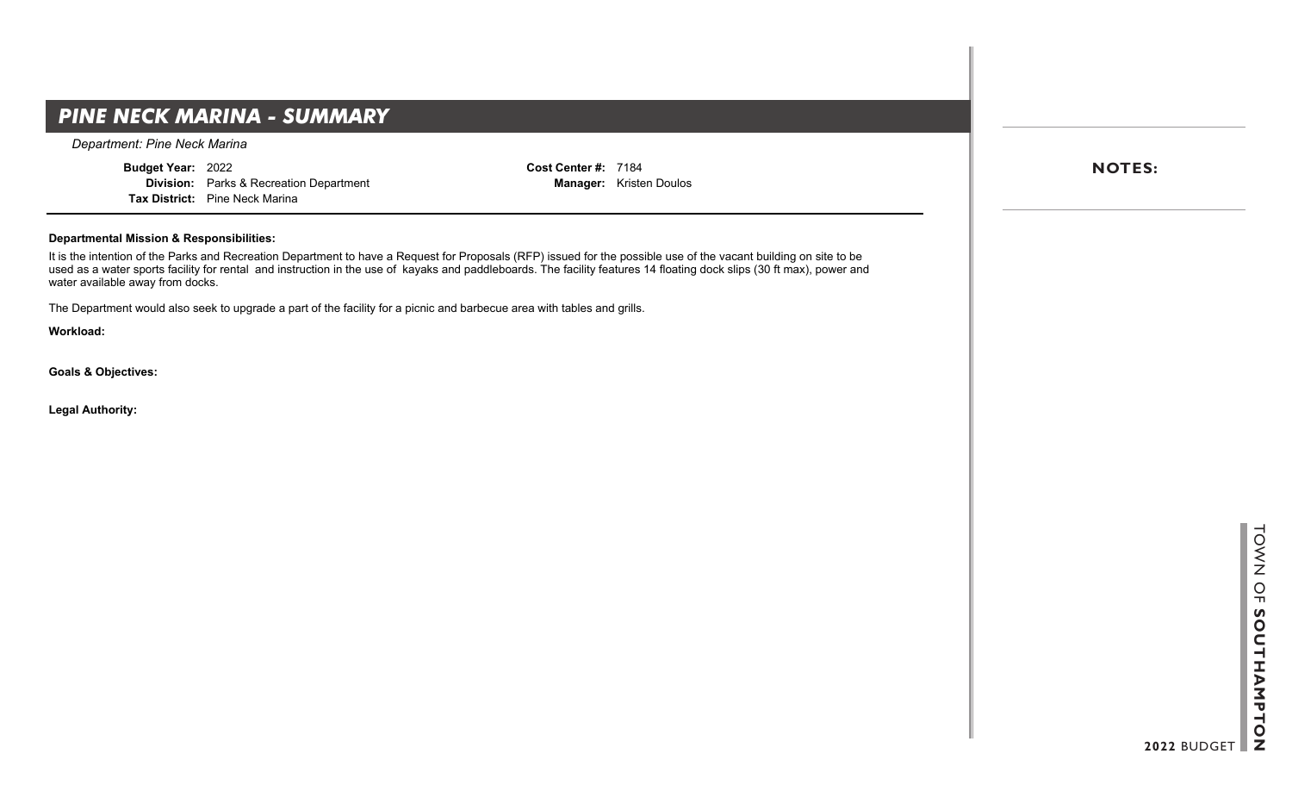## **PINE NECK MARINA - SUMMARY**

*Department: Pine Neck Marina*

**Budget Year:** 2022 **Division:** Parks & Recreation Department **Tax District:** Pine Neck Marina

**Cost Center #:** 7184 **Manager:** Kristen Doulos

### **Departmental Mission & Responsibilities:**

It is the intention of the Parks and Recreation Department to have a Request for Proposals (RFP) issued for the possible use of the vacant building on site to be used as a water sports facility for rental and instruction in the use of kayaks and paddleboards. The facility features 14 floating dock slips (30 ft max), power and water available away from docks.

The Department would also seek to upgrade a part of the facility for a picnic and barbecue area with tables and grills.

**Workload:**

**Goals & Objectives:**

**Legal Authority:**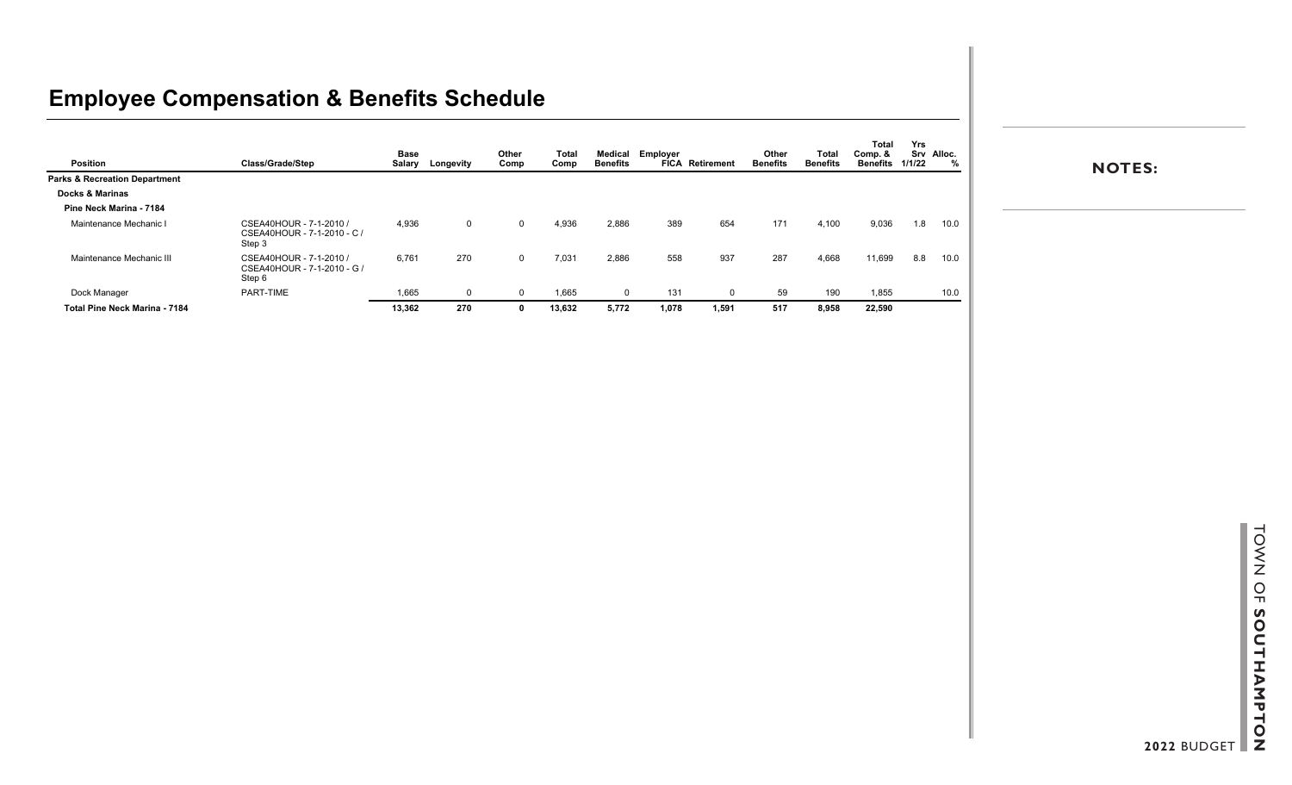| <b>Position</b>                          | Class/Grade/Step                                                 | Base<br>Salary | Longevity   | Other<br>Comp | Total<br>Comp | Benefits | Medical Employer | <b>FICA Retirement</b> | Other<br><b>Benefits</b> | <b>Total</b><br><b>Benefits</b> | <b>Total</b><br>Comp. &<br><b>Benefits</b> | Yrs<br>1/1/22 | Srv Alloc.<br>% |
|------------------------------------------|------------------------------------------------------------------|----------------|-------------|---------------|---------------|----------|------------------|------------------------|--------------------------|---------------------------------|--------------------------------------------|---------------|-----------------|
| <b>Parks &amp; Recreation Department</b> |                                                                  |                |             |               |               |          |                  |                        |                          |                                 |                                            |               |                 |
| <b>Docks &amp; Marinas</b>               |                                                                  |                |             |               |               |          |                  |                        |                          |                                 |                                            |               |                 |
| Pine Neck Marina - 7184                  |                                                                  |                |             |               |               |          |                  |                        |                          |                                 |                                            |               |                 |
| Maintenance Mechanic I                   | CSEA40HOUR - 7-1-2010 /<br>CSEA40HOUR - 7-1-2010 - C /<br>Step 3 | 4,936          | 0           | 0             | 4,936         | 2,886    | 389              | 654                    | 171                      | 4,100                           | 9,036                                      | 1.8           | 10.0            |
| Maintenance Mechanic III                 | CSEA40HOUR - 7-1-2010 /<br>CSEA40HOUR - 7-1-2010 - G /<br>Step 6 | 6,761          | 270         | 0             | 7,031         | 2,886    | 558              | 937                    | 287                      | 4,668                           | 11,699                                     | 8.8           | 10.0            |
| Dock Manager                             | PART-TIME                                                        | 1.665          | $\mathbf 0$ | 0             | 1.665         | 0        | 131              | 0                      | 59                       | 190                             | 1,855                                      |               | 10.0            |
| Total Pine Neck Marina - 7184            |                                                                  | 13,362         | 270         |               | 13,632        | 5,772    | 1,078            | 1,591                  | 517                      | 8,958                           | 22,590                                     |               |                 |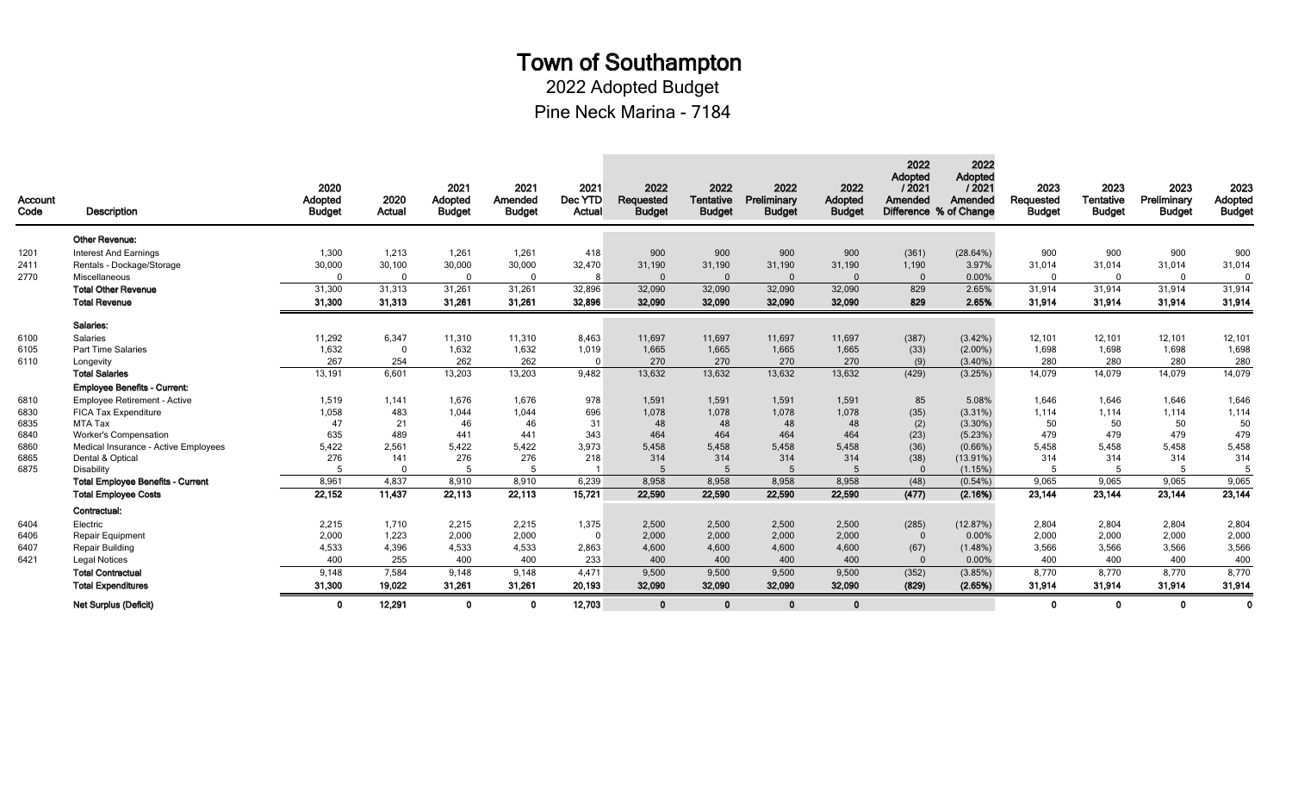2022 Adopted Budget

Pine Neck Marina - 7184

| <b>Account</b><br>Code | <b>Description</b>                       | 2020<br><b>Adopted</b><br><b>Budget</b> | 2020<br><b>Actual</b> | 2021<br>Adopted<br><b>Budget</b> | 2021<br>Amended<br><b>Budget</b> | 2021<br>Dec YTD<br>Actual | 2022<br>Requested<br><b>Budget</b> | 2022<br>Tentative<br><b>Budget</b> | 2022<br>Preliminary<br><b>Budget</b> | 2022<br>Adopted<br><b>Budget</b> | 2022<br>Adopted<br>12021<br>Amended | 2022<br>Adopted<br>/2021<br>Amended<br>Difference % of Change | 2023<br>Requested<br><b>Budget</b> | 2023<br><b>Tentative</b><br><b>Budget</b> | 2023<br>Preliminary<br><b>Budget</b> | 2023<br>Adopted<br><b>Budget</b> |
|------------------------|------------------------------------------|-----------------------------------------|-----------------------|----------------------------------|----------------------------------|---------------------------|------------------------------------|------------------------------------|--------------------------------------|----------------------------------|-------------------------------------|---------------------------------------------------------------|------------------------------------|-------------------------------------------|--------------------------------------|----------------------------------|
|                        | Other Revenue:                           |                                         |                       |                                  |                                  |                           |                                    |                                    |                                      |                                  |                                     |                                                               |                                    |                                           |                                      |                                  |
| 1201                   | <b>Interest And Earnings</b>             | 1,300                                   | 1,213                 | 1,261                            | 1.261                            | 418                       | 900                                | 900                                | 900                                  | 900                              | (361)                               | (28.64%)                                                      | 900                                | 900                                       | 900                                  | 900                              |
| 2411                   | Rentals - Dockage/Storage                | 30,000                                  | 30,100                | 30,000                           | 30,000                           | 32,470                    | 31,190                             | 31,190                             | 31,190                               | 31,190                           | 1,190                               | 3.97%                                                         | 31,014                             | 31,014                                    | 31,014                               | 31,014                           |
| 2770                   | <b>Miscellaneous</b>                     | $\Omega$                                | $\Omega$              | $\Omega$                         | $\overline{0}$                   | 8                         | $\Omega$                           | $\Omega$                           | $\Omega$                             | $\overline{0}$                   | $\overline{0}$                      | 0.00%                                                         | $\Omega$                           | $\Omega$                                  | $\Omega$                             | $\Omega$                         |
|                        | <b>Total Other Revenue</b>               | 31,300                                  | 31,313                | 31,261                           | 31,261                           | 32,896                    | 32,090                             | 32,090                             | 32,090                               | 32,090                           | 829                                 | 2.65%                                                         | 31,914                             | 31,914                                    | 31,914                               | 31,914                           |
|                        | <b>Total Revenue</b>                     | 31,300                                  | 31.313                | 31,261                           | 31,261                           | 32,896                    | 32,090                             | 32,090                             | 32,090                               | 32,090                           | 829                                 | 2.65%                                                         | 31,914                             | 31.914                                    | 31,914                               | 31,914                           |
|                        | Salaries:                                |                                         |                       |                                  |                                  |                           |                                    |                                    |                                      |                                  |                                     |                                                               |                                    |                                           |                                      |                                  |
| 6100                   | Salaries                                 | 11,292                                  | 6,347                 | 11,310                           | 11,310                           | 8,463                     | 11,697                             | 11,697                             | 11,697                               | 11,697                           | (387)                               | $(3.42\%)$                                                    | 12,101                             | 12,101                                    | 12,101                               | 12,101                           |
| 6105                   | <b>Part Time Salaries</b>                | 1,632                                   | $\Omega$              | 1,632                            | 1,632                            | 1,019                     | 1,665                              | 1,665                              | 1,665                                | 1,665                            | (33)                                | $(2.00\%)$                                                    | 1,698                              | 1,698                                     | 1,698                                | 1,698                            |
| 6110                   | Longevity                                | 267                                     | 254                   | 262                              | 262                              | $\Omega$                  | 270                                | 270                                | 270                                  | 270                              | (9)                                 | $(3.40\%)$                                                    | 280                                | 280                                       | 280                                  | 280                              |
|                        | <b>Total Salaries</b>                    | 13,191                                  | 6,601                 | 13,203                           | 13,203                           | 9,482                     | 13,632                             | 13,632                             | 13,632                               | 13,632                           | (429)                               | (3.25%)                                                       | 14,079                             | 14,079                                    | 14,079                               | 14,079                           |
|                        | <b>Employee Benefits - Current:</b>      |                                         |                       |                                  |                                  |                           |                                    |                                    |                                      |                                  |                                     |                                                               |                                    |                                           |                                      |                                  |
| 6810                   | <b>Employee Retirement - Active</b>      | 1,519                                   | 1,141                 | 1,676                            | 1.676                            | 978                       | 1,591                              | 1,591                              | 1,591                                | 1,591                            | 85                                  | 5.08%                                                         | 1,646                              | 1,646                                     | 1,646                                | 1,646                            |
| 6830                   | FICA Tax Expenditure                     | 1,058                                   | 483                   | 1,044                            | 1,044                            | 696                       | 1,078                              | 1,078                              | 1,078                                | 1,078                            | (35)                                | $(3.31\%)$                                                    | 1,114                              | 1,114                                     | 1,114                                | 1,114                            |
| 6835                   | MTA Tax                                  | 47                                      | 21                    | 46                               | 46                               | 31                        | 48                                 | 48                                 | 48                                   | 48                               | (2)                                 | $(3.30\%)$                                                    | 50                                 | 50                                        | 50                                   | 50                               |
| 6840                   | <b>Worker's Compensation</b>             | 635                                     | 489                   | 441                              | 441                              | 343                       | 464                                | 464                                | 464                                  | 464                              | (23)                                | (5.23%)                                                       | 479                                | 479                                       | 479                                  | 479                              |
| 6860                   | Medical Insurance - Active Employees     | 5,422                                   | 2,561                 | 5,422                            | 5,422                            | 3,973                     | 5,458                              | 5,458                              | 5,458                                | 5,458                            | (36)                                | $(0.66\%)$                                                    | 5,458                              | 5,458                                     | 5,458                                | 5,458                            |
| 6865                   | Dental & Optical                         | 276                                     | 141                   | 276                              | 276                              | 218                       | 314                                | 314                                | 314                                  | 314                              | (38)                                | $(13.91\%)$                                                   | 314                                | 314                                       | 314                                  | 314                              |
| 6875                   | Disability                               |                                         | $\Omega$              | 5                                | -5                               |                           | 5                                  |                                    | $\overline{5}$                       | 5                                | $\Omega$                            | (1.15%)                                                       | -5                                 | 5                                         | 5                                    |                                  |
|                        | <b>Total Emplovee Benefits - Current</b> | 8,961                                   | 4,837                 | 8,910                            | 8,910                            | 6,239                     | 8,958                              | 8,958                              | 8,958                                | 8,958                            | (48)                                | $(0.54\%)$                                                    | 9,065                              | 9,065                                     | 9,065                                | 9,065                            |
|                        | <b>Total Employee Costs</b>              | 22,152                                  | 11,437                | 22,113                           | 22,113                           | 15,721                    | 22,590                             | 22,590                             | 22,590                               | 22,590                           | (477)                               | (2.16%)                                                       | 23,144                             | 23,144                                    | 23,144                               | 23,144                           |
|                        | Contractual:                             |                                         |                       |                                  |                                  |                           |                                    |                                    |                                      |                                  |                                     |                                                               |                                    |                                           |                                      |                                  |
| 6404                   | Electric                                 | 2,215                                   | 1,710                 | 2,215                            | 2,215                            | 1,375                     | 2,500                              | 2,500                              | 2,500                                | 2,500                            | (285)                               | (12.87%)                                                      | 2,804                              | 2,804                                     | 2,804                                | 2,804                            |
| 6406                   | <b>Repair Equipment</b>                  | 2,000                                   | 1,223                 | 2,000                            | 2,000                            | $\Omega$                  | 2,000                              | 2,000                              | 2,000                                | 2,000                            | $\overline{0}$                      | 0.00%                                                         | 2,000                              | 2,000                                     | 2,000                                | 2,000                            |
| 6407                   | Repair Building                          | 4,533                                   | 4,396                 | 4,533                            | 4,533                            | 2,863                     | 4,600                              | 4,600                              | 4,600                                | 4,600                            | (67)                                | $(1.48\%)$                                                    | 3,566                              | 3,566                                     | 3,566                                | 3,566                            |
| 6421                   | <b>Legal Notices</b>                     | 400                                     | 255                   | 400                              | 400                              | 233                       | 400                                | 400                                | 400                                  | 400                              | $\Omega$                            | 0.00%                                                         | 400                                | 400                                       | 400                                  | 400                              |
|                        | <b>Total Contractual</b>                 | 9.148                                   | 7,584                 | 9.148                            | 9.148                            | 4.471                     | 9,500                              | 9,500                              | 9,500                                | 9,500                            | (352)                               | (3.85%)                                                       | 8,770                              | 8,770                                     | 8.770                                | 8,770                            |
|                        | <b>Total Expenditures</b>                | 31,300                                  | 19,022                | 31,261                           | 31.261                           | 20,193                    | 32,090                             | 32,090                             | 32,090                               | 32,090                           | (829)                               | (2.65%)                                                       | 31,914                             | 31,914                                    | 31,914                               | 31,914                           |
|                        | <b>Net Surplus (Deficit)</b>             | 0                                       | 12,291                | $\mathbf{0}$                     | $\Omega$                         | 12.703                    | $\mathbf{0}$                       | $\mathbf{0}$                       | $\Omega$                             | $\Omega$                         |                                     |                                                               | -0                                 | $\mathbf{0}$                              | $\mathbf{0}$                         | 0                                |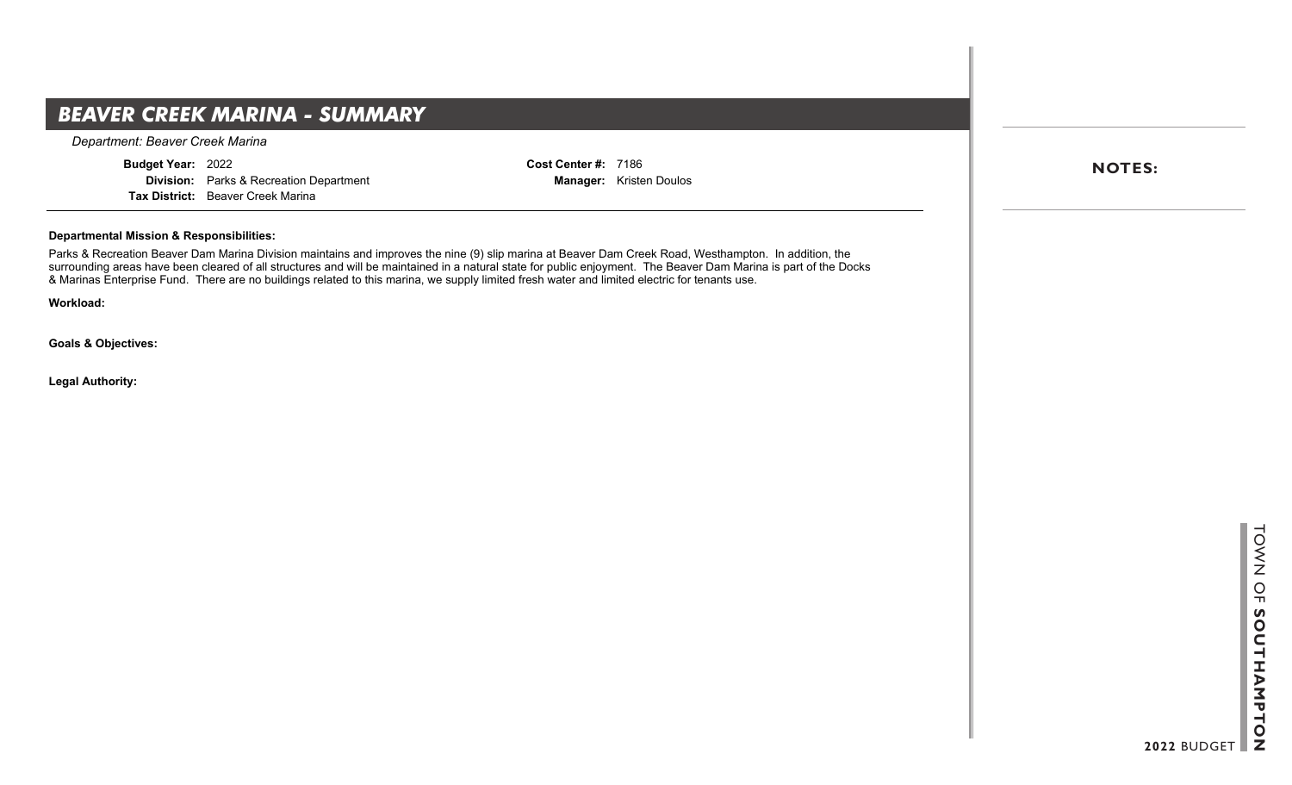## **BEAVER CREEK MARINA - SUMMARY**

*Department: Beaver Creek Marina*

**Budget Year:** 2022

**Division:** Parks & Recreation Department **Tax District:** Beaver Creek Marina

**Cost Center #:** 7186 **Manager:** Kristen Doulos **NOTES:**

### **Departmental Mission & Responsibilities:**

Parks & Recreation Beaver Dam Marina Division maintains and improves the nine (9) slip marina at Beaver Dam Creek Road, Westhampton. In addition, the surrounding areas have been cleared of all structures and will be maintained in a natural state for public enjoyment. The Beaver Dam Marina is part of the Docks & Marinas Enterprise Fund. There are no buildings related to this marina, we supply limited fresh water and limited electric for tenants use.

**Workload:**

**Goals & Objectives:**

**Legal Authority:**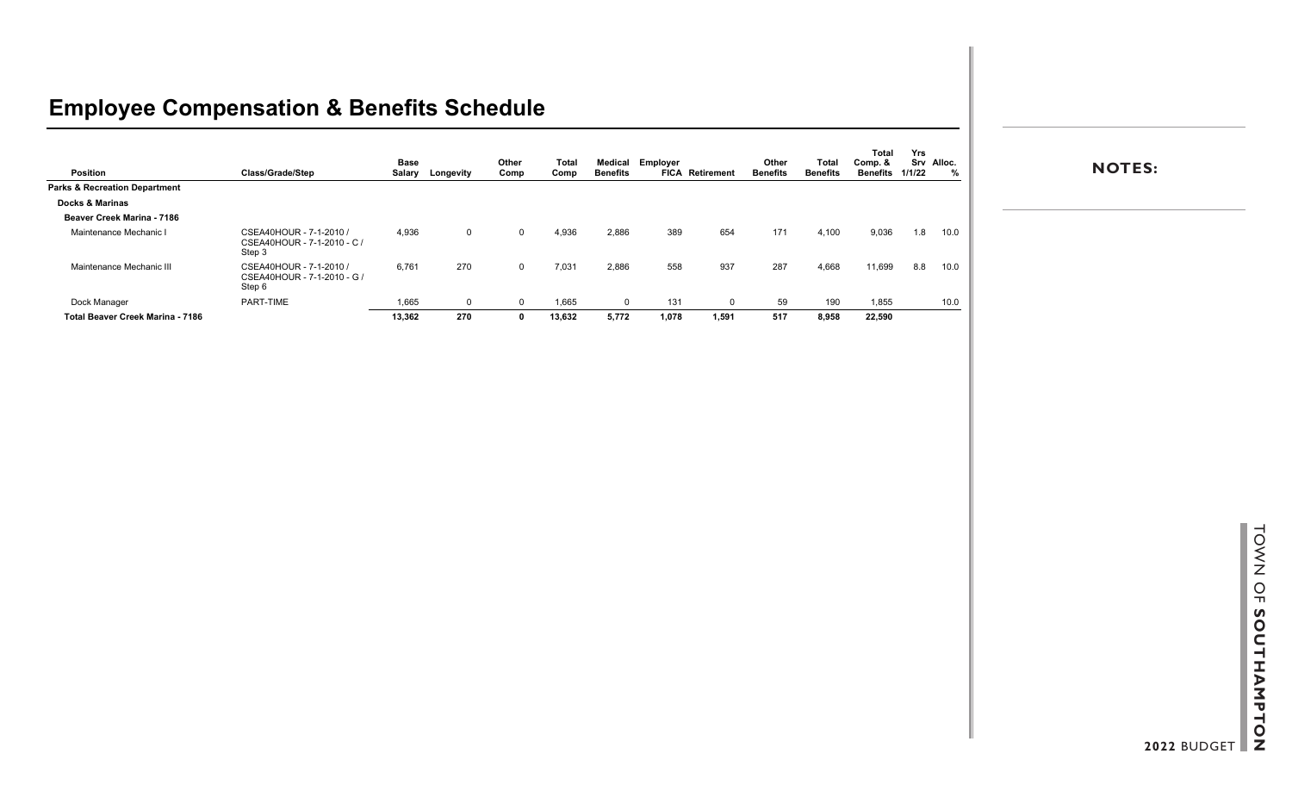| <b>Position</b>                          | Class/Grade/Step                                                 | Base<br>Salary | Longevity | Other<br>Comp | <b>Total</b><br>Comp | Benefits | Medical Employer | <b>FICA Retirement</b> | Other<br><b>Benefits</b> | <b>Total</b><br>Benefits | <b>Total</b><br>Comp. &<br><b>Benefits</b> | Yrs<br>1/1/22 | Srv Alloc.<br>% |
|------------------------------------------|------------------------------------------------------------------|----------------|-----------|---------------|----------------------|----------|------------------|------------------------|--------------------------|--------------------------|--------------------------------------------|---------------|-----------------|
| <b>Parks &amp; Recreation Department</b> |                                                                  |                |           |               |                      |          |                  |                        |                          |                          |                                            |               |                 |
| Docks & Marinas                          |                                                                  |                |           |               |                      |          |                  |                        |                          |                          |                                            |               |                 |
| Beaver Creek Marina - 7186               |                                                                  |                |           |               |                      |          |                  |                        |                          |                          |                                            |               |                 |
| Maintenance Mechanic I                   | CSEA40HOUR - 7-1-2010 /<br>CSEA40HOUR - 7-1-2010 - C /<br>Step 3 | 4,936          | 0         |               | 4,936                | 2,886    | 389              | 654                    | 171                      | 4,100                    | 9,036                                      | 1.8           | 10.0            |
| Maintenance Mechanic III                 | CSEA40HOUR - 7-1-2010 /<br>CSEA40HOUR - 7-1-2010 - G /<br>Step 6 | 6,761          | 270       | $\Omega$      | 7.031                | 2,886    | 558              | 937                    | 287                      | 4.668                    | 11,699                                     | 8.8           | 10.0            |
| Dock Manager                             | PART-TIME                                                        | 1,665          |           |               | 1,665                | 0        | 131              |                        | 59                       | 190                      | 1,855                                      |               | 10.0            |
| Total Beaver Creek Marina - 7186         |                                                                  | 13,362         | 270       |               | 13,632               | 5,772    | 1,078            | 1,591                  | 517                      | 8,958                    | 22,590                                     |               |                 |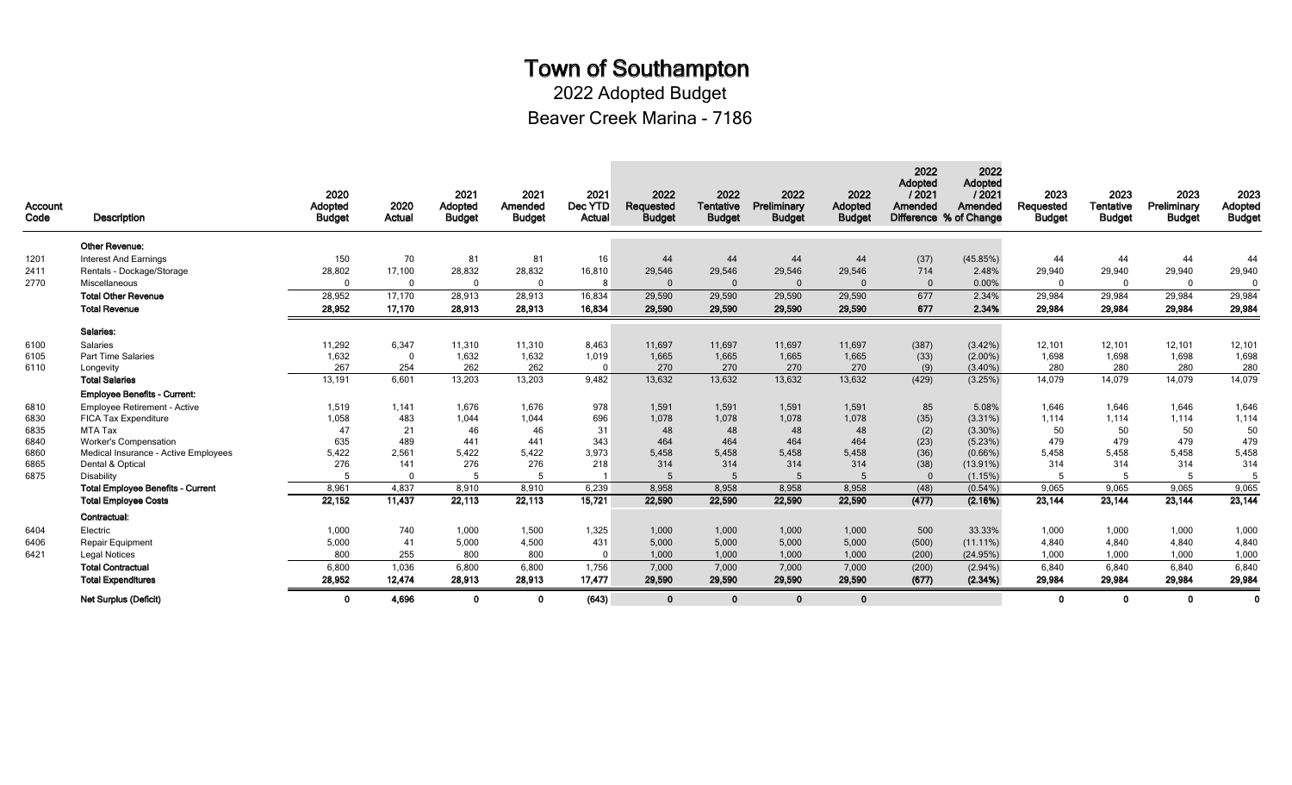Beaver Creek Marina - 7186 2022 Adopted Budget

| Account<br>Code | <b>Description</b>                       | 2020<br>Adopted<br><b>Budget</b> | 2020<br><b>Actual</b> | 2021<br>Adopted<br><b>Budget</b> | 2021<br>Amended<br><b>Budget</b> | 2021<br>Dec YTD<br>Actual | 2022<br>Requested<br><b>Budget</b> | 2022<br><b>Tentative</b><br><b>Budget</b> | 2022<br>Preliminary<br><b>Budget</b> | 2022<br>Adopted<br><b>Budget</b> | 2022<br>Adopted<br>12021<br>Amended | 2022<br>Adopted<br>12021<br>Amended<br>Difference % of Change | 2023<br>Requested<br><b>Budget</b> | 2023<br><b>Tentative</b><br><b>Budget</b> | 2023<br>Preliminary<br><b>Budget</b> | 2023<br>Adopted<br><b>Budget</b> |
|-----------------|------------------------------------------|----------------------------------|-----------------------|----------------------------------|----------------------------------|---------------------------|------------------------------------|-------------------------------------------|--------------------------------------|----------------------------------|-------------------------------------|---------------------------------------------------------------|------------------------------------|-------------------------------------------|--------------------------------------|----------------------------------|
|                 | <b>Other Revenue:</b>                    |                                  |                       |                                  |                                  |                           |                                    |                                           |                                      |                                  |                                     |                                                               |                                    |                                           |                                      |                                  |
| 1201            | <b>Interest And Earnings</b>             | 150                              | 70                    | 81                               | 81                               | 16                        | 44                                 | 44                                        | 44                                   | 44                               | (37)                                | (45.85%)                                                      | 44                                 | 44                                        | 44                                   | 44                               |
| 2411            | Rentals - Dockage/Storage                | 28,802                           | 17,100                | 28,832                           | 28,832                           | 16,810                    | 29,546                             | 29,546                                    | 29,546                               | 29,546                           | 714                                 | 2.48%                                                         | 29,940                             | 29,940                                    | 29,940                               | 29,940                           |
| 2770            | Miscellaneous                            | $\Omega$                         | $\Omega$              | $\Omega$                         | $\theta$                         | 8                         | $\Omega$                           | $\Omega$                                  | $\Omega$                             |                                  | $\Omega$                            | 0.00%                                                         | $\Omega$                           | $\Omega$                                  | $\Omega$                             | $\Omega$                         |
|                 | <b>Total Other Revenue</b>               | 28,952                           | 17.170                | 28.913                           | 28,913                           | 16,834                    | 29,590                             | 29,590                                    | 29,590                               | 29,590                           | 677                                 | 2.34%                                                         | 29.984                             | 29.984                                    | 29.984                               | 29,984                           |
|                 | <b>Total Revenue</b>                     | 28,952                           | 17,170                | 28,913                           | 28,913                           | 16,834                    | 29,590                             | 29,590                                    | 29,590                               | 29,590                           | 677                                 | 2.34%                                                         | 29,984                             | 29,984                                    | 29,984                               | 29,984                           |
|                 | Salaries:                                |                                  |                       |                                  |                                  |                           |                                    |                                           |                                      |                                  |                                     |                                                               |                                    |                                           |                                      |                                  |
| 6100            | Salaries                                 | 11,292                           | 6,347                 | 11,310                           | 11,310                           | 8,463                     | 11,697                             | 11,697                                    | 11,697                               | 11,697                           | (387)                               | $(3.42\%)$                                                    | 12,101                             | 12,101                                    | 12,101                               | 12,101                           |
| 6105            | Part Time Salaries                       | 1,632                            | $\Omega$              | 1,632                            | 1,632                            | 1,019                     | 1,665                              | 1,665                                     | 1,665                                | 1,665                            | (33)                                | $(2.00\%)$                                                    | 1,698                              | 1,698                                     | 1,698                                | 1,698                            |
| 6110            | Longevity                                | 267                              | 254                   | 262                              | 262                              | $\Omega$                  | 270                                | 270                                       | 270                                  | 270                              | (9)                                 | $(3.40\%)$                                                    | 280                                | 280                                       | 280                                  | 280                              |
|                 | <b>Total Salaries</b>                    | 13,191                           | 6,601                 | 13,203                           | 13,203                           | 9,482                     | 13,632                             | 13,632                                    | 13,632                               | 13,632                           | (429)                               | (3.25%)                                                       | 14,079                             | 14,079                                    | 14,079                               | 14,079                           |
|                 | <b>Employee Benefits - Current:</b>      |                                  |                       |                                  |                                  |                           |                                    |                                           |                                      |                                  |                                     |                                                               |                                    |                                           |                                      |                                  |
| 6810            | <b>Employee Retirement - Active</b>      | 1,519                            | 1,141                 | 1,676                            | 1,676                            | 978                       | 1,591                              | 1,591                                     | 1,591                                | 1,591                            | 85                                  | 5.08%                                                         | 1,646                              | 1,646                                     | 1,646                                | 1,646                            |
| 6830            | <b>FICA Tax Expenditure</b>              | 1,058                            | 483                   | 1,044                            | 1,044                            | 696                       | 1,078                              | 1,078                                     | 1,078                                | 1,078                            | (35)                                | $(3.31\%)$                                                    | 1,114                              | 1,114                                     | 1,114                                | 1,114                            |
| 6835            | MTA Tax                                  | 47                               | 21                    | 46                               | 46                               | 31                        | 48                                 | 48                                        | 48                                   | 48                               | (2)                                 | $(3.30\%)$                                                    | 50                                 | 50                                        | 50                                   | 50                               |
| 6840            | <b>Worker's Compensation</b>             | 635                              | 489                   | 441                              | 441                              | 343                       | 464                                | 464                                       | 464                                  | 464                              | (23)                                | (5.23%)                                                       | 479                                | 479                                       | 479                                  | 479                              |
| 6860            | Medical Insurance - Active Employees     | 5,422                            | 2,561                 | 5,422                            | 5,422                            | 3,973                     | 5,458                              | 5,458                                     | 5,458                                | 5,458                            | (36)                                | $(0.66\%)$                                                    | 5,458                              | 5,458                                     | 5,458                                | 5,458                            |
| 6865            | Dental & Optical                         | 276                              | 141                   | 276                              | 276                              | 218                       | 314                                | 314                                       | 314                                  | 314                              | (38)                                | $(13.91\%)$                                                   | 314                                | 314                                       | 314                                  | 314                              |
| 6875            | Disability                               |                                  | $\Omega$              |                                  | 5                                |                           | 5                                  | $\overline{5}$                            | 5                                    |                                  | $\Omega$                            | (1.15%)                                                       | -5                                 | .5                                        | 5                                    |                                  |
|                 | <b>Total Employee Benefits - Current</b> | 8,961                            | 4,837                 | 8,910                            | 8,910                            | 6,239                     | 8.958                              | 8,958                                     | 8,958                                | 8,958                            | (48)                                | $(0.54\%)$                                                    | 9,065                              | 9.065                                     | 9.065                                | 9,065                            |
|                 | <b>Total Employee Costs</b>              | 22,152                           | 11,437                | 22,113                           | 22,113                           | 15,721                    | 22,590                             | 22,590                                    | 22,590                               | 22,590                           | (477)                               | (2.16%)                                                       | 23,144                             | 23,144                                    | 23.144                               | 23,144                           |
|                 | Contractual:                             |                                  |                       |                                  |                                  |                           |                                    |                                           |                                      |                                  |                                     |                                                               |                                    |                                           |                                      |                                  |
| 6404            | Electric                                 | 1,000                            | 740                   | 1,000                            | 1,500                            | 1,325                     | 1,000                              | 1,000                                     | 1,000                                | 1,000                            | 500                                 | 33.33%                                                        | 1,000                              | 1,000                                     | 1.000                                | 1,000                            |
| 6406            | <b>Repair Equipment</b>                  | 5,000                            | 41                    | 5,000                            | 4,500                            | 431                       | 5,000                              | 5,000                                     | 5,000                                | 5,000                            | (500)                               | $(11.11\%)$                                                   | 4,840                              | 4,840                                     | 4,840                                | 4,840                            |
| 6421            | <b>Legal Notices</b>                     | 800                              | 255                   | 800                              | 800                              | $\Omega$                  | 1,000                              | 1,000                                     | 1,000                                | 1,000                            | (200)                               | (24.95%)                                                      | 1,000                              | 1,000                                     | 1,000                                | 1,000                            |
|                 | <b>Total Contractual</b>                 | 6,800                            | 1,036                 | 6,800                            | 6,800                            | 1,756                     | 7,000                              | 7,000                                     | 7,000                                | 7,000                            | (200)                               | $(2.94\%)$                                                    | 6,840                              | 6,840                                     | 6,840                                | 6,840                            |
|                 | <b>Total Expenditures</b>                | 28,952                           | 12,474                | 28,913                           | 28,913                           | 17,477                    | 29,590                             | 29,590                                    | 29,590                               | 29,590                           | (677)                               | (2.34%)                                                       | 29,984                             | 29,984                                    | 29,984                               | 29,984                           |
|                 | <b>Net Surplus (Deficit)</b>             | $\Omega$                         | 4,696                 | $\mathbf{0}$                     | 0                                | (643)                     | $\mathbf 0$                        | $\mathbf{0}$                              | $\mathbf 0$                          | $\mathbf{0}$                     |                                     |                                                               | $\mathbf 0$                        | $\Omega$                                  | $\Omega$                             | 0                                |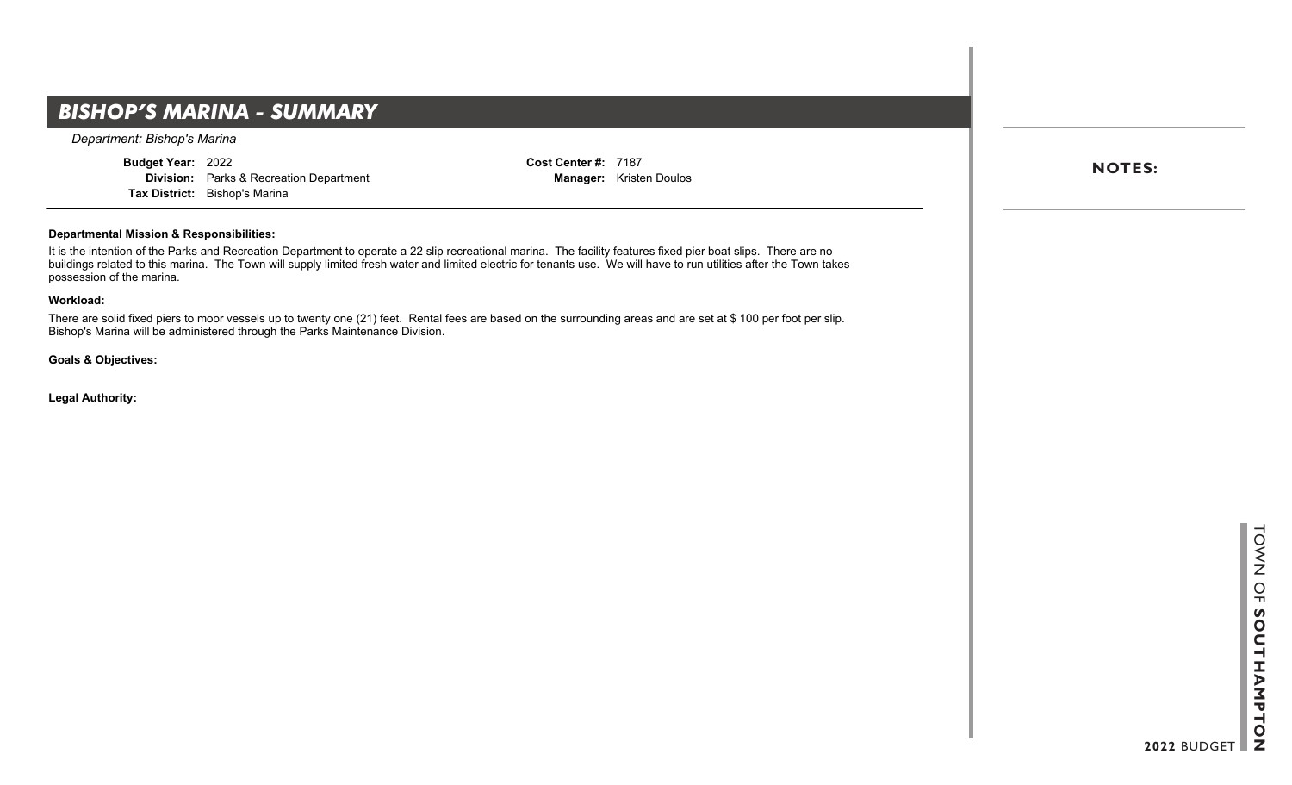## **BISHOP'S MARINA - SUMMARY**

*Department: Bishop's Marina*

**Budget Year:** 2022

**Division:** Parks & Recreation Department **Tax District:** Bishop's Marina

**Cost Center #:** 7187 **Manager:** Kristen Doulos

### **Departmental Mission & Responsibilities:**

It is the intention of the Parks and Recreation Department to operate a 22 slip recreational marina. The facility features fixed pier boat slips. There are no buildings related to this marina. The Town will supply limited fresh water and limited electric for tenants use. We will have to run utilities after the Town takes possession of the marina.

### **Workload:**

There are solid fixed piers to moor vessels up to twenty one (21) feet. Rental fees are based on the surrounding areas and are set at \$ 100 per foot per slip. Bishop's Marina will be administered through the Parks Maintenance Division.

**Goals & Objectives:**

**Legal Authority:**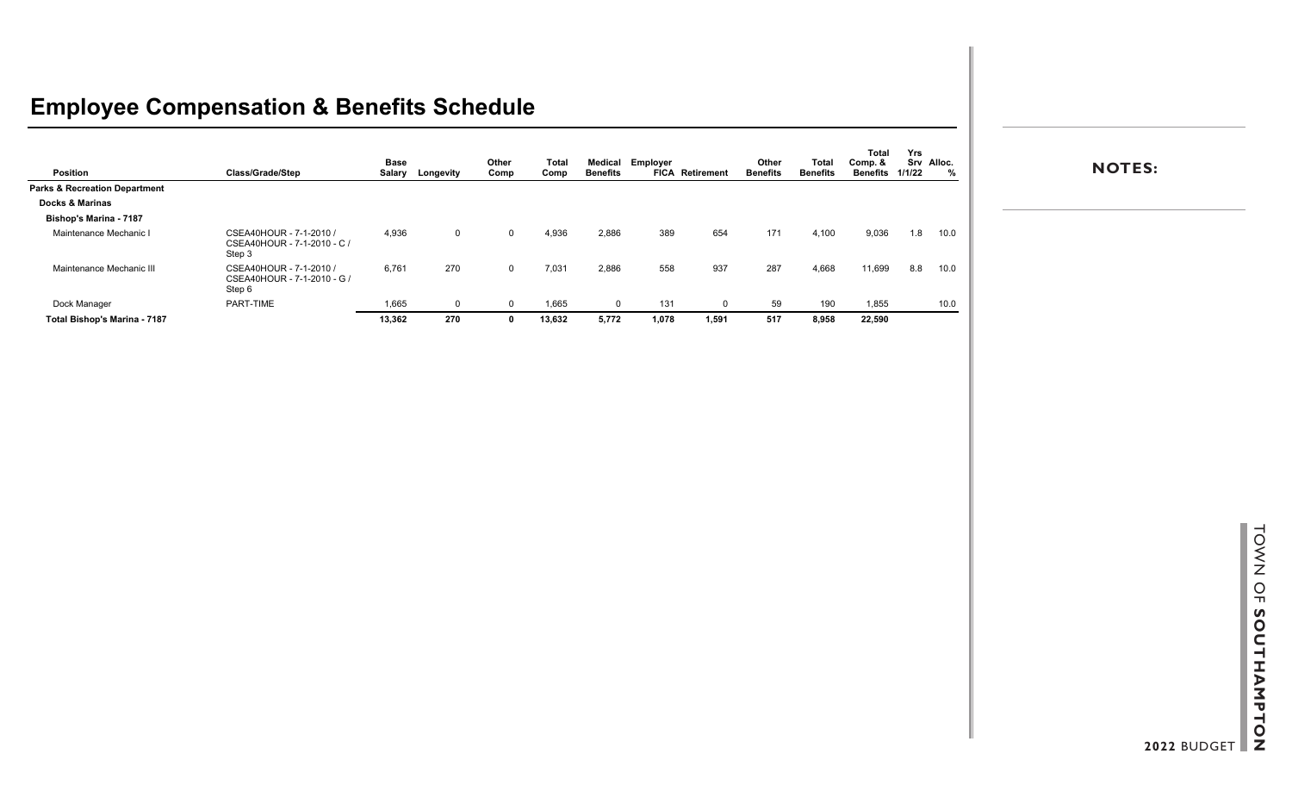| <b>Position</b>                          | Class/Grade/Step                                                 | <b>Base</b><br>Salary | Longevity    | Other<br>Comp | <b>Total</b><br>Comp | Medical<br>Benefits | Employer | <b>FICA Retirement</b> | Other<br><b>Benefits</b> | <b>Total</b><br><b>Benefits</b> | <b>Total</b><br>Comp. &<br><b>Benefits</b> | Yrs<br>1/1/22 | Srv Alloc.<br>% |
|------------------------------------------|------------------------------------------------------------------|-----------------------|--------------|---------------|----------------------|---------------------|----------|------------------------|--------------------------|---------------------------------|--------------------------------------------|---------------|-----------------|
| <b>Parks &amp; Recreation Department</b> |                                                                  |                       |              |               |                      |                     |          |                        |                          |                                 |                                            |               |                 |
| <b>Docks &amp; Marinas</b>               |                                                                  |                       |              |               |                      |                     |          |                        |                          |                                 |                                            |               |                 |
| <b>Bishop's Marina - 7187</b>            |                                                                  |                       |              |               |                      |                     |          |                        |                          |                                 |                                            |               |                 |
| Maintenance Mechanic I                   | CSEA40HOUR - 7-1-2010 /<br>CSEA40HOUR - 7-1-2010 - C /<br>Step 3 | 4,936                 | $\mathbf{0}$ |               | 4,936                | 2,886               | 389      | 654                    | 171                      | 4,100                           | 9,036                                      | 1.8           | 10.0            |
| Maintenance Mechanic III                 | CSEA40HOUR - 7-1-2010 /<br>CSEA40HOUR - 7-1-2010 - G /<br>Step 6 | 6,761                 | 270          | $\Omega$      | 7,031                | 2,886               | 558      | 937                    | 287                      | 4,668                           | 11,699                                     | 8.8           | 10.0            |
| Dock Manager                             | PART-TIME                                                        | 1,665                 | $\mathbf{0}$ |               | 1,665                |                     | 131      | $\Omega$               | 59                       | 190                             | 1,855                                      |               | 10.0            |
| Total Bishop's Marina - 7187             |                                                                  | 13,362                | 270          |               | 13,632               | 5,772               | 1,078    | 1.591                  | 517                      | 8,958                           | 22,590                                     |               |                 |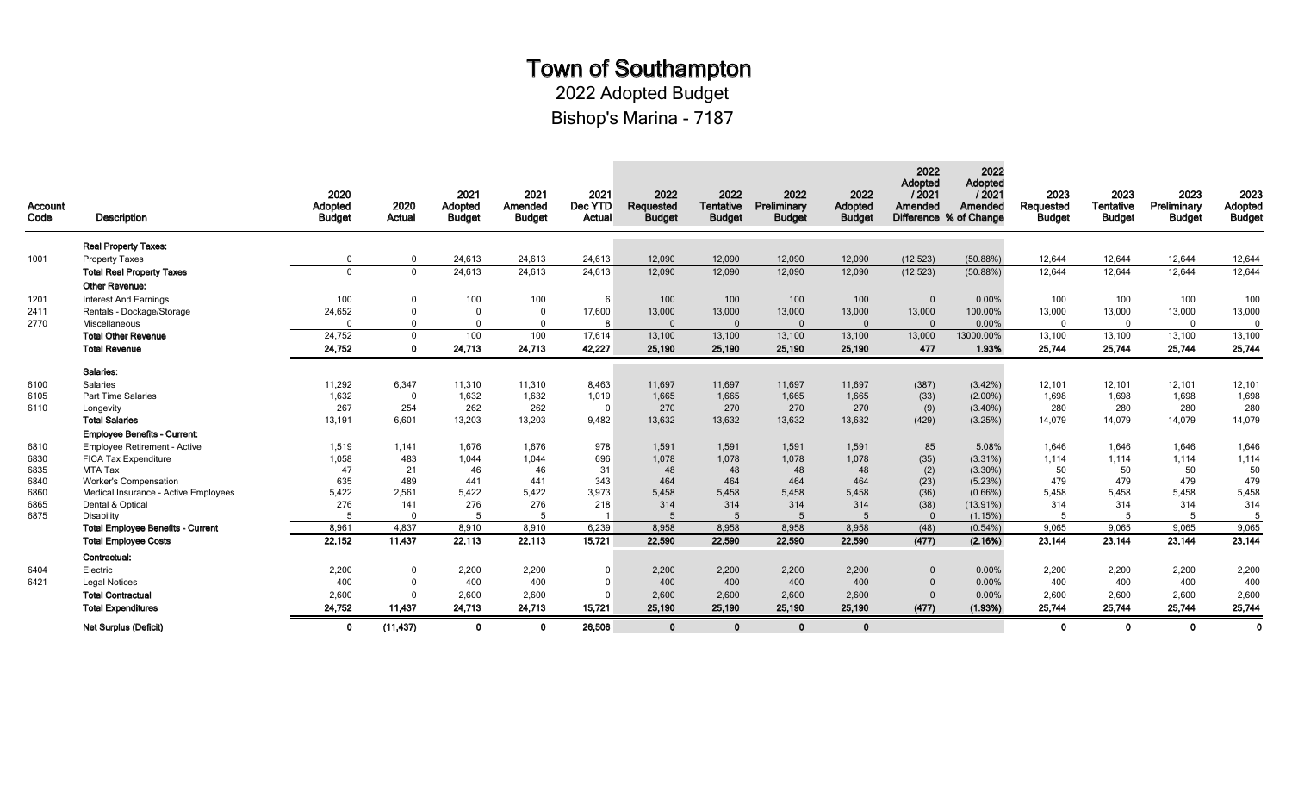Bishop's Marina - 7187 2022 Adopted Budget

| Account<br>Code | <b>Description</b>                                                      | 2020<br>Adopted<br><b>Budget</b> | 2020<br>Actual       | 2021<br>Adopted<br><b>Budget</b> | 2021<br>Amended<br><b>Budget</b> | 2021<br>Dec YTD<br>Actual | 2022<br>Requested<br><b>Budget</b> | 2022<br>Tentative<br><b>Budget</b> | 2022<br>Preliminary<br><b>Budget</b> | 2022<br>Adopted<br><b>Budget</b> | 2022<br>Adopted<br>12021<br>Amended | 2022<br>Adopted<br>12021<br>Amended<br>Difference % of Change | 2023<br>Requested<br><b>Budget</b> | 2023<br><b>Tentative</b><br><b>Budget</b> | 2023<br>Preliminary<br><b>Budget</b> | 2023<br>Adopted<br><b>Budget</b> |
|-----------------|-------------------------------------------------------------------------|----------------------------------|----------------------|----------------------------------|----------------------------------|---------------------------|------------------------------------|------------------------------------|--------------------------------------|----------------------------------|-------------------------------------|---------------------------------------------------------------|------------------------------------|-------------------------------------------|--------------------------------------|----------------------------------|
|                 | <b>Real Property Taxes:</b>                                             |                                  |                      |                                  |                                  |                           |                                    |                                    |                                      |                                  |                                     |                                                               |                                    |                                           |                                      |                                  |
| 1001            | <b>Property Taxes</b>                                                   | $\Omega$                         | $\mathbf{0}$         | 24,613                           | 24,613                           | 24,613                    | 12,090                             | 12,090                             | 12,090                               | 12,090                           | (12, 523)                           | (50.88%)                                                      | 12,644                             | 12,644                                    | 12,644                               | 12,644                           |
|                 | <b>Total Real Property Taxes</b><br><b>Other Revenue:</b>               | $\Omega$                         | $\mathbf{0}$         | 24,613                           | 24,613                           | 24,613                    | 12,090                             | 12,090                             | 12,090                               | 12,090                           | (12, 523)                           | (50.88%)                                                      | 12,644                             | 12,644                                    | 12,644                               | 12,644                           |
| 1201            | <b>Interest And Earnings</b>                                            | 100                              | $\Omega$             | 100                              | 100                              | 6                         | 100                                | 100                                | 100                                  | 100                              | $\overline{0}$                      | 0.00%                                                         | 100                                | 100                                       | 100                                  | 100                              |
| 2411<br>2770    | Rentals - Dockage/Storage<br>Miscellaneous                              | 24,652<br>$\Omega$               | $\Omega$<br>$\Omega$ | $\Omega$<br>$\Omega$             | $\Omega$<br>$\Omega$             | 17,600<br>8               | 13,000<br>$\Omega$                 | 13,000<br>$\Omega$                 | 13,000<br>$\Omega$                   | 13,000<br>$\overline{0}$         | 13,000<br>$\overline{0}$            | 100.00%<br>0.00%                                              | 13,000<br>$\Omega$                 | 13,000<br>$\mathbf 0$                     | 13,000<br>$\overline{0}$             | 13,000<br>$\mathbf{0}$           |
|                 | <b>Total Other Revenue</b>                                              | 24,752                           | $\Omega$             | 100                              | 100                              | 17,614                    | 13,100                             | 13,100                             | 13,100                               | 13,100                           | 13,000                              | 13000.00%                                                     | 13,100                             | 13,100                                    | 13,100                               | 13,100                           |
|                 | <b>Total Revenue</b>                                                    | 24,752                           | $\Omega$             | 24,713                           | 24.713                           | 42.227                    | 25,190                             | 25,190                             | 25,190                               | 25.190                           | 477                                 | 1.93%                                                         | 25,744                             | 25,744                                    | 25,744                               | 25,744                           |
|                 | Salaries:                                                               |                                  |                      |                                  |                                  |                           |                                    |                                    |                                      |                                  |                                     |                                                               |                                    |                                           |                                      |                                  |
| 6100            | Salaries                                                                | 11,292                           | 6,347                | 11,310                           | 11,310                           | 8,463                     | 11,697                             | 11,697                             | 11,697                               | 11,697                           | (387)                               | $(3.42\%)$                                                    | 12,101                             | 12,101                                    | 12,101                               | 12,101                           |
| 6105            | <b>Part Time Salaries</b>                                               | 1,632                            | $\mathbf{0}$         | 1,632                            | 1,632                            | 1,019                     | 1,665                              | 1,665                              | 1,665                                | 1,665                            | (33)                                | $(2.00\%)$                                                    | 1,698                              | 1,698                                     | 1,698                                | 1,698                            |
| 6110            | Longevity                                                               | 267                              | 254                  | 262                              | 262                              | $\Omega$                  | 270                                | 270                                | 270                                  | 270                              | (9)                                 | $(3.40\%)$                                                    | 280                                | 280                                       | 280                                  | 280                              |
|                 | <b>Total Salaries</b>                                                   | 13,191                           | 6,601                | 13,203                           | 13,203                           | 9,482                     | 13,632                             | 13,632                             | 13,632                               | 13,632                           | (429)                               | (3.25%)                                                       | 14,079                             | 14,079                                    | 14,079                               | 14,079                           |
|                 | <b>Employee Benefits - Current:</b>                                     |                                  |                      |                                  |                                  |                           |                                    |                                    |                                      |                                  |                                     |                                                               |                                    |                                           |                                      |                                  |
| 6810            | <b>Employee Retirement - Active</b>                                     | 1,519                            | 1,141                | 1,676                            | 1,676                            | 978                       | 1,591                              | 1,591                              | 1,591                                | 1,591                            | 85                                  | 5.08%                                                         | 1,646                              | 1,646                                     | 1,646                                | 1,646                            |
| 6830            | <b>FICA Tax Expenditure</b>                                             | 1,058                            | 483                  | 1,044                            | 1,044                            | 696                       | 1,078                              | 1,078                              | 1,078                                | 1,078                            | (35)                                | $(3.31\%)$                                                    | 1,114                              | 1,114                                     | 1,114                                | 1,114                            |
| 6835            | MTA Tax                                                                 | 47                               | 21                   | 46                               | 46                               | 31                        | 48                                 | 48                                 | 48                                   | 48                               | (2)                                 | $(3.30\%)$                                                    | 50                                 | 50                                        | 50                                   | 50                               |
| 6840            | <b>Worker's Compensation</b>                                            | 635                              | 489                  | 441                              | 441                              | 343                       | 464                                | 464                                | 464                                  | 464                              | (23)                                | (5.23%)                                                       | 479                                | 479                                       | 479                                  | 479                              |
| 6860            | Medical Insurance - Active Employees                                    | 5,422                            | 2,561                | 5,422                            | 5,422                            | 3,973                     | 5,458                              | 5,458                              | 5,458                                | 5,458                            | (36)                                | $(0.66\%)$                                                    | 5,458                              | 5,458                                     | 5,458                                | 5,458                            |
| 6865            | Dental & Optical                                                        | 276                              | 141                  | 276                              | 276                              | 218                       | 314                                | 314                                | 314                                  | 314                              | (38)                                | $(13.91\%)$                                                   | 314                                | 314                                       | 314                                  | 314                              |
| 6875            | <b>Disability</b>                                                       | 5                                | $\mathbf 0$          | 5                                | -5                               |                           | 5<br>8.958                         | 5<br>8.958                         | 5                                    | 5                                | $\overline{0}$                      | (1.15%)                                                       | -5                                 | 5                                         | 5                                    |                                  |
|                 | <b>Total Employee Benefits - Current</b><br><b>Total Employee Costs</b> | 8,961<br>22,152                  | 4,837<br>11.437      | 8,910<br>22.113                  | 8,910<br>22,113                  | 6.239<br>15.721           | 22.590                             | 22,590                             | 8,958<br>22,590                      | 8,958<br>22.590                  | (48)<br>(477)                       | $(0.54\%)$<br>(2.16%)                                         | 9,065<br>23.144                    | 9,065<br>23,144                           | 9,065<br>23.144                      | 9,065<br>23,144                  |
|                 | Contractual:                                                            |                                  |                      |                                  |                                  |                           |                                    |                                    |                                      |                                  |                                     |                                                               |                                    |                                           |                                      |                                  |
| 6404            | Electric                                                                | 2,200                            | $\Omega$             | 2,200                            | 2,200                            | $\Omega$                  | 2,200                              | 2,200                              | 2,200                                | 2,200                            | $\overline{\mathbf{0}}$             | 0.00%                                                         | 2,200                              | 2,200                                     | 2,200                                | 2,200                            |
| 6421            | <b>Legal Notices</b>                                                    | 400                              | $\Omega$             | 400                              | 400                              | $\Omega$                  | 400                                | 400                                | 400                                  | 400                              | $\Omega$                            | 0.00%                                                         | 400                                | 400                                       | 400                                  | 400                              |
|                 | <b>Total Contractual</b>                                                | 2,600                            | $\mathbf 0$          | 2,600                            | 2,600                            | $\Omega$                  | 2,600                              | 2,600                              | 2,600                                | 2,600                            | $\overline{0}$                      | 0.00%                                                         | 2,600                              | 2,600                                     | 2,600                                | 2,600                            |
|                 | <b>Total Expenditures</b>                                               | 24,752                           | 11,437               | 24,713                           | 24,713                           | 15,721                    | 25,190                             | 25,190                             | 25,190                               | 25,190                           | (477)                               | (1.93%)                                                       | 25,744                             | 25,744                                    | 25,744                               | 25,744                           |
|                 | <b>Net Surplus (Deficit)</b>                                            | 0                                | (11, 437)            | 0                                | $\mathbf{0}$                     | 26,506                    | $\mathbf{0}$                       | $\mathbf{0}$                       | $\mathbf{0}$                         | $\mathbf{0}$                     |                                     |                                                               | $\mathbf 0$                        | 0                                         | $\mathbf 0$                          | 0                                |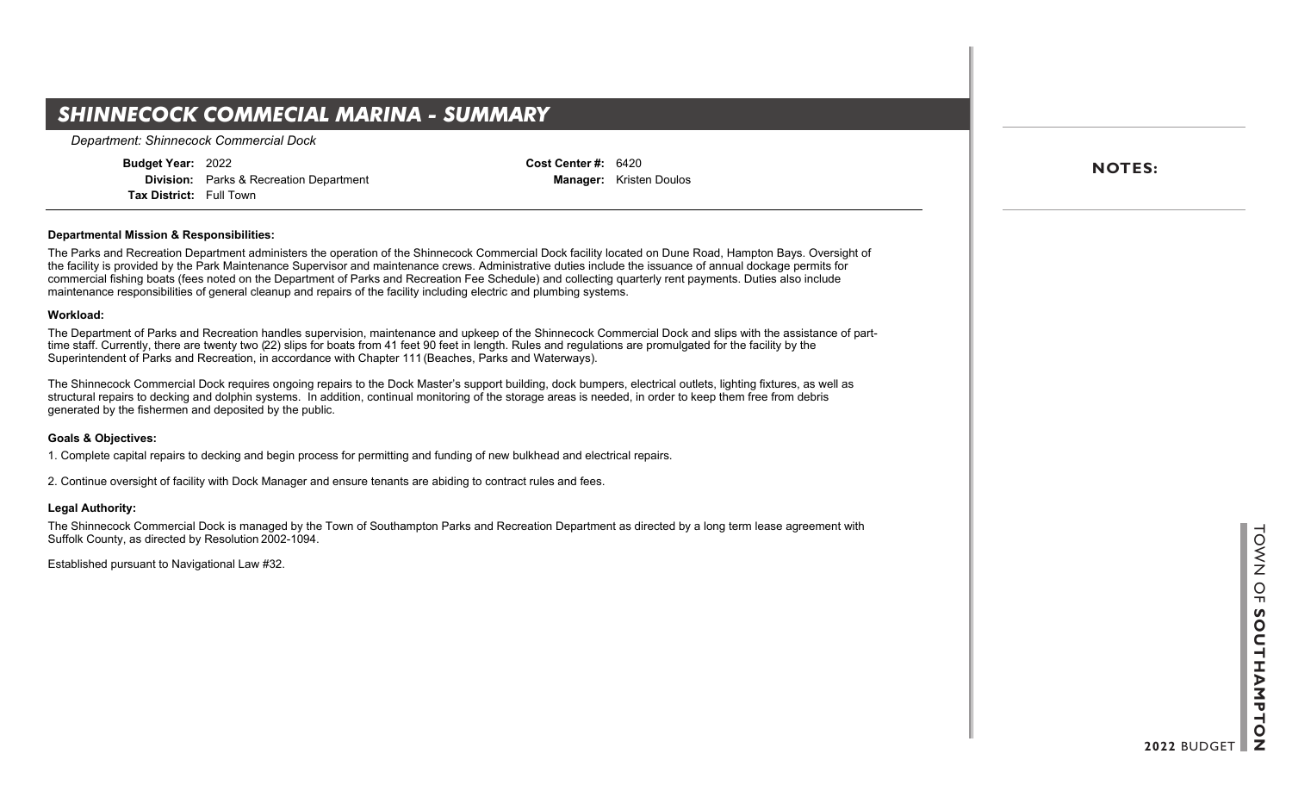## **SHINNECOCK COMMECIAL MARINA - SUMMARY**

*Department: Shinnecock Commercial Dock*

**Budget Year:** 2022 **Division:** Parks & Recreation Department **Tax District:** Full Town

**Cost Center #:** 6420 **Manager:** Kristen Doulos

### **Departmental Mission & Responsibilities:**

The Parks and Recreation Department administers the operation of the Shinnecock Commercial Dock facility located on Dune Road, Hampton Bays. Oversight of the facility is provided by the Park Maintenance Supervisor and maintenance crews. Administrative duties include the issuance of annual dockage permits for commercial fishing boats (fees noted on the Department of Parks and Recreation Fee Schedule) and collecting quarterly rent payments. Duties also include maintenance responsibilities of general cleanup and repairs of the facility including electric and plumbing systems.

#### **Workload:**

The Department of Parks and Recreation handles supervision, maintenance and upkeep of the Shinnecock Commercial Dock and slips with the assistance of parttime staff. Currently, there are twenty two (22) slips for boats from 41 feet 90 feet in length. Rules and regulations are promulgated for the facility by the Superintendent of Parks and Recreation, in accordance with Chapter 111 (Beaches, Parks and Waterways).

The Shinnecock Commercial Dock requires ongoing repairs to the Dock Master's support building, dock bumpers, electrical outlets, lighting fixtures, as well as structural repairs to decking and dolphin systems. In addition, continual monitoring of the storage areas is needed, in order to keep them free from debris generated by the fishermen and deposited by the public.

### **Goals & Objectives:**

1. Complete capital repairs to decking and begin process for permitting and funding of new bulkhead and electrical repairs.

2. Continue oversight of facility with Dock Manager and ensure tenants are abiding to contract rules and fees.

### **Legal Authority:**

The Shinnecock Commercial Dock is managed by the Town of Southampton Parks and Recreation Department as directed by a long term lease agreement with Suffolk County, as directed by Resolution 2002-1094.

Established pursuant to Navigational Law #32.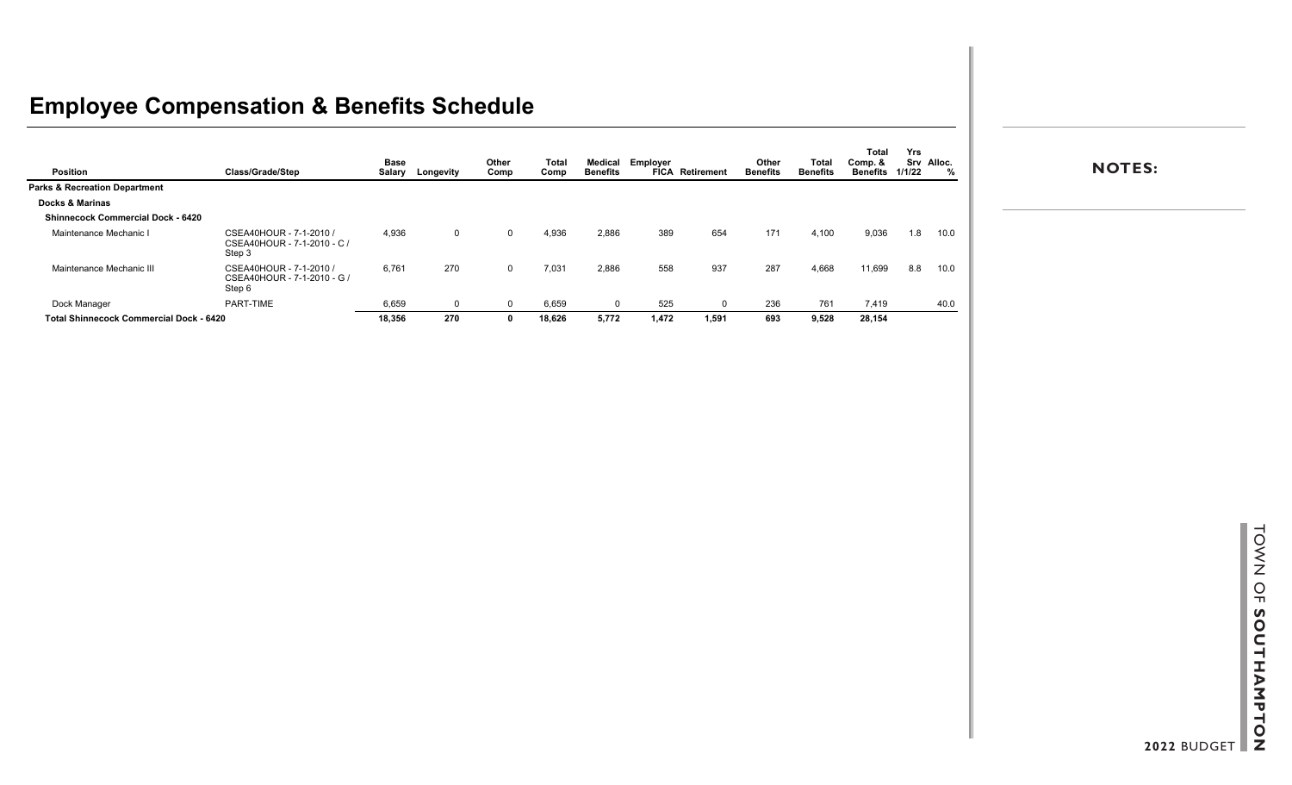| Position                                       | Class/Grade/Step                                                 | <b>Base</b> | Salary Longevity | Other<br>Comp | Total<br>Comp | Medical<br><b>Benefits</b> | Employer | <b>FICA Retirement</b> | Other<br><b>Benefits</b> | <b>Total</b><br><b>Benefits</b> | <b>Total</b><br>Comp. &<br><b>Benefits</b> | <b>Yrs</b><br>1/1/22 | Srv Alloc.<br>% |
|------------------------------------------------|------------------------------------------------------------------|-------------|------------------|---------------|---------------|----------------------------|----------|------------------------|--------------------------|---------------------------------|--------------------------------------------|----------------------|-----------------|
| <b>Parks &amp; Recreation Department</b>       |                                                                  |             |                  |               |               |                            |          |                        |                          |                                 |                                            |                      |                 |
| <b>Docks &amp; Marinas</b>                     |                                                                  |             |                  |               |               |                            |          |                        |                          |                                 |                                            |                      |                 |
| <b>Shinnecock Commercial Dock - 6420</b>       |                                                                  |             |                  |               |               |                            |          |                        |                          |                                 |                                            |                      |                 |
| Maintenance Mechanic I                         | CSEA40HOUR - 7-1-2010 /<br>CSEA40HOUR - 7-1-2010 - C /<br>Step 3 | 4,936       | $\mathbf 0$      | $\Omega$      | 4,936         | 2,886                      | 389      | 654                    | 171                      | 4,100                           | 9,036                                      | 1.8                  | 10.0            |
| Maintenance Mechanic III                       | CSEA40HOUR - 7-1-2010 /<br>CSEA40HOUR - 7-1-2010 - G /<br>Step 6 | 6.761       | 270              | $\Omega$      | 7.031         | 2,886                      | 558      | 937                    | 287                      | 4,668                           | 11,699                                     | 8.8                  | 10.0            |
| Dock Manager                                   | PART-TIME                                                        | 6,659       | $\mathbf{0}$     | $\Omega$      | 6,659         |                            | 525      | 0                      | 236                      | 761                             | 7,419                                      |                      | 40.0            |
| <b>Total Shinnecock Commercial Dock - 6420</b> |                                                                  | 18,356      | 270              |               | 18,626        | 5,772                      | 1,472    | 1,591                  | 693                      | 9,528                           | 28,154                                     |                      |                 |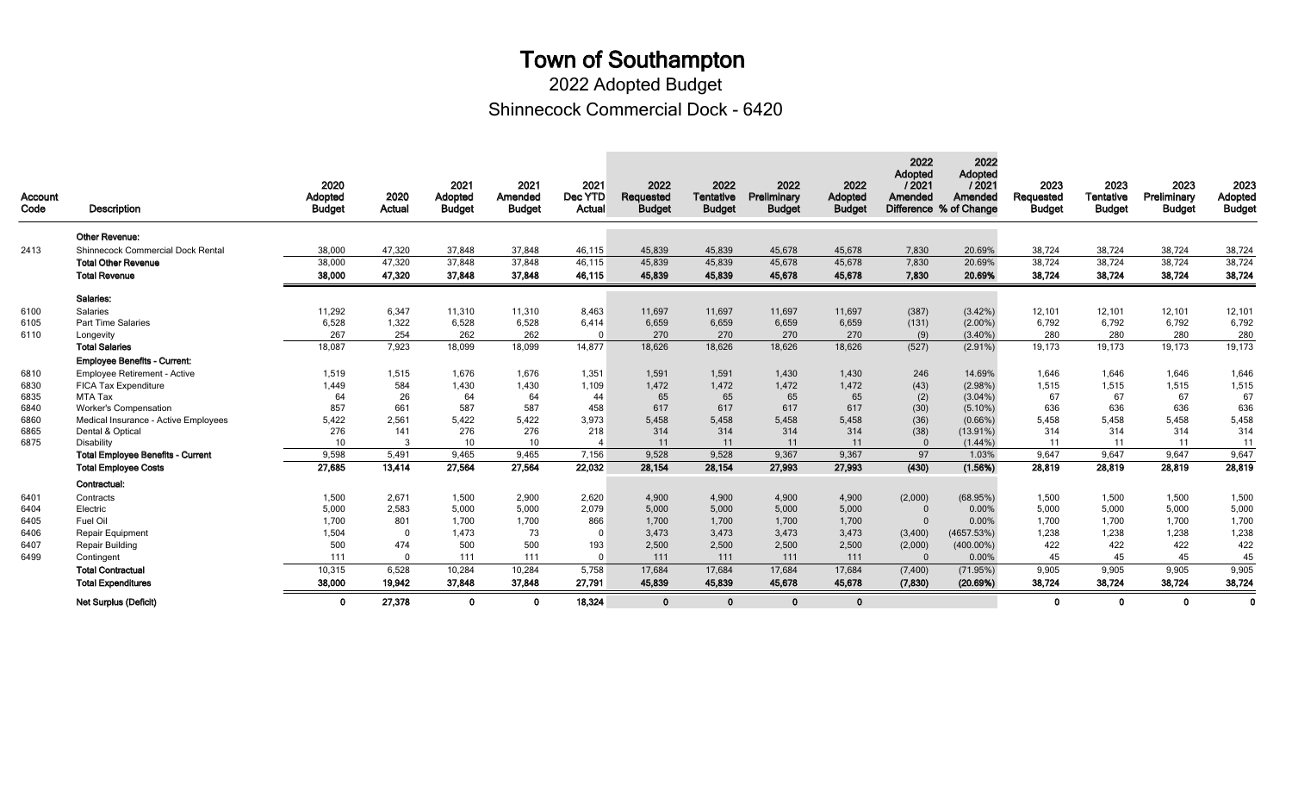Shinnecock Commercial Dock - 6420 2022 Adopted Budget

| Account<br>Code | Description                              | 2020<br>Adopted<br><b>Budget</b> | 2020<br>Actual | 2021<br>Adopted<br><b>Budget</b> | 2021<br>Amended<br><b>Budget</b> | 2021<br>Dec YTD<br>Actual | 2022<br>Requested<br><b>Budget</b> | 2022<br>Tentative<br><b>Budget</b> | 2022<br>Preliminary<br><b>Budget</b> | 2022<br>Adopted<br><b>Budget</b> | 2022<br>Adopted<br>12021<br>Amended | 2022<br>Adopted<br>12021<br>Amended<br>Difference % of Change | 2023<br>Requested<br><b>Budget</b> | 2023<br><b>Tentative</b><br><b>Budget</b> | 2023<br>Preliminary<br><b>Budget</b> | 2023<br>Adopted<br><b>Budget</b> |
|-----------------|------------------------------------------|----------------------------------|----------------|----------------------------------|----------------------------------|---------------------------|------------------------------------|------------------------------------|--------------------------------------|----------------------------------|-------------------------------------|---------------------------------------------------------------|------------------------------------|-------------------------------------------|--------------------------------------|----------------------------------|
|                 | <b>Other Revenue:</b>                    |                                  |                |                                  |                                  |                           |                                    |                                    |                                      |                                  |                                     |                                                               |                                    |                                           |                                      |                                  |
| 2413            | <b>Shinnecock Commercial Dock Rental</b> | 38,000                           | 47,320         | 37,848                           | 37,848                           | 46,115                    | 45,839                             | 45,839                             | 45,678                               | 45,678                           | 7,830                               | 20.69%                                                        | 38,724                             | 38,724                                    | 38,724                               | 38,724                           |
|                 | <b>Total Other Revenue</b>               | 38,000                           | 47,320         | 37,848                           | 37,848                           | 46,115                    | 45,839                             | 45,839                             | 45,678                               | 45,678                           | 7,830                               | 20.69%                                                        | 38,724                             | 38,724                                    | 38,724                               | 38,724                           |
|                 | <b>Total Revenue</b>                     | 38,000                           | 47,320         | 37,848                           | 37,848                           | 46,115                    | 45,839                             | 45,839                             | 45,678                               | 45,678                           | 7,830                               | 20.69%                                                        | 38,724                             | 38,724                                    | 38,724                               | 38,724                           |
|                 | Salaries:                                |                                  |                |                                  |                                  |                           |                                    |                                    |                                      |                                  |                                     |                                                               |                                    |                                           |                                      |                                  |
| 6100            | Salaries                                 | 11,292                           | 6,347          | 11,310                           | 11,310                           | 8,463                     | 11,697                             | 11,697                             | 11,697                               | 11,697                           | (387)                               | $(3.42\%)$                                                    | 12,101                             | 12,101                                    | 12,101                               | 12,101                           |
| 6105            | Part Time Salaries                       | 6,528                            | 1,322          | 6,528                            | 6,528                            | 6,414                     | 6,659                              | 6,659                              | 6,659                                | 6,659                            | (131)                               | $(2.00\%)$                                                    | 6,792                              | 6,792                                     | 6,792                                | 6,792                            |
| 6110            | Longevity                                | 267                              | 254            | 262                              | 262                              |                           | 270                                | 270                                | 270                                  | 270                              | (9)                                 | $(3.40\%)$                                                    | 280                                | 280                                       | 280                                  | 280                              |
|                 | <b>Total Salaries</b>                    | 18,087                           | 7,923          | 18,099                           | 18,099                           | 14,877                    | 18,626                             | 18,626                             | 18,626                               | 18,626                           | (527)                               | $(2.91\%)$                                                    | 19,173                             | 19,173                                    | 19,173                               | 19,173                           |
|                 | <b>Employee Benefits - Current:</b>      |                                  |                |                                  |                                  |                           |                                    |                                    |                                      |                                  |                                     |                                                               |                                    |                                           |                                      |                                  |
| 6810            | <b>Employee Retirement - Active</b>      | 1,519                            | 1,515          | 1,676                            | 1,676                            | 1,351                     | 1,591                              | 1,591                              | 1,430                                | 1,430                            | 246                                 | 14.69%                                                        | 1,646                              | 1,646                                     | 1,646                                | 1,646                            |
| 6830            | <b>FICA Tax Expenditure</b>              | 1,449                            | 584            | 1,430                            | 1,430                            | 1,109                     | 1,472                              | 1,472                              | 1,472                                | 1,472                            | (43)                                | $(2.98\%)$                                                    | 1,515                              | 1,515                                     | 1,515                                | 1,515                            |
| 6835            | MTA Tax                                  | 64                               | 26             | 64                               | 64                               | 44                        | 65                                 | 65                                 | 65                                   | 65                               | (2)                                 | $(3.04\%)$                                                    | 67                                 | 67                                        | 67                                   | 67                               |
| 6840            | <b>Worker's Compensation</b>             | 857                              | 661            | 587                              | 587                              | 458                       | 617                                | 617                                | 617                                  | 617                              | (30)                                | $(5.10\%)$                                                    | 636                                | 636                                       | 636                                  | 636                              |
| 6860            | Medical Insurance - Active Employees     | 5,422                            | 2,561          | 5,422                            | 5,422                            | 3,973                     | 5,458                              | 5,458                              | 5,458                                | 5,458                            | (36)                                | $(0.66\%)$                                                    | 5,458                              | 5,458                                     | 5,458                                | 5,458                            |
| 6865            | Dental & Optical                         | 276                              | 141            | 276                              | 276                              | 218                       | 314                                | 314                                | 314                                  | 314                              | (38)                                | $(13.91\%)$                                                   | 314                                | 314                                       | 314                                  | 314                              |
| 6875            | Disability                               | 10                               | $\mathcal{R}$  | 10 <sup>1</sup>                  | 10                               |                           | 11                                 | 11                                 | 11                                   | 11                               | $\overline{0}$                      | $(1.44\%)$                                                    | 11                                 | 11                                        | 11                                   | 11                               |
|                 | <b>Total Employee Benefits - Current</b> | 9,598                            | 5,491          | 9,465                            | 9,465                            | 7,156                     | 9,528                              | 9,528                              | 9,367                                | 9,367                            | 97                                  | 1.03%                                                         | 9,647                              | 9,647                                     | 9,647                                | 9,647                            |
|                 | <b>Total Employee Costs</b>              | 27,685                           | 13,414         | 27,564                           | 27,564                           | 22,032                    | 28,154                             | 28,154                             | 27,993                               | 27,993                           | (430)                               | (1.56%)                                                       | 28,819                             | 28,819                                    | 28,819                               | 28,819                           |
|                 | <b>Contractual:</b>                      |                                  |                |                                  |                                  |                           |                                    |                                    |                                      |                                  |                                     |                                                               |                                    |                                           |                                      |                                  |
| 6401            | Contracts                                | 1,500                            | 2,671          | 1,500                            | 2,900                            | 2,620                     | 4,900                              | 4,900                              | 4,900                                | 4,900                            | (2,000)                             | (68.95%)                                                      | 1,500                              | 1,500                                     | 1,500                                | 1,500                            |
| 6404            | Electric                                 | 5,000                            | 2,583          | 5,000                            | 5,000                            | 2,079                     | 5,000                              | 5,000                              | 5,000                                | 5,000                            | $\overline{0}$                      | 0.00%                                                         | 5,000                              | 5,000                                     | 5,000                                | 5,000                            |
| 6405            | Fuel Oil                                 | 1,700                            | 801            | 1.700                            | 1.700                            | 866                       | 1,700                              | 1,700                              | 1.700                                | 1.700                            | $\overline{0}$                      | 0.00%                                                         | 1.700                              | 1.700                                     | 1.700                                | 1,700                            |
| 6406            | Repair Equipment                         | 1,504                            | $\Omega$       | 1,473                            | 73                               | $\Omega$                  | 3,473                              | 3,473                              | 3,473                                | 3,473                            | (3,400)                             | (4657.53%)                                                    | 1,238                              | 1,238                                     | 1,238                                | 1,238                            |
| 6407            | Repair Building                          | 500                              | 474            | 500                              | 500                              | 193                       | 2,500                              | 2,500                              | 2,500                                | 2,500                            | (2,000)                             | $(400.00\%)$                                                  | 422                                | 422                                       | 422                                  | 422                              |
| 6499            | Contingent                               | 111                              | $\Omega$       | 111                              | 111                              |                           | 111                                | 111                                | 111                                  | 111                              | $\overline{0}$                      | 0.00%                                                         | 45                                 | 45                                        | 45                                   | 45                               |
|                 | <b>Total Contractual</b>                 | 10,315                           | 6,528          | 10,284                           | 10,284                           | 5,758                     | 17,684                             | 17,684                             | 17,684                               | 17,684                           | (7, 400)                            | (71.95%)                                                      | 9,905                              | 9,905                                     | 9,905                                | 9,905                            |
|                 | <b>Total Expenditures</b>                | 38,000                           | 19,942         | 37,848                           | 37,848                           | 27,791                    | 45,839                             | 45,839                             | 45,678                               | 45,678                           | (7,830)                             | (20.69%)                                                      | 38,724                             | 38,724                                    | 38,724                               | 38,724                           |
|                 | <b>Net Surplus (Deficit)</b>             | $\mathbf 0$                      | 27,378         | $\mathbf{0}$                     | $\mathbf 0$                      | 18,324                    | $\mathbf{0}$                       | $\mathbf{0}$                       | $\mathbf{0}$                         | $\mathbf{0}$                     |                                     |                                                               | $\Omega$                           | $\mathbf{0}$                              | $\mathbf 0$                          | $\mathbf 0$                      |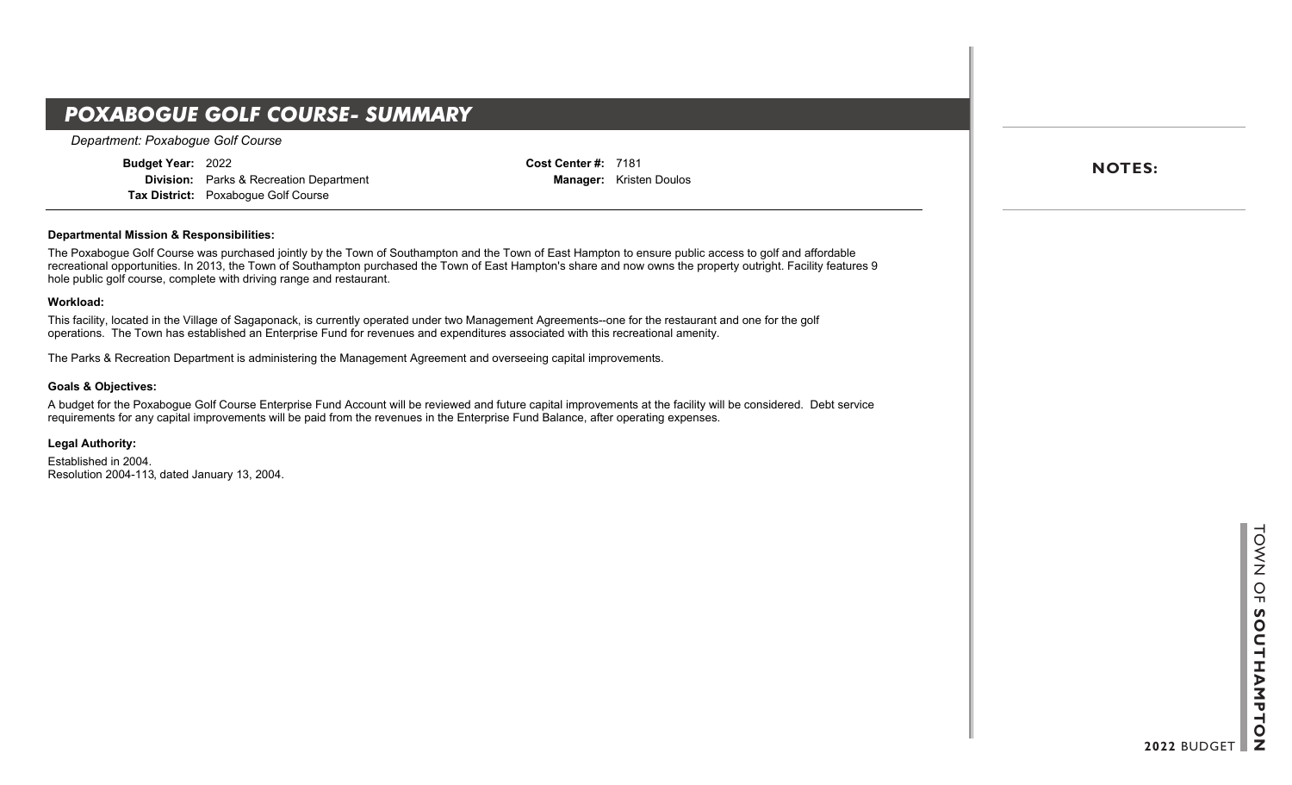## **POXABOGUE GOLF COURSE- SUMMARY**

*Department: Poxabogue Golf Course*

**Budget Year:** 2022 **Division:** Parks & Recreation Department **Tax District:** Poxabogue Golf Course

**Cost Center #:** 7181 **Manager:** Kristen Doulos

#### **Departmental Mission & Responsibilities:**

The Poxabogue Golf Course was purchased jointly by the Town of Southampton and the Town of East Hampton to ensure public access to golf and affordable recreational opportunities. In 2013, the Town of Southampton purchased the Town of East Hampton's share and now owns the property outright. Facility features 9 hole public golf course, complete with driving range and restaurant.

#### **Workload:**

This facility, located in the Village of Sagaponack, is currently operated under two Management Agreements--one for the restaurant and one for the golf operations. The Town has established an Enterprise Fund for revenues and expenditures associated with this recreational amenity.

The Parks & Recreation Department is administering the Management Agreement and overseeing capital improvements.

#### **Goals & Objectives:**

A budget for the Poxabogue Golf Course Enterprise Fund Account will be reviewed and future capital improvements at the facility will be considered. Debt service requirements for any capital improvements will be paid from the revenues in the Enterprise Fund Balance, after operating expenses.

**Legal Authority:**

Established in 2004. Resolution 2004-113, dated January 13, 2004. **NOTES:**

**2022** BUDGET